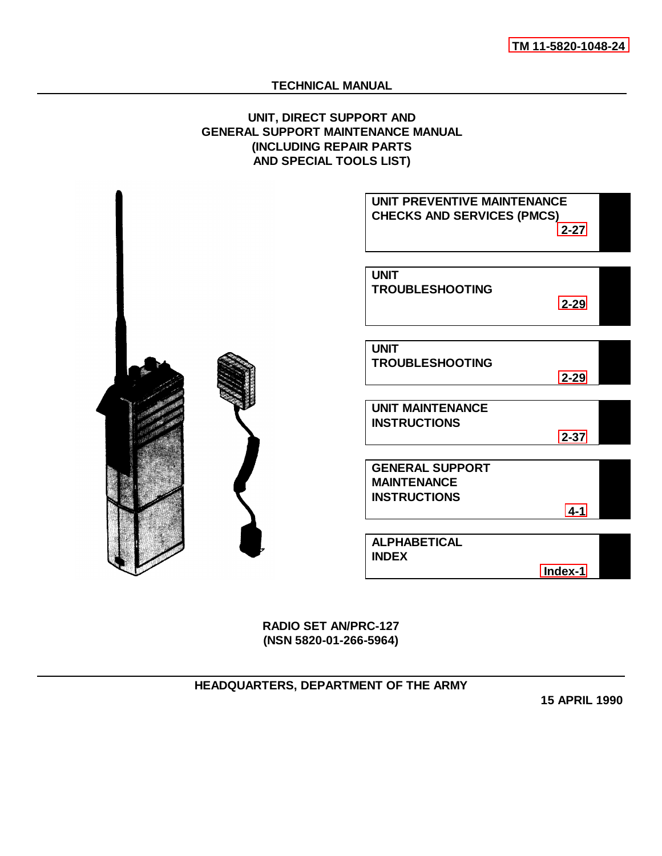# **TECHNICAL MANUAL**

# **UNIT, DIRECT SUPPORT AND GENERAL SUPPORT MAINTENANCE MANUAL (INCLUDING REPAIR PARTS AND SPECIAL TOOLS LIST)**



**RADIO SET AN/PRC-127 (NSN 5820-01-266-5964)**

**HEADQUARTERS, DEPARTMENT OF THE ARMY**

**15 APRIL 1990**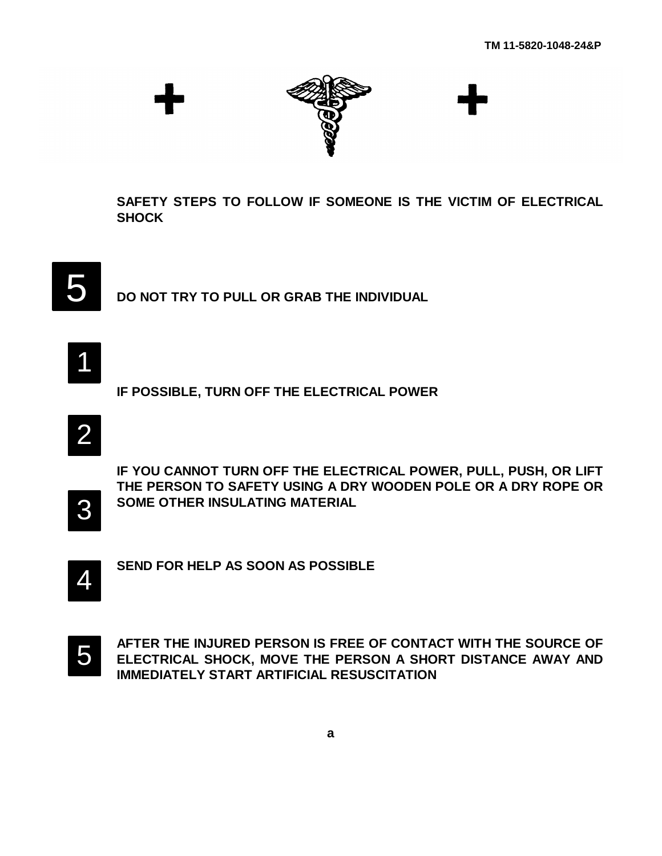

**SAFETY STEPS TO FOLLOW IF SOMEONE IS THE VICTIM OF ELECTRICAL SHOCK**



**DO NOT TRY TO PULL OR GRAB THE INDIVIDUAL**

1

**IF POSSIBLE, TURN OFF THE ELECTRICAL POWER**

2

**IF YOU CANNOT TURN OFF THE ELECTRICAL POWER, PULL, PUSH, OR LIFT THE PERSON TO SAFETY USING A DRY WOODEN POLE OR A DRY ROPE OR SOME OTHER INSULATING MATERIAL**



4

**SEND FOR HELP AS SOON AS POSSIBLE**



**AFTER THE INJURED PERSON IS FREE OF CONTACT WITH THE SOURCE OF ELECTRICAL SHOCK, MOVE THE PERSON A SHORT DISTANCE AWAY AND IMMEDIATELY START ARTIFICIAL RESUSCITATION**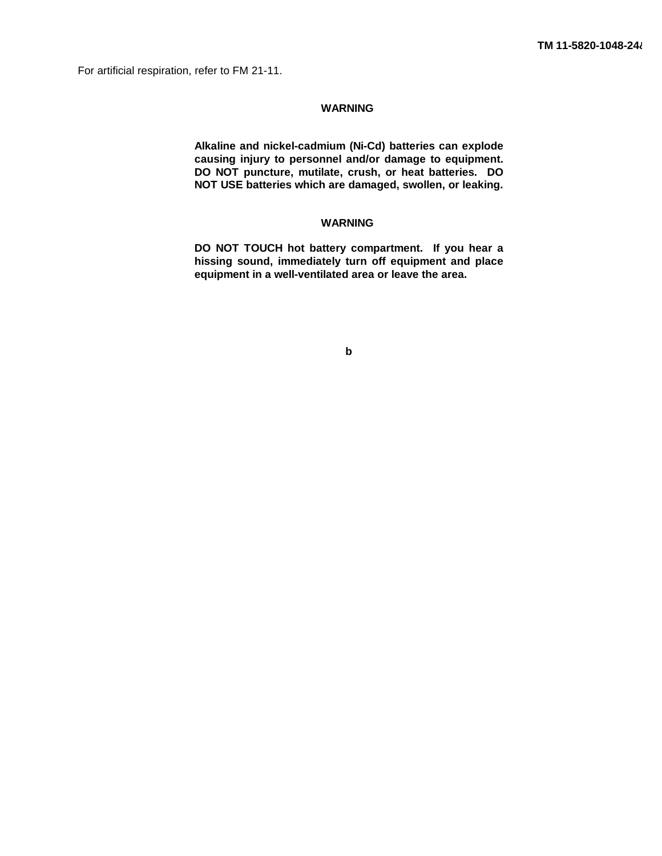For artificial respiration, refer to FM 21-11.

# **WARNING**

**Alkaline and nickel-cadmium (Ni-Cd) batteries can explode causing injury to personnel and/or damage to equipment. DO NOT puncture, mutilate, crush, or heat batteries. DO NOT USE batteries which are damaged, swollen, or leaking.**

# **WARNING**

**DO NOT TOUCH hot battery compartment. If you hear a hissing sound, immediately turn off equipment and place equipment in a well-ventilated area or leave the area.**

**b**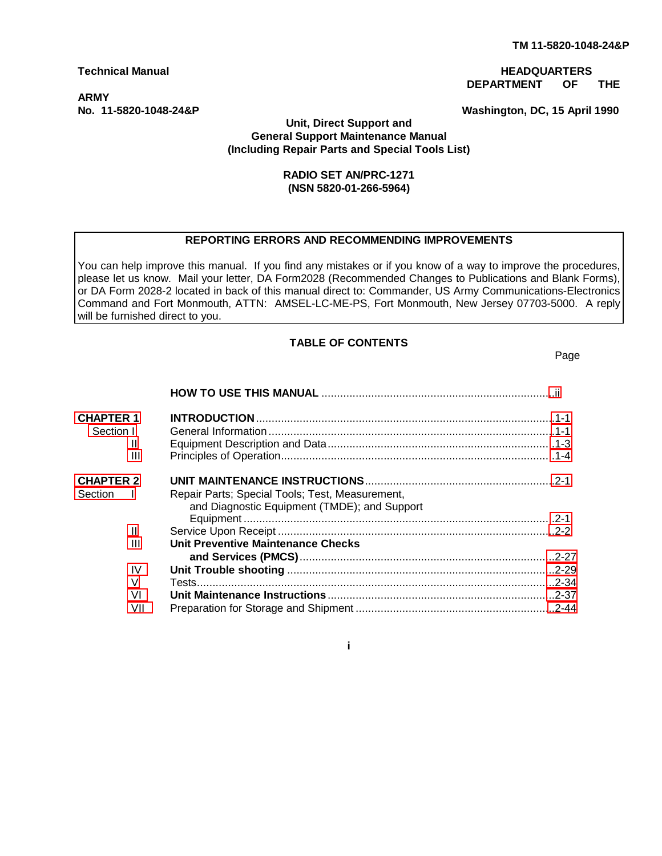# **ARMY**

# <span id="page-3-0"></span>**Technical Manual HEADQUARTERS DEPARTMENT OF THE**

**No. 11-5820-1048-24&P Washington, DC, 15 April 1990**

# **Unit, Direct Support and General Support Maintenance Manual (Including Repair Parts and Special Tools List)**

# **RADIO SET AN/PRC-1271 (NSN 5820-01-266-5964)**

# **REPORTING ERRORS AND RECOMMENDING IMPROVEMENTS**

You can help improve this manual. If you find any mistakes or if you know of a way to improve the procedures, please let us know. Mail your letter, DA Form2028 (Recommended Changes to Publications and Blank Forms), or DA Form 2028-2 located in back of this manual direct to: Commander, US Army Communications-Electronics Command and Fort Monmouth, ATTN: AMSEL-LC-ME-PS, Fort Monmouth, New Jersey 07703-5000. A reply will be furnished direct to you.

# **TABLE OF CONTENTS**

Page

| <b>CHAPTER 1</b>          |                                                                                                 |  |
|---------------------------|-------------------------------------------------------------------------------------------------|--|
| Section I                 |                                                                                                 |  |
| Ш                         |                                                                                                 |  |
| Ш                         |                                                                                                 |  |
| <b>CHAPTER 2</b>          |                                                                                                 |  |
| Section<br>$\blacksquare$ | Repair Parts; Special Tools; Test, Measurement,<br>and Diagnostic Equipment (TMDE); and Support |  |
| Ш                         |                                                                                                 |  |
| Ш                         | Unit Preventive Maintenance Checks                                                              |  |
| IV                        |                                                                                                 |  |
| V                         |                                                                                                 |  |
| V <sub>1</sub>            |                                                                                                 |  |
| VII                       |                                                                                                 |  |

**i**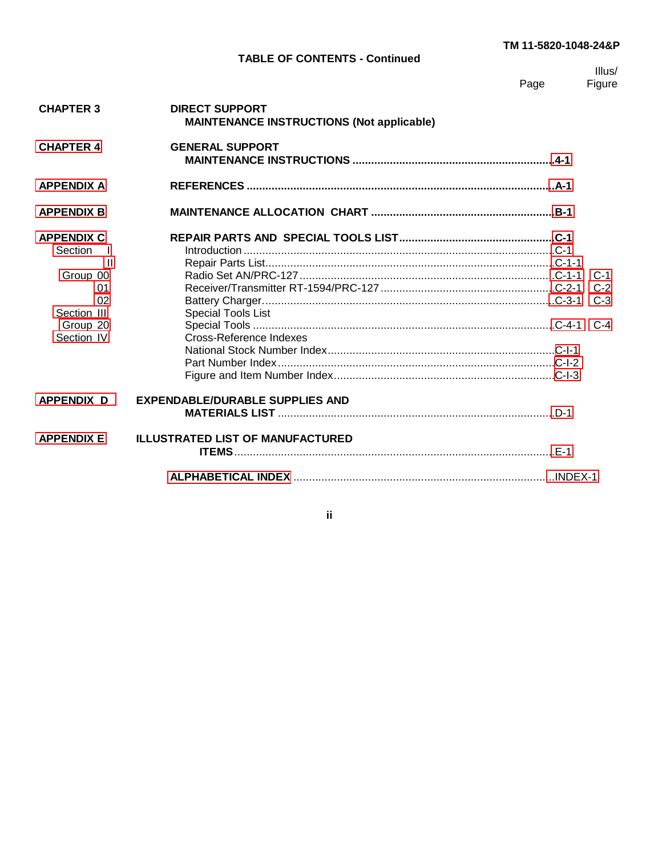# **TM 11-5820-1048-24&P**

# **TABLE OF CONTENTS - Continued**

|      | Illus/ |
|------|--------|
| Page | Figure |

<span id="page-4-0"></span>

| <b>CHAPTER 3</b>             | <b>DIRECT SUPPORT</b><br><b>MAINTENANCE INSTRUCTIONS (Not applicable)</b> |                |
|------------------------------|---------------------------------------------------------------------------|----------------|
| <b>CHAPTER 4</b>             | <b>GENERAL SUPPORT</b>                                                    |                |
| <b>APPENDIX A</b>            |                                                                           |                |
| <b>APPENDIX B</b>            |                                                                           |                |
| <b>APPENDIX C</b><br>Section |                                                                           |                |
| Ш<br>Group 00<br>01          |                                                                           | $C-1$<br>$C-2$ |
| 02<br>Section III            | Special Tools List                                                        | $C-3$          |
| Group 20<br>Section IV       | Cross-Reference Indexes                                                   |                |
|                              |                                                                           |                |
| <b>APPENDIX D</b>            | <b>EXPENDABLE/DURABLE SUPPLIES AND</b>                                    |                |
| <b>APPENDIX E</b>            | <b>ILLUSTRATED LIST OF MANUFACTURED</b>                                   |                |
|                              |                                                                           |                |

**ii**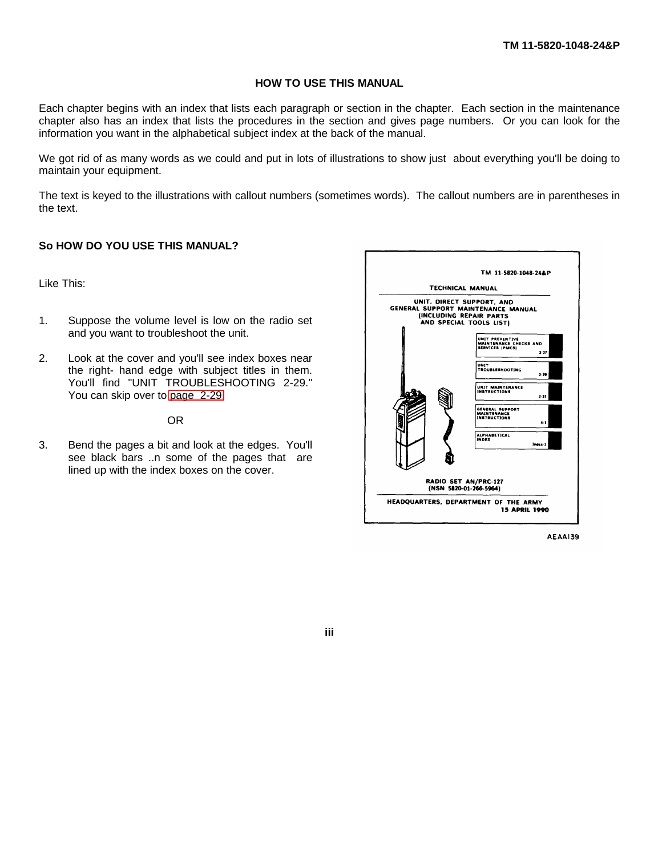# **HOW TO USE THIS MANUAL**

Each chapter begins with an index that lists each paragraph or section in the chapter. Each section in the maintenance chapter also has an index that lists the procedures in the section and gives page numbers. Or you can look for the information you want in the alphabetical subject index at the back of the manual.

We got rid of as many words as we could and put in lots of illustrations to show just about everything you'll be doing to maintain your equipment.

The text is keyed to the illustrations with callout numbers (sometimes words). The callout numbers are in parentheses in the text.

# **So HOW DO YOU USE THIS MANUAL?**

Like This:

- 1. Suppose the volume level is low on the radio set and you want to troubleshoot the unit.
- 2. Look at the cover and you'll see index boxes near the right- hand edge with subject titles in them. You'll find "UNIT TROUBLESHOOTING 2-29." You can skip over to [page 2-29.](#page-43-0)

#### OR

3. Bend the pages a bit and look at the edges. You'll see black bars ..n some of the pages that are lined up with the index boxes on the cover.



**AEAA139** 

**iii**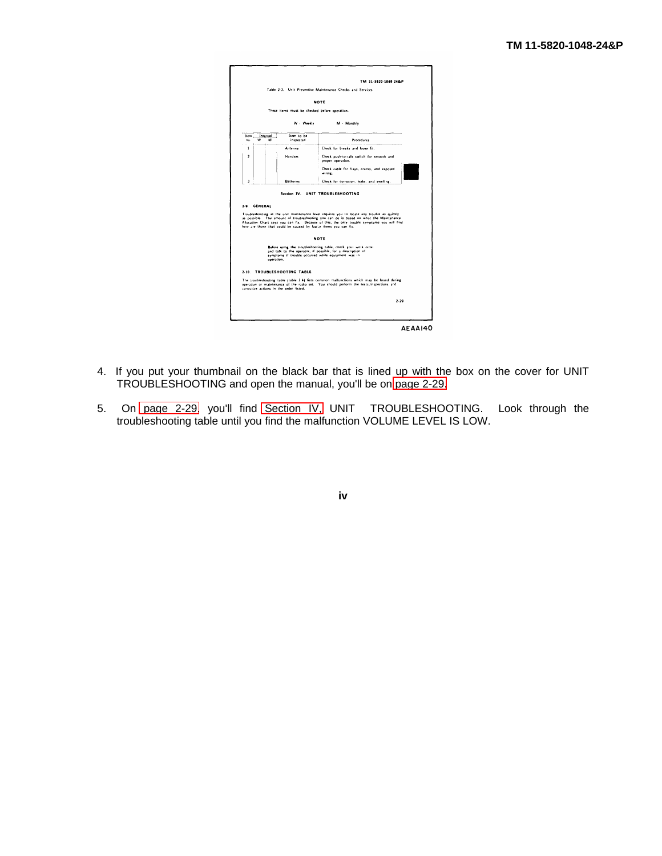|              |                    |                                                                  | Table 2-3. Unit Preventive Maintenance Checks and Services                                                                                                                                                                                                                           |
|--------------|--------------------|------------------------------------------------------------------|--------------------------------------------------------------------------------------------------------------------------------------------------------------------------------------------------------------------------------------------------------------------------------------|
|              |                    |                                                                  | NOTE                                                                                                                                                                                                                                                                                 |
|              |                    | These items must be checked before operation.                    |                                                                                                                                                                                                                                                                                      |
|              |                    | W - Weekly                                                       | M - Monthly                                                                                                                                                                                                                                                                          |
| ltem<br>no.  | Interval<br>w<br>M | Item to be<br>inspected                                          | Procedures                                                                                                                                                                                                                                                                           |
| $\mathbf{1}$ |                    | Antenna                                                          | Check for breaks and loose fit.                                                                                                                                                                                                                                                      |
| ,            |                    | Handset                                                          | Check push-to-talk switch for smooth and<br>proper operation.                                                                                                                                                                                                                        |
|              |                    |                                                                  | Check cable for frays, cracks, and exposed<br>wiring.                                                                                                                                                                                                                                |
|              |                    | <b>Batteries</b>                                                 |                                                                                                                                                                                                                                                                                      |
| 3<br>2.9.    | CENERAL            |                                                                  | Check for corrosion, leaks, and swelling,<br>Section IV. UNIT TROUBLESHOOTING                                                                                                                                                                                                        |
|              |                    | here are those that could be caused by faulty items you can fix. | Troubleshooting at the unit maintenance level requires you to locate any trouble as quickly<br>as possible. The amount of troubleshooting you can do is based on what the Maintenance<br>Allocation Chart says you can fix. Because of this, the only trouble symptoms you will find |
|              |                    |                                                                  | NOTE                                                                                                                                                                                                                                                                                 |
|              | operation.         |                                                                  | Before using the troubleshooting table, check your work order<br>and talk to the operator, if possible, for a description of<br>symptoms if trouble occurred while equipment was in                                                                                                  |
|              |                    | 2-10. TROUBLESHOOTING TABLE                                      |                                                                                                                                                                                                                                                                                      |
|              |                    | corrective actions in the order listed.                          | The troubleshooting table (table 2.4) lists common mallunctions which may be found during<br>operation or maintenance of the radio set. You should perform the tests, inspections and                                                                                                |

- 4. If you put your thumbnail on the black bar that is lined up with the box on the cover for UNIT TROUBLESHOOTING and open the manual, you'll be on [page 2-29.](#page-43-0)
- 5. On [page 2-29,](#page-43-0) you'll find [Section IV,](#page-43-1) UNIT TROUBLESHOOTING. Look through the troubleshooting table until you find the malfunction VOLUME LEVEL IS LOW.

**iv**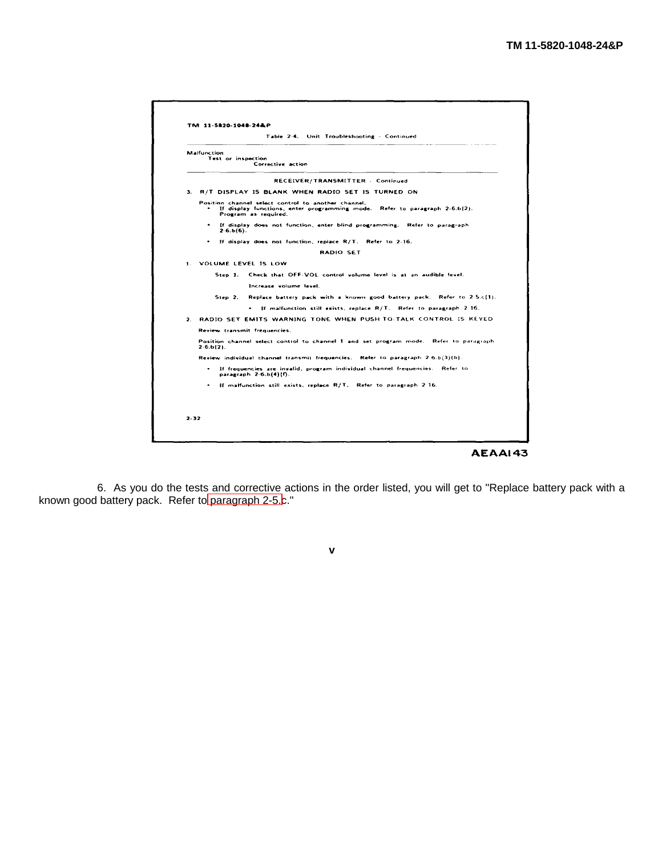

6. As you do the tests and corrective actions in the order listed, you will get to "Replace battery pack with a known good battery pack. Refer to [paragraph 2-5.c](#page-16-0)."

**v**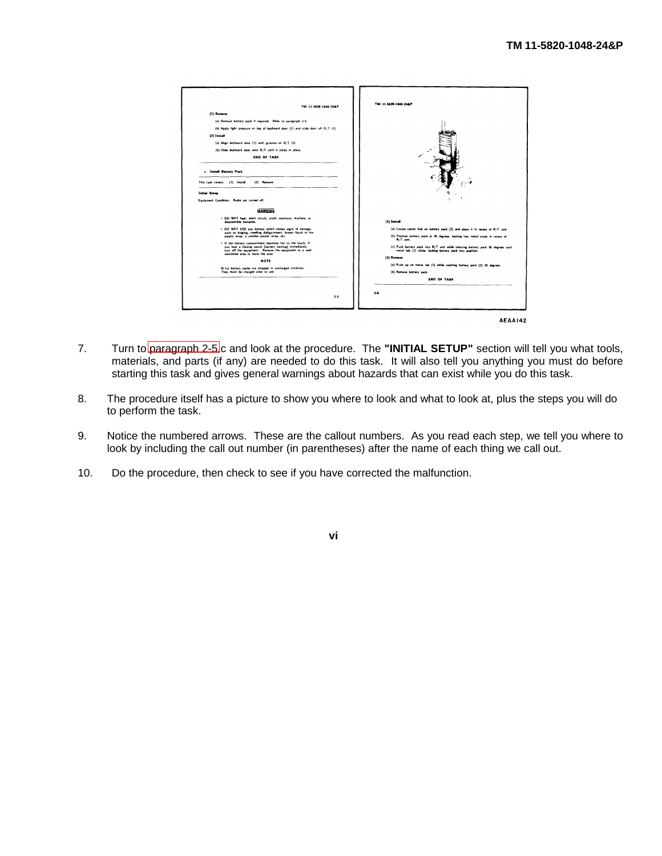

- 7. Turn to [paragraph 2-5.](#page-16-0)c and look at the procedure. The **"INITIAL SETUP"** section will tell you what tools, materials, and parts (if any) are needed to do this task. It will also tell you anything you must do before starting this task and gives general warnings about hazards that can exist while you do this task.
- 8. The procedure itself has a picture to show you where to look and what to look at, plus the steps you will do to perform the task.
- 9. Notice the numbered arrows. These are the callout numbers. As you read each step, we tell you where to look by including the call out number (in parentheses) after the name of each thing we call out.
- 10. Do the procedure, then check to see if you have corrected the malfunction.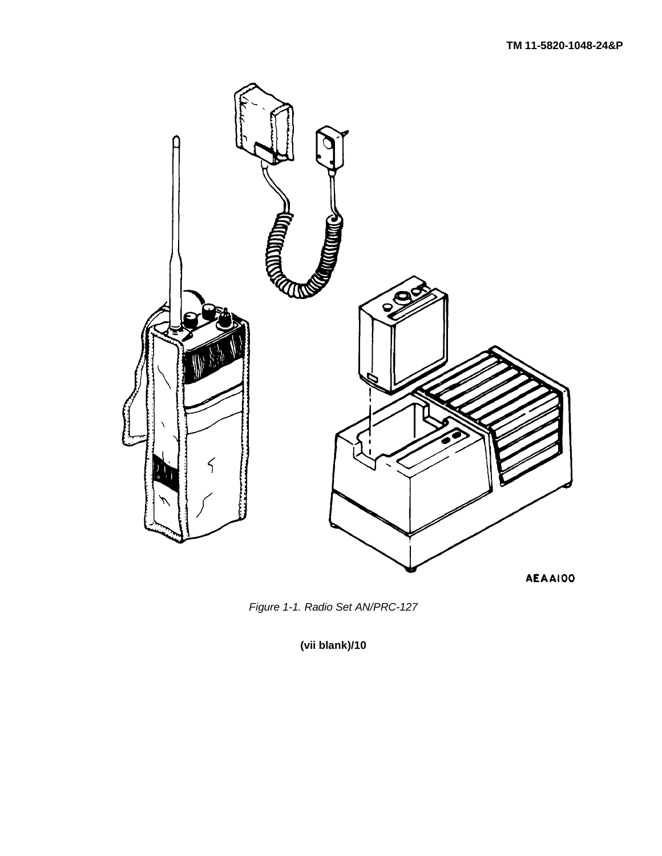



**(vii blank)/10**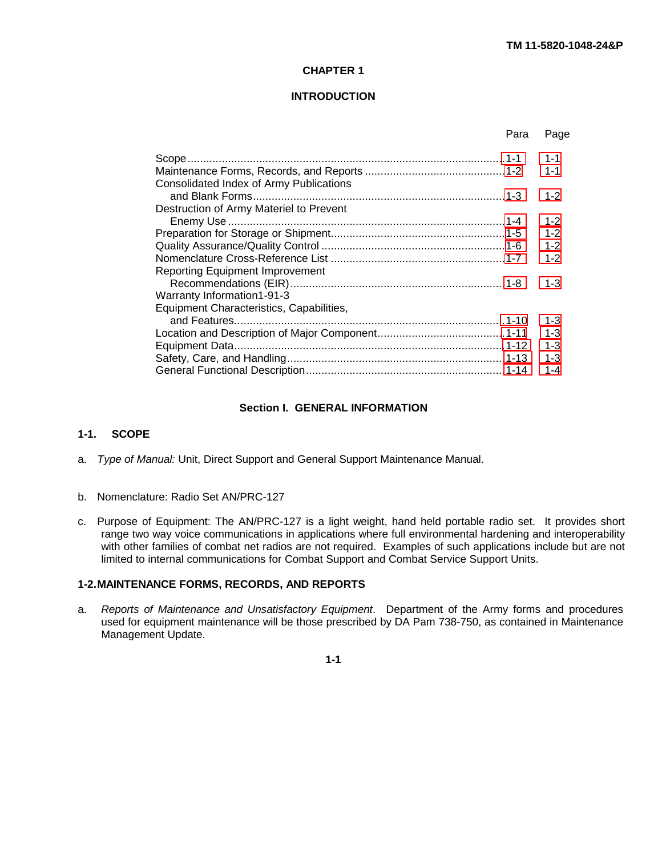# **CHAPTER 1**

# **INTRODUCTION**

<span id="page-10-0"></span>

|                                          | Para | Page    |
|------------------------------------------|------|---------|
|                                          |      | $1 - 1$ |
|                                          |      | $1 - 1$ |
| Consolidated Index of Army Publications  |      |         |
|                                          |      | $1 - 2$ |
| Destruction of Army Materiel to Prevent  |      |         |
|                                          |      | $1 - 2$ |
|                                          |      | $1 - 2$ |
|                                          |      | $1 - 2$ |
|                                          |      | $1 - 2$ |
| <b>Reporting Equipment Improvement</b>   |      |         |
|                                          |      | $1 - 3$ |
| Warranty Information1-91-3               |      |         |
| Equipment Characteristics, Capabilities, |      |         |
|                                          |      | $1 - 3$ |
|                                          |      | $1 - 3$ |
|                                          |      | $1 - 3$ |
|                                          |      | $1 - 3$ |
|                                          |      | $1 - 4$ |
|                                          |      |         |

#### **Section I. GENERAL INFORMATION**

# **1-1. SCOPE**

- a. *Type of Manual:* Unit, Direct Support and General Support Maintenance Manual.
- b. Nomenclature: Radio Set AN/PRC-127
- c. Purpose of Equipment: The AN/PRC-127 is a light weight, hand held portable radio set. It provides short range two way voice communications in applications where full environmental hardening and interoperability with other families of combat net radios are not required. Examples of such applications include but are not limited to internal communications for Combat Support and Combat Service Support Units.

# **1-2.MAINTENANCE FORMS, RECORDS, AND REPORTS**

a. *Reports of Maintenance and Unsatisfactory Equipment*. Department of the Army forms and procedures used for equipment maintenance will be those prescribed by DA Pam 738-750, as contained in Maintenance Management Update.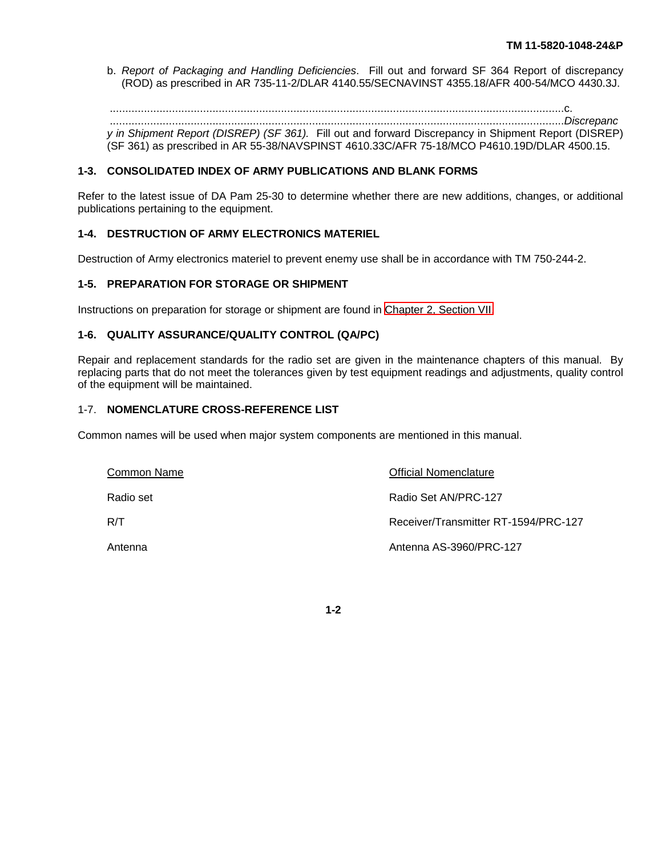<span id="page-11-0"></span>b. *Report of Packaging and Handling Deficiencies*. Fill out and forward SF 364 Report of discrepancy (ROD) as prescribed in AR 735-11-2/DLAR 4140.55/SECNAVINST 4355.18/AFR 400-54/MCO 4430.3J.

..................................................................................................................................................c. ..................................................................................................................................................*Discrepanc*

*y in Shipment Report (DISREP) (SF 361).* Fill out and forward Discrepancy in Shipment Report (DISREP) (SF 361) as prescribed in AR 55-38/NAVSPINST 4610.33C/AFR 75-18/MCO P4610.19D/DLAR 4500.15.

# **1-3. CONSOLIDATED INDEX OF ARMY PUBLICATIONS AND BLANK FORMS**

Refer to the latest issue of DA Pam 25-30 to determine whether there are new additions, changes, or additional publications pertaining to the equipment.

# **1-4. DESTRUCTION OF ARMY ELECTRONICS MATERIEL**

Destruction of Army electronics materiel to prevent enemy use shall be in accordance with TM 750-244-2.

# **1-5. PREPARATION FOR STORAGE OR SHIPMENT**

Instructions on preparation for storage or shipment are found in [Chapter 2, Section VII.](#page-58-0)

# **1-6. QUALITY ASSURANCE/QUALITY CONTROL (QA/PC)**

Repair and replacement standards for the radio set are given in the maintenance chapters of this manual. By replacing parts that do not meet the tolerances given by test equipment readings and adjustments, quality control of the equipment will be maintained.

# 1-7. **NOMENCLATURE CROSS-REFERENCE LIST**

Common names will be used when major system components are mentioned in this manual.

| Common Name | <b>Official Nomenclature</b>         |
|-------------|--------------------------------------|
| Radio set   | Radio Set AN/PRC-127                 |
| R/T         | Receiver/Transmitter RT-1594/PRC-127 |
| Antenna     | Antenna AS-3960/PRC-127              |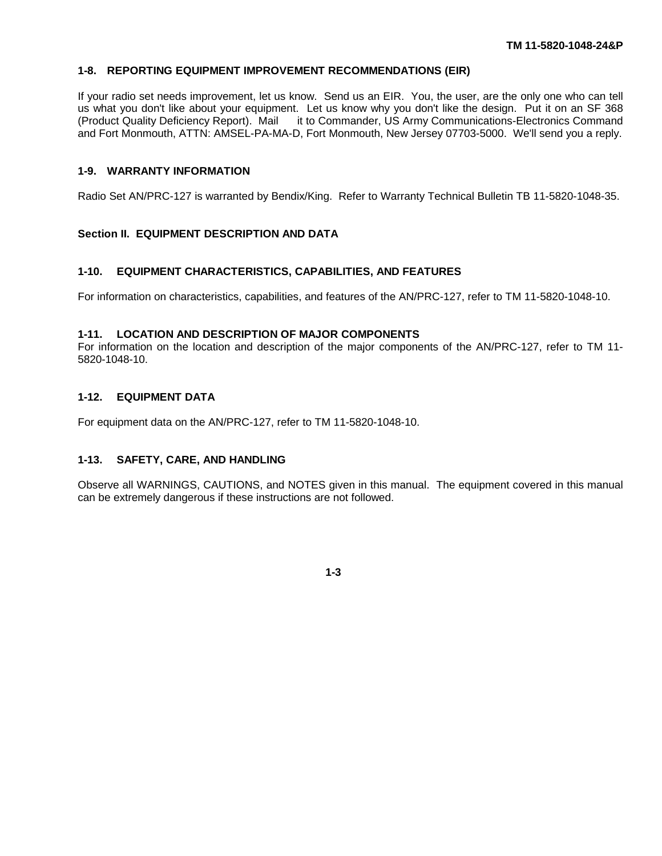# <span id="page-12-0"></span>**1-8. REPORTING EQUIPMENT IMPROVEMENT RECOMMENDATIONS (EIR)**

If your radio set needs improvement, let us know. Send us an EIR. You, the user, are the only one who can tell us what you don't like about your equipment. Let us know why you don't like the design. Put it on an SF 368 (Product Quality Deficiency Report). Mail it to Commander, US Army Communications-Electronics Command and Fort Monmouth, ATTN: AMSEL-PA-MA-D, Fort Monmouth, New Jersey 07703-5000. We'll send you a reply.

# **1-9. WARRANTY INFORMATION**

Radio Set AN/PRC-127 is warranted by Bendix/King. Refer to Warranty Technical Bulletin TB 11-5820-1048-35.

# **Section II. EQUIPMENT DESCRIPTION AND DATA**

#### **1-10. EQUIPMENT CHARACTERISTICS, CAPABILITIES, AND FEATURES**

For information on characteristics, capabilities, and features of the AN/PRC-127, refer to TM 11-5820-1048-10.

#### **1-11. LOCATION AND DESCRIPTION OF MAJOR COMPONENTS**

For information on the location and description of the major components of the AN/PRC-127, refer to TM 11- 5820-1048-10.

# **1-12. EQUIPMENT DATA**

For equipment data on the AN/PRC-127, refer to TM 11-5820-1048-10.

# **1-13. SAFETY, CARE, AND HANDLING**

Observe all WARNINGS, CAUTIONS, and NOTES given in this manual. The equipment covered in this manual can be extremely dangerous if these instructions are not followed.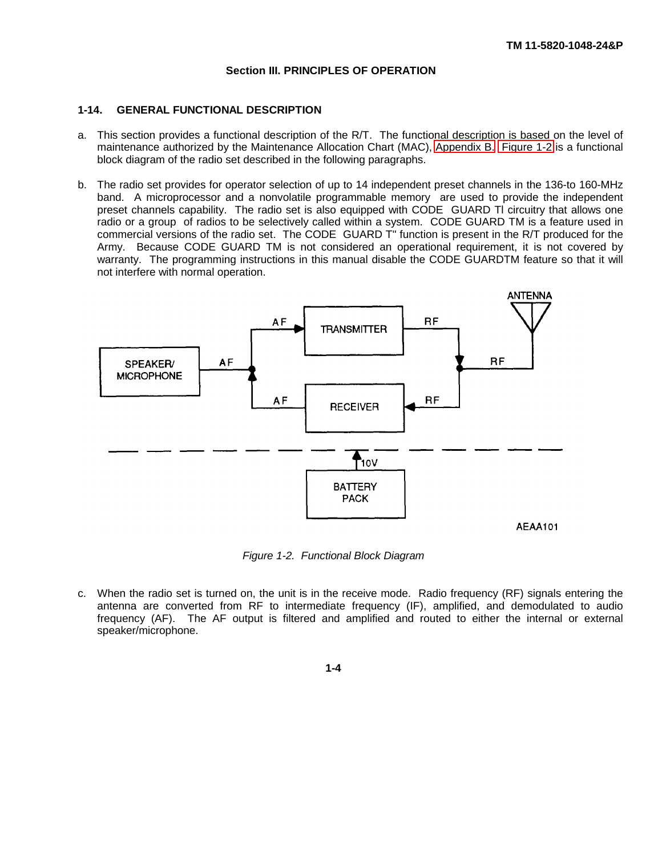# **Section III. PRINCIPLES OF OPERATION**

# <span id="page-13-0"></span>**1-14. GENERAL FUNCTIONAL DESCRIPTION**

- a. This section provides a functional description of the R/T. The functional description is based on the level of maintenance authorized by the Maintenance Allocation Chart (MAC), [Appendix B.](#page-88-0) [Figure 1-2](#page-13-0) is a functional block diagram of the radio set described in the following paragraphs.
- b. The radio set provides for operator selection of up to 14 independent preset channels in the 136-to 160-MHz band. A microprocessor and a nonvolatile programmable memory are used to provide the independent preset channels capability. The radio set is also equipped with CODE GUARD Tl circuitry that allows one radio or a group of radios to be selectively called within a system. CODE GUARD TM is a feature used in commercial versions of the radio set. The CODE GUARD T" function is present in the R/T produced for the Army. Because CODE GUARD TM is not considered an operational requirement, it is not covered by warranty. The programming instructions in this manual disable the CODE GUARDTM feature so that it will not interfere with normal operation.



*Figure 1-2. Functional Block Diagram*

c. When the radio set is turned on, the unit is in the receive mode. Radio frequency (RF) signals entering the antenna are converted from RF to intermediate frequency (IF), amplified, and demodulated to audio frequency (AF). The AF output is filtered and amplified and routed to either the internal or external speaker/microphone.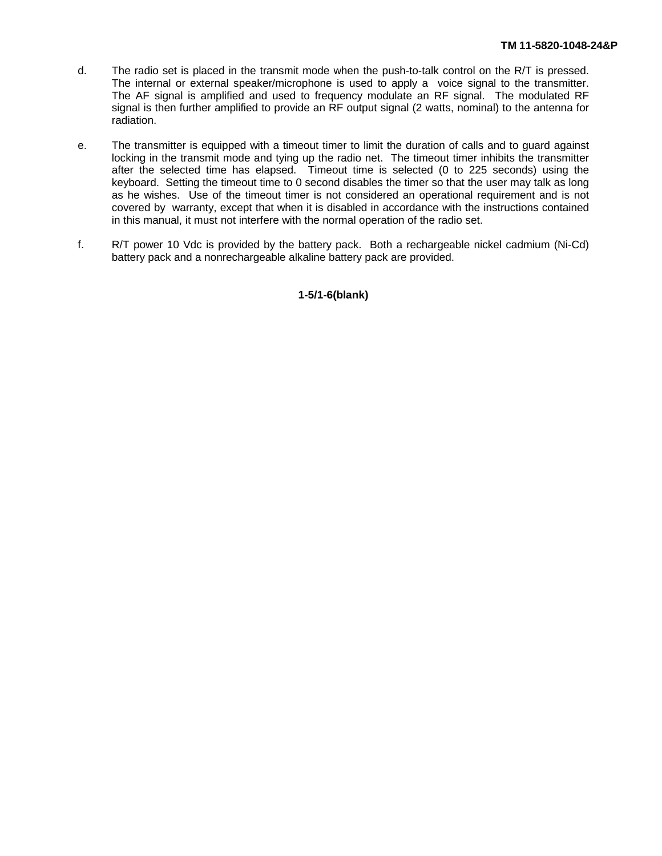- d. The radio set is placed in the transmit mode when the push-to-talk control on the R/T is pressed. The internal or external speaker/microphone is used to apply a voice signal to the transmitter. The AF signal is amplified and used to frequency modulate an RF signal. The modulated RF signal is then further amplified to provide an RF output signal (2 watts, nominal) to the antenna for radiation.
- e. The transmitter is equipped with a timeout timer to limit the duration of calls and to guard against locking in the transmit mode and tying up the radio net. The timeout timer inhibits the transmitter after the selected time has elapsed. Timeout time is selected (0 to 225 seconds) using the keyboard. Setting the timeout time to 0 second disables the timer so that the user may talk as long as he wishes. Use of the timeout timer is not considered an operational requirement and is not covered by warranty, except that when it is disabled in accordance with the instructions contained in this manual, it must not interfere with the normal operation of the radio set.
- f. R/T power 10 Vdc is provided by the battery pack. Both a rechargeable nickel cadmium (Ni-Cd) battery pack and a nonrechargeable alkaline battery pack are provided.

**1-5/1-6(blank)**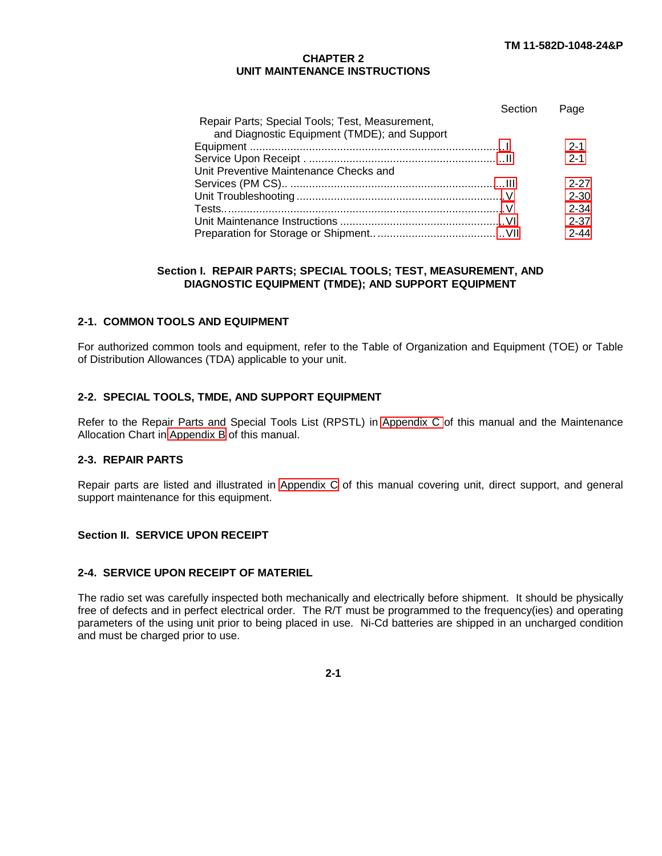# **CHAPTER 2 UNIT MAINTENANCE INSTRUCTIONS**

<span id="page-15-0"></span>

|                                                 | Section | Page     |
|-------------------------------------------------|---------|----------|
| Repair Parts; Special Tools; Test, Measurement, |         |          |
| and Diagnostic Equipment (TMDE); and Support    |         |          |
|                                                 |         | $2 - 1$  |
|                                                 |         | $2 - 1$  |
| Unit Preventive Maintenance Checks and          |         |          |
|                                                 |         | $2 - 27$ |
|                                                 |         | $2 - 30$ |
|                                                 |         | $2 - 34$ |
|                                                 |         | $2 - 37$ |
|                                                 |         | $2 - 44$ |

# **Section I. REPAIR PARTS; SPECIAL TOOLS; TEST, MEASUREMENT, AND DIAGNOSTIC EQUIPMENT (TMDE); AND SUPPORT EQUIPMENT**

# **2-1. COMMON TOOLS AND EQUIPMENT**

For authorized common tools and equipment, refer to the Table of Organization and Equipment (TOE) or Table of Distribution Allowances (TDA) applicable to your unit.

# **2-2. SPECIAL TOOLS, TMDE, AND SUPPORT EQUIPMENT**

Refer to the Repair Parts and Special Tools List (RPSTL) in [Appendix C](#page-94-0) of this manual and the Maintenance Allocation Chart in [Appendix B](#page-88-0) of this manual.

# **2-3. REPAIR PARTS**

Repair parts are listed and illustrated in [Appendix C](#page-94-0) of this manual covering unit, direct support, and general support maintenance for this equipment.

# **Section II. SERVICE UPON RECEIPT**

# **2-4. SERVICE UPON RECEIPT OF MATERIEL**

The radio set was carefully inspected both mechanically and electrically before shipment. It should be physically free of defects and in perfect electrical order. The R/T must be programmed to the frequency(ies) and operating parameters of the using unit prior to being placed in use. Ni-Cd batteries are shipped in an uncharged condition and must be charged prior to use.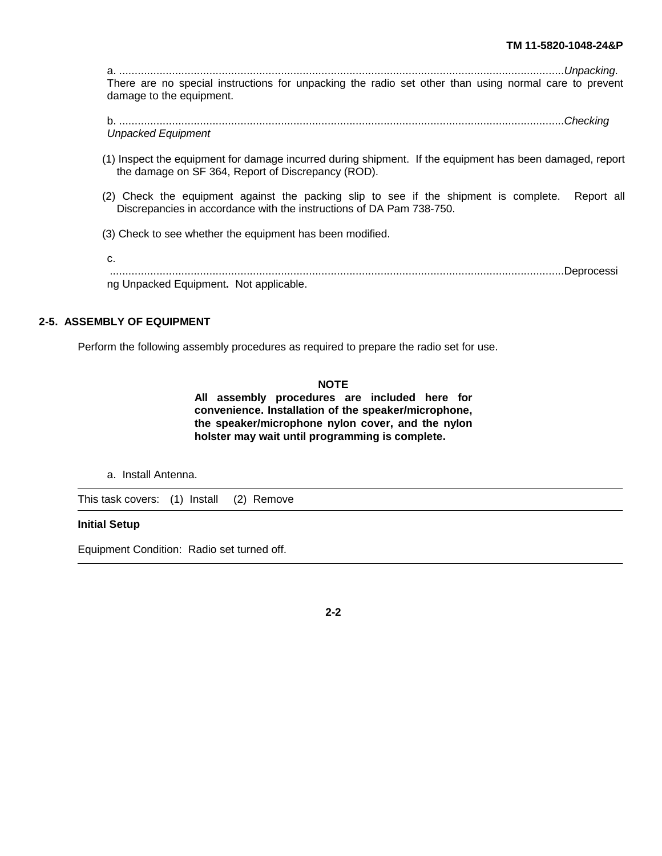<span id="page-16-0"></span>a. ...............................................................................................................................................*Unpacking*. There are no special instructions for unpacking the radio set other than using normal care to prevent damage to the equipment.

b. ...............................................................................................................................................*Checking Unpacked Equipment*

- (1) Inspect the equipment for damage incurred during shipment. If the equipment has been damaged, report the damage on SF 364, Report of Discrepancy (ROD).
- (2) Check the equipment against the packing slip to see if the shipment is complete. Report all Discrepancies in accordance with the instructions of DA Pam 738-750.
- (3) Check to see whether the equipment has been modified.

| ng Unpacked Equipment. Not applicable. |  |
|----------------------------------------|--|

# **2-5. ASSEMBLY OF EQUIPMENT**

Perform the following assembly procedures as required to prepare the radio set for use.

#### **NOTE**

**All assembly procedures are included here for convenience. Installation of the speaker/microphone, the speaker/microphone nylon cover, and the nylon holster may wait until programming is complete.**

a. Install Antenna.

This task covers: (1) Install (2) Remove

#### **Initial Setup**

Equipment Condition: Radio set turned off.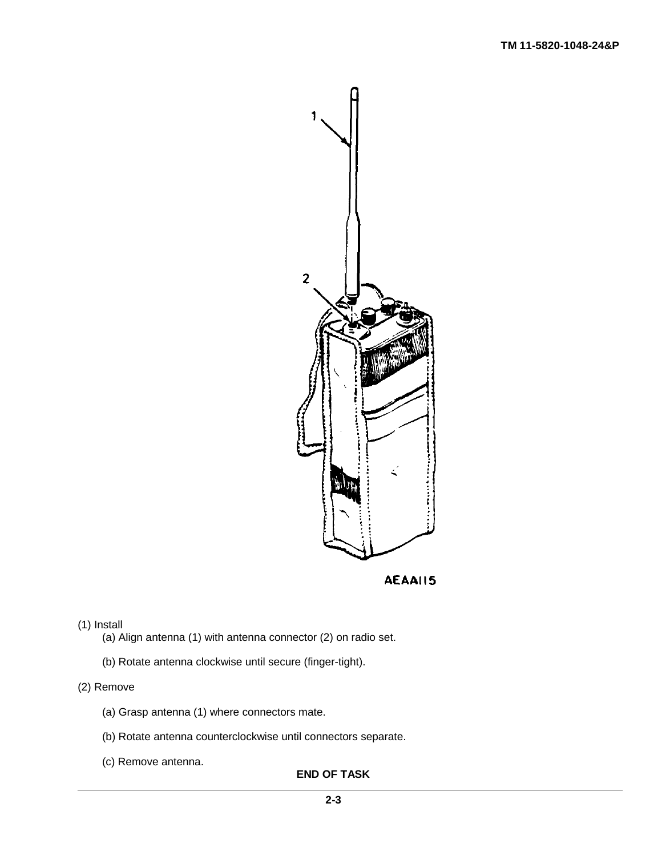

**AEAAII5** 

# (1) Install

- (a) Align antenna (1) with antenna connector (2) on radio set.
- (b) Rotate antenna clockwise until secure (finger-tight).

# (2) Remove

- (a) Grasp antenna (1) where connectors mate.
- (b) Rotate antenna counterclockwise until connectors separate.
- (c) Remove antenna.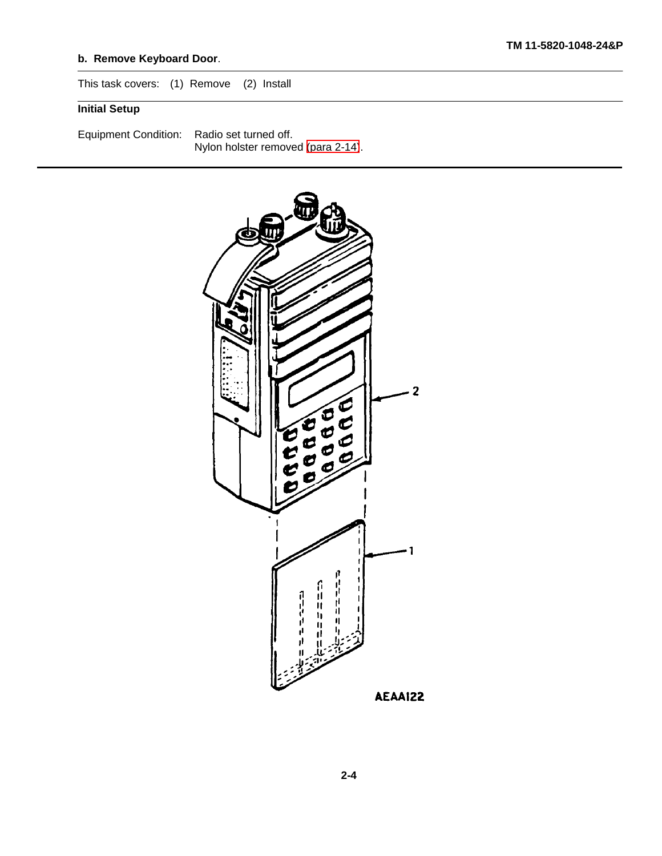# **b. Remove Keyboard Door**.

This task covers: (1) Remove (2) Install

# **Initial Setup**

Equipment Condition: Radio set turned off. Nylon holster removed [\(para 2-14\)](#page-51-1).

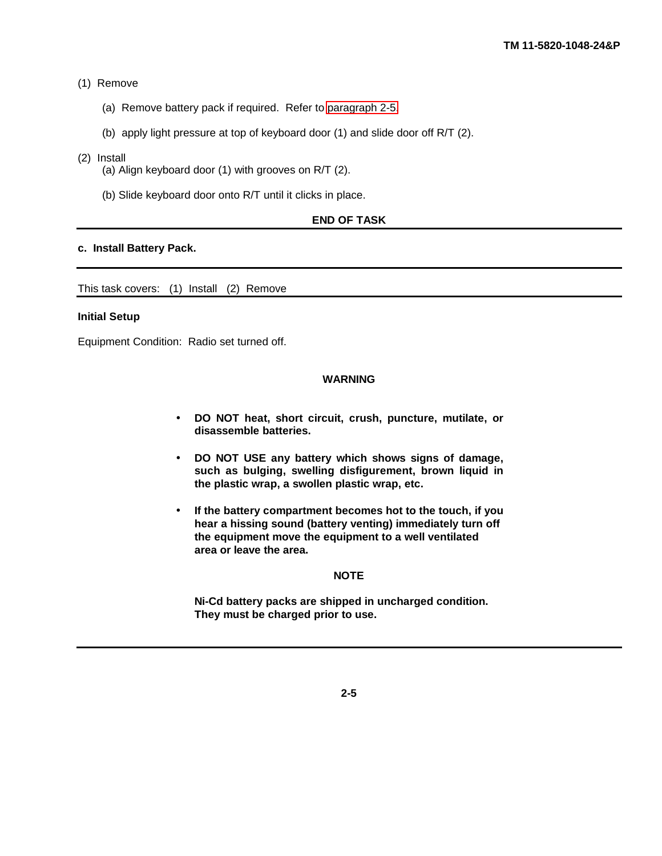#### (1) Remove

- (a) Remove battery pack if required. Refer to [paragraph 2-5.](#page-16-0)
- (b) apply light pressure at top of keyboard door (1) and slide door off R/T (2).

#### (2) Install

- (a) Align keyboard door (1) with grooves on R/T (2).
- (b) Slide keyboard door onto R/T until it clicks in place.

# **END OF TASK**

#### **c. Install Battery Pack.**

This task covers: (1) Install (2) Remove

#### **Initial Setup**

Equipment Condition: Radio set turned off.

#### **WARNING**

- **DO NOT heat, short circuit, crush, puncture, mutilate, or disassemble batteries.**
- **DO NOT USE any battery which shows signs of damage, such as bulging, swelling disfigurement, brown liquid in the plastic wrap, a swollen plastic wrap, etc.**
- **If the battery compartment becomes hot to the touch, if you hear a hissing sound (battery venting) immediately turn off the equipment move the equipment to a well ventilated area or leave the area.**

# **NOTE**

**Ni-Cd battery packs are shipped in uncharged condition. They must be charged prior to use.**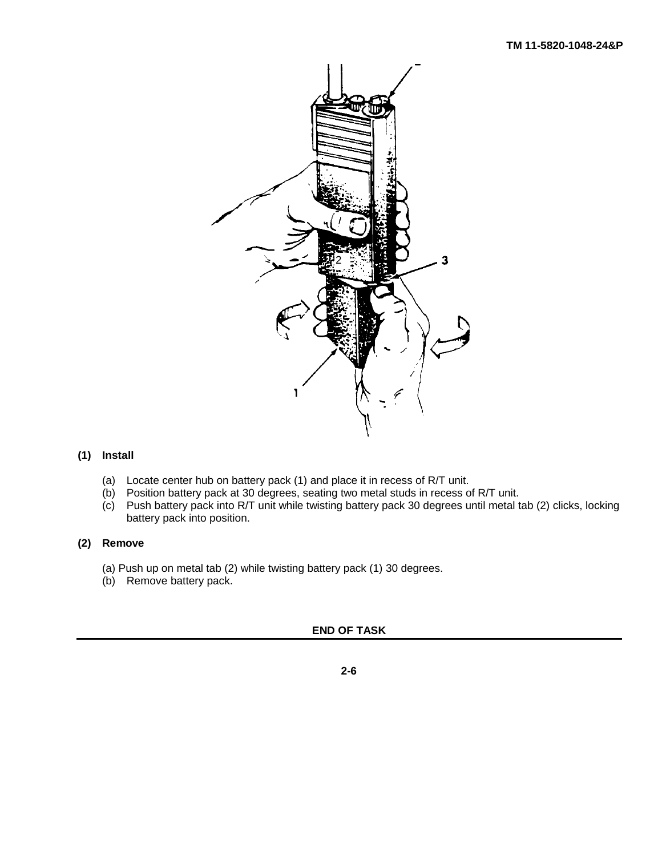

# **(1) Install**

- (a) Locate center hub on battery pack (1) and place it in recess of R/T unit.
- (b) Position battery pack at 30 degrees, seating two metal studs in recess of R/T unit.
- (c) Push battery pack into R/T unit while twisting battery pack 30 degrees until metal tab (2) clicks, locking battery pack into position.

# **(2) Remove**

- (a) Push up on metal tab (2) while twisting battery pack (1) 30 degrees.
- (b) Remove battery pack.

# **END OF TASK**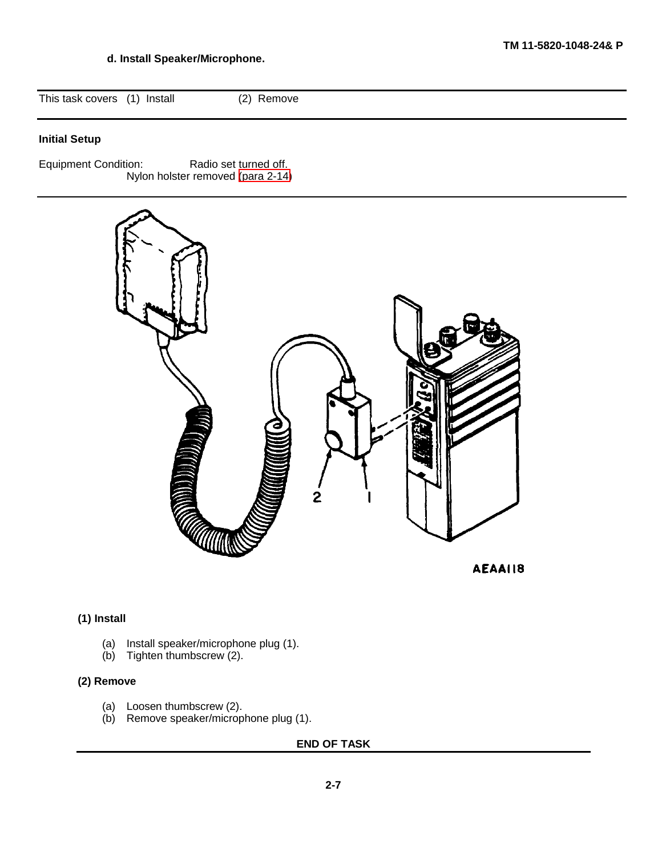# **d. Install Speaker/Microphone.**

This task covers (1) Install (2) Remove

# **Initial Setup**

Equipment Condition: Radio set turned off. Nylon holster removed [\(para 2-14\)](#page-51-1)



AEAA118

# **(1) Install**

- (a) Install speaker/microphone plug (1).
- (b) Tighten thumbscrew (2).

# **(2) Remove**

- (a) Loosen thumbscrew (2).
- (b) Remove speaker/microphone plug (1).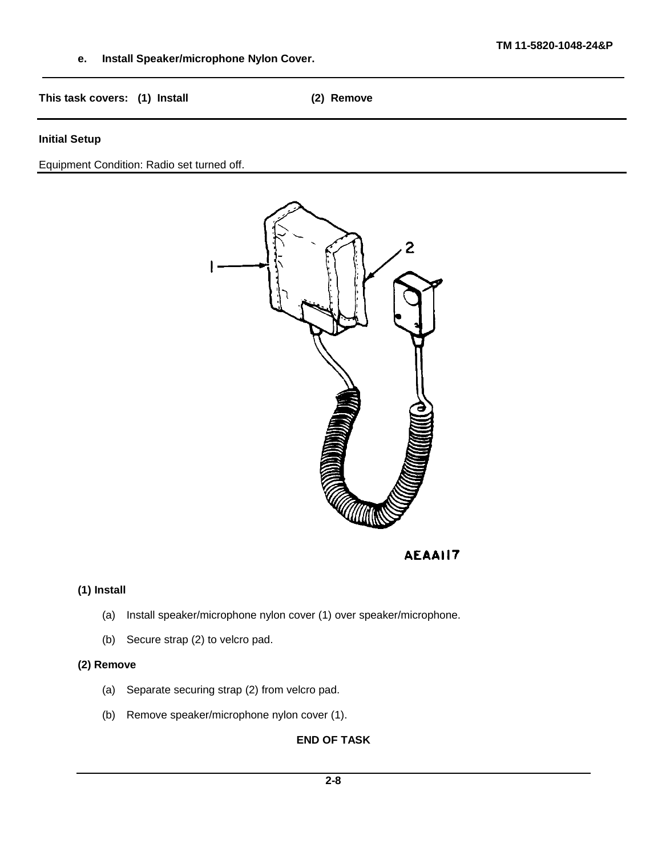**e. Install Speaker/microphone Nylon Cover.**

**This task covers: (1) Install (2) Remove**

# **Initial Setup**

Equipment Condition: Radio set turned off.



**AEAAII7** 

# **(1) Install**

- (a) Install speaker/microphone nylon cover (1) over speaker/microphone.
- (b) Secure strap (2) to velcro pad.

# **(2) Remove**

- (a) Separate securing strap (2) from velcro pad.
- (b) Remove speaker/microphone nylon cover (1).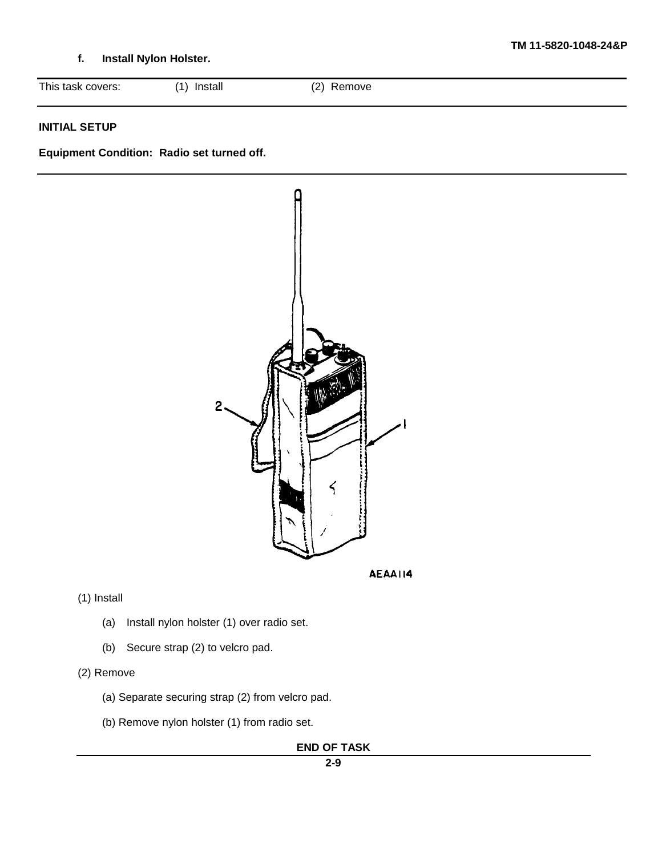# **f. Install Nylon Holster.**

| This task covers:<br>(2)<br>Install<br>(A)<br>◟ | Remove |
|-------------------------------------------------|--------|
|-------------------------------------------------|--------|

# **INITIAL SETUP**

**Equipment Condition: Radio set turned off.**



(1) Install

- (a) Install nylon holster (1) over radio set.
- (b) Secure strap (2) to velcro pad.

# (2) Remove

- (a) Separate securing strap (2) from velcro pad.
- (b) Remove nylon holster (1) from radio set.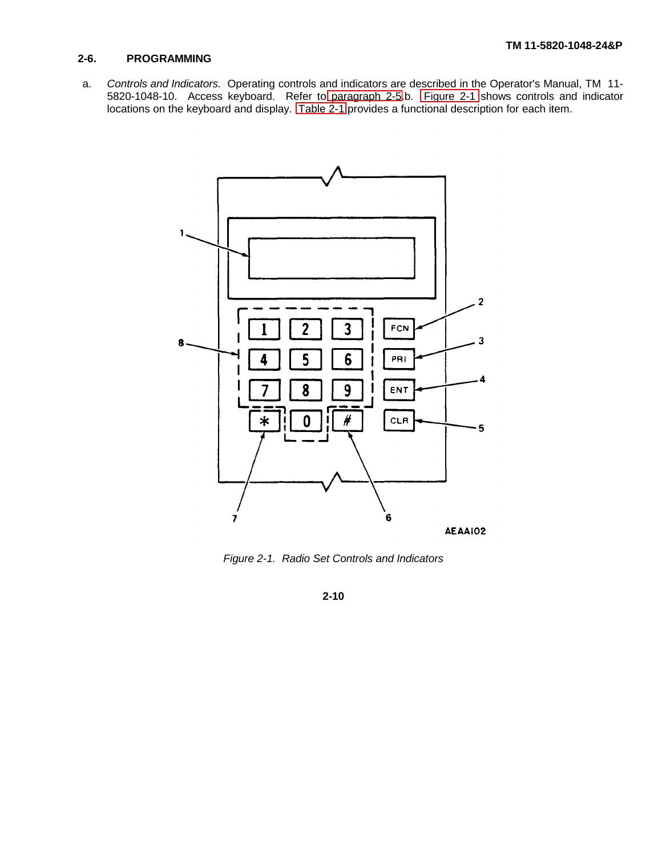# <span id="page-24-0"></span>**2-6. PROGRAMMING**

a. *Controls and Indicators.* Operating controls and indicators are described in the Operator's Manual, TM 11- 5820-1048-10. Access keyboard. Refer to [paragraph 2-5.](#page-16-0)b. [Figure 2-1](#page-24-0) shows controls and indicator locations on the keyboard and display. [Table 2-1](#page-25-0) provides a functional description for each item.



*Figure 2-1. Radio Set Controls and Indicators*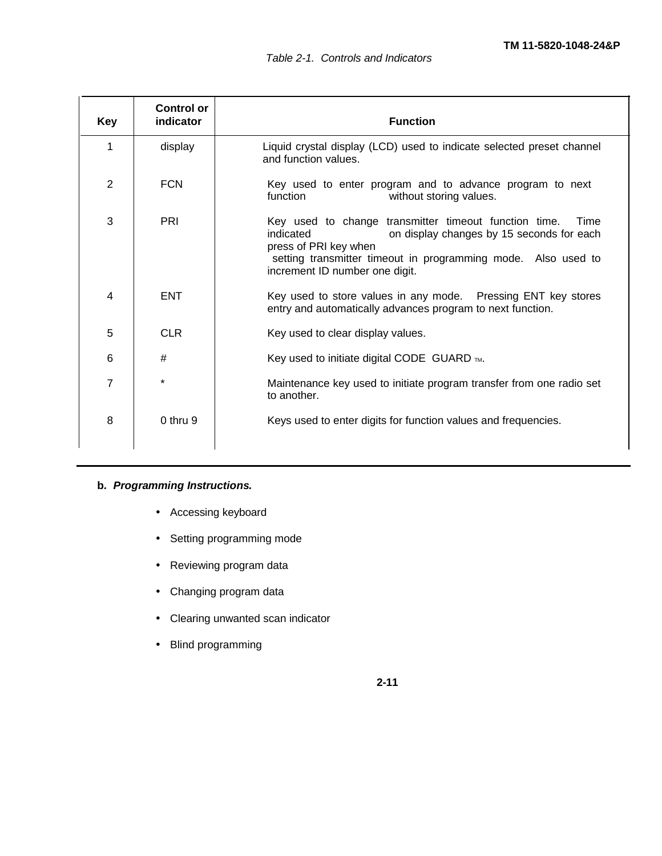<span id="page-25-0"></span>

| <b>Key</b>     | <b>Control or</b><br>indicator | <b>Function</b>                                                                                                                                                                                                                                     |
|----------------|--------------------------------|-----------------------------------------------------------------------------------------------------------------------------------------------------------------------------------------------------------------------------------------------------|
| 1              | display                        | Liquid crystal display (LCD) used to indicate selected preset channel<br>and function values.                                                                                                                                                       |
| $\overline{2}$ | <b>FCN</b>                     | Key used to enter program and to advance program to next<br>function<br>without storing values.                                                                                                                                                     |
| 3              | <b>PRI</b>                     | Key used to change transmitter timeout function time.<br>Time<br>indicated<br>on display changes by 15 seconds for each<br>press of PRI key when<br>setting transmitter timeout in programming mode. Also used to<br>increment ID number one digit. |
| 4              | <b>ENT</b>                     | Key used to store values in any mode. Pressing ENT key stores<br>entry and automatically advances program to next function.                                                                                                                         |
| 5              | <b>CLR</b>                     | Key used to clear display values.                                                                                                                                                                                                                   |
| 6              | #                              | Key used to initiate digital CODE GUARD ™.                                                                                                                                                                                                          |
| 7              | $\star$                        | Maintenance key used to initiate program transfer from one radio set<br>to another.                                                                                                                                                                 |
| 8              | $0$ thru $9$                   | Keys used to enter digits for function values and frequencies.                                                                                                                                                                                      |

# **b***. Programming Instructions.*

- Accessing keyboard
- Setting programming mode
- Reviewing program data
- Changing program data
- Clearing unwanted scan indicator
- Blind programming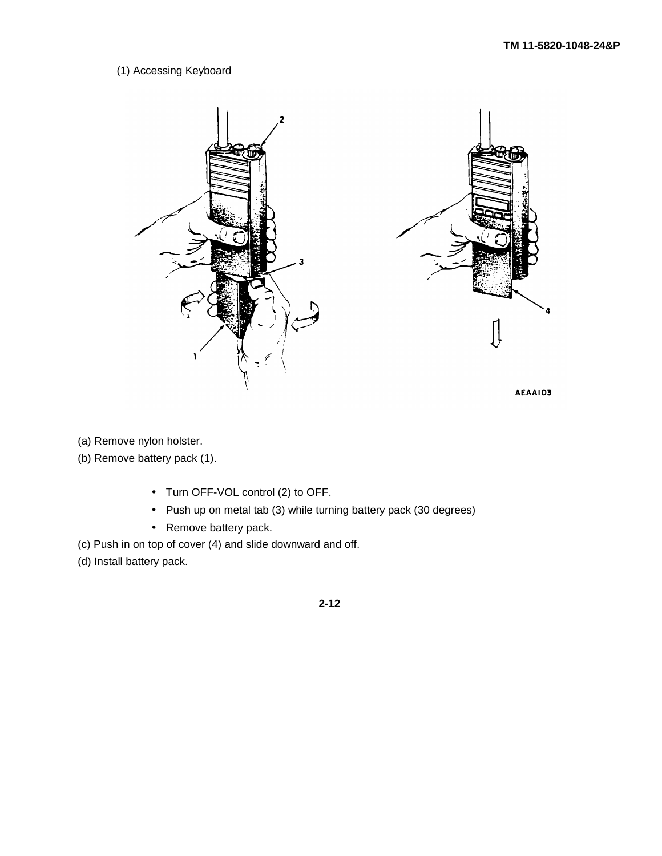# (1) Accessing Keyboard



(a) Remove nylon holster.

(b) Remove battery pack (1).

- Turn OFF-VOL control (2) to OFF.
- Push up on metal tab (3) while turning battery pack (30 degrees)
- Remove battery pack.
- (c) Push in on top of cover (4) and slide downward and off.
- (d) Install battery pack.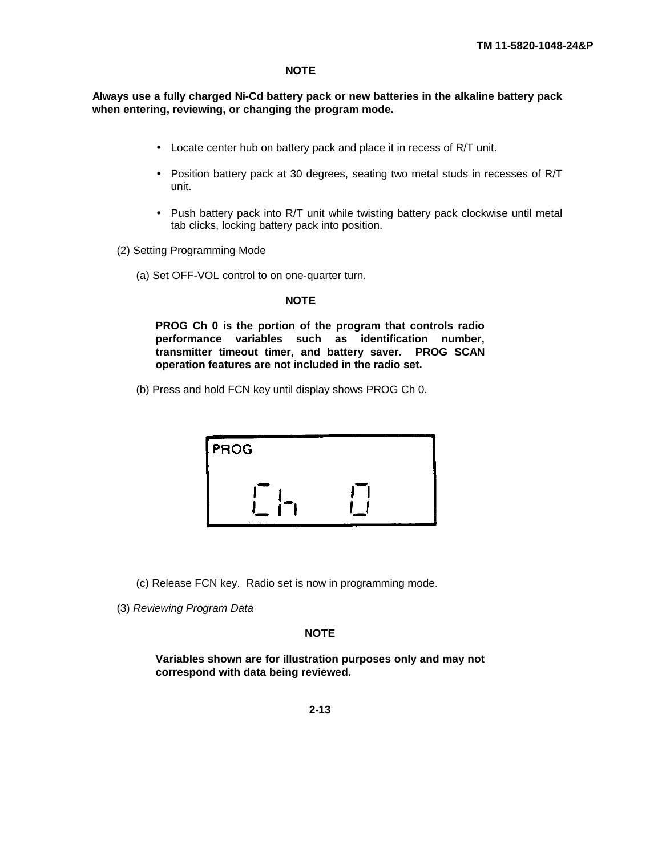# **NOTE**

**Always use a fully charged Ni-Cd battery pack or new batteries in the alkaline battery pack when entering, reviewing, or changing the program mode.**

- Locate center hub on battery pack and place it in recess of R/T unit.
- Position battery pack at 30 degrees, seating two metal studs in recesses of R/T unit.
- Push battery pack into R/T unit while twisting battery pack clockwise until metal tab clicks, locking battery pack into position.

(2) Setting Programming Mode

(a) Set OFF-VOL control to on one-quarter turn.

#### **NOTE**

**PROG Ch 0 is the portion of the program that controls radio performance variables such as identification number, transmitter timeout timer, and battery saver. PROG SCAN operation features are not included in the radio set.**

(b) Press and hold FCN key until display shows PROG Ch 0.

| <b>PROG</b> |  |
|-------------|--|
|             |  |

(c) Release FCN key. Radio set is now in programming mode.

(3) *Reviewing Program Data*

# **NOTE**

**Variables shown are for illustration purposes only and may not correspond with data being reviewed.**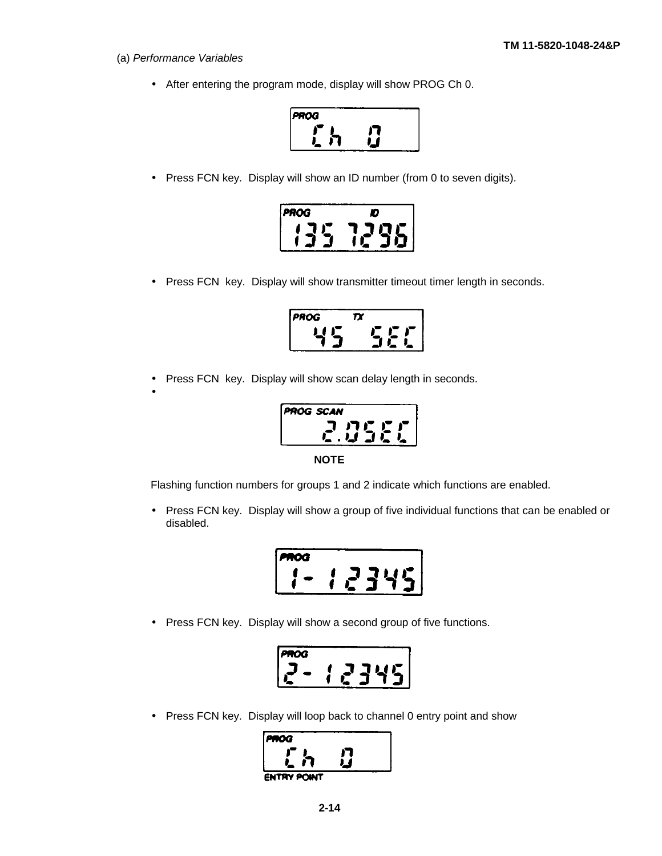- (a) *Performance Variables*
	- After entering the program mode, display will show PROG Ch 0.



• Press FCN key. Display will show an ID number (from 0 to seven digits).



• Press FCN key. Display will show transmitter timeout timer length in seconds.

| PROG | П |
|------|---|
|      |   |

• Press FCN key. Display will show scan delay length in seconds.

•



Flashing function numbers for groups 1 and 2 indicate which functions are enabled.

• Press FCN key. Display will show a group of five individual functions that can be enabled or disabled.

| oa<br>п. |  |     |  |
|----------|--|-----|--|
|          |  | . . |  |

• Press FCN key. Display will show a second group of five functions.

$$
2 - 12345
$$

• Press FCN key. Display will loop back to channel 0 entry point and show

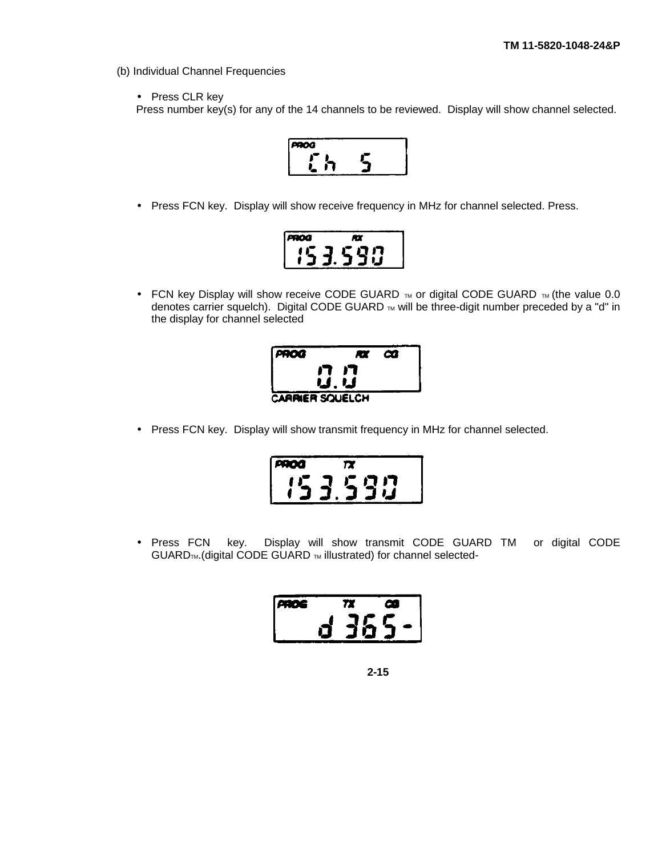(b) Individual Channel Frequencies

• Press CLR key

Press number key(s) for any of the 14 channels to be reviewed. Display will show channel selected.



• Press FCN key. Display will show receive frequency in MHz for channel selected. Press.

| - 3 |        |
|-----|--------|
|     | П<br>r |
|     |        |

• FCN key Display will show receive CODE GUARD  $\mathbb{R}$  or digital CODE GUARD  $\mathbb{R}$  (the value 0.0 denotes carrier squelch). Digital CODE GUARD TM will be three-digit number preceded by a "d" in the display for channel selected



• Press FCN key. Display will show transmit frequency in MHz for channel selected.

| <b>400</b> |                      |  |
|------------|----------------------|--|
|            | I7<br>$\mathbf{T}$ , |  |
|            |                      |  |

• Press FCN key. Display will show transmit CODE GUARD TM or digital CODE  $GUARD_{TM}$ . (digital CODE GUARD  $_{TM}$  illustrated) for channel selected-

| Æ | г<br>Ω |      |      |  |  |  |
|---|--------|------|------|--|--|--|
|   |        | - 91 | سيعد |  |  |  |
|   |        |      | ч.   |  |  |  |

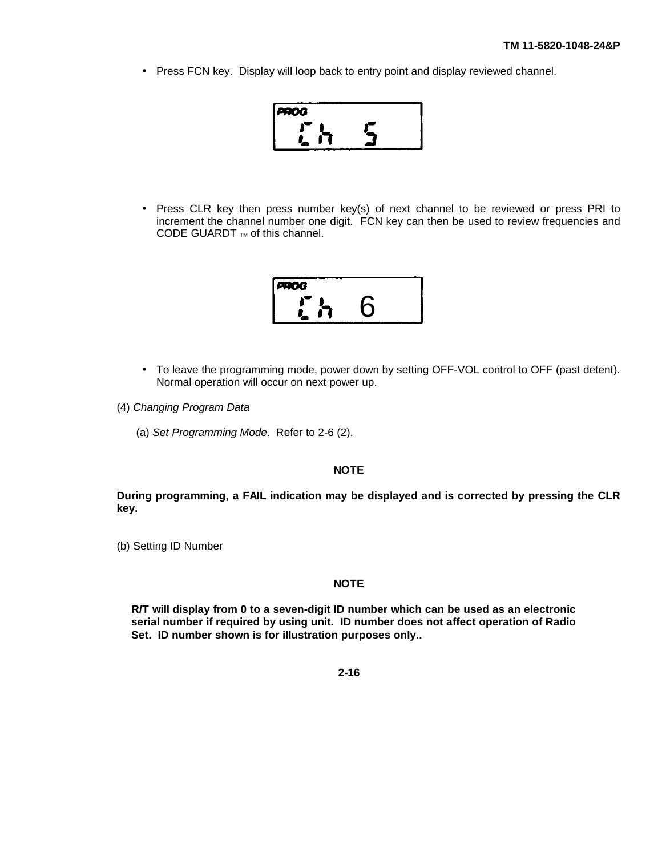• Press FCN key. Display will loop back to entry point and display reviewed channel.



• Press CLR key then press number key(s) of next channel to be reviewed or press PRI to increment the channel number one digit. FCN key can then be used to review frequencies and CODE GUARDT  $<sub>TM</sub>$  of this channel.</sub>

| PROG |  |
|------|--|
|      |  |
|      |  |

- To leave the programming mode, power down by setting OFF-VOL control to OFF (past detent). Normal operation will occur on next power up.
- (4) *Changing Program Data*
	- (a) *Set Programming Mode*. Refer to 2-6 (2).

# **NOTE**

**During programming, a FAIL indication may be displayed and is corrected by pressing the CLR key.**

(b) Setting ID Number

# **NOTE**

**R/T will display from 0 to a seven-digit ID number which can be used as an electronic serial number if required by using unit. ID number does not affect operation of Radio Set. ID number shown is for illustration purposes only..**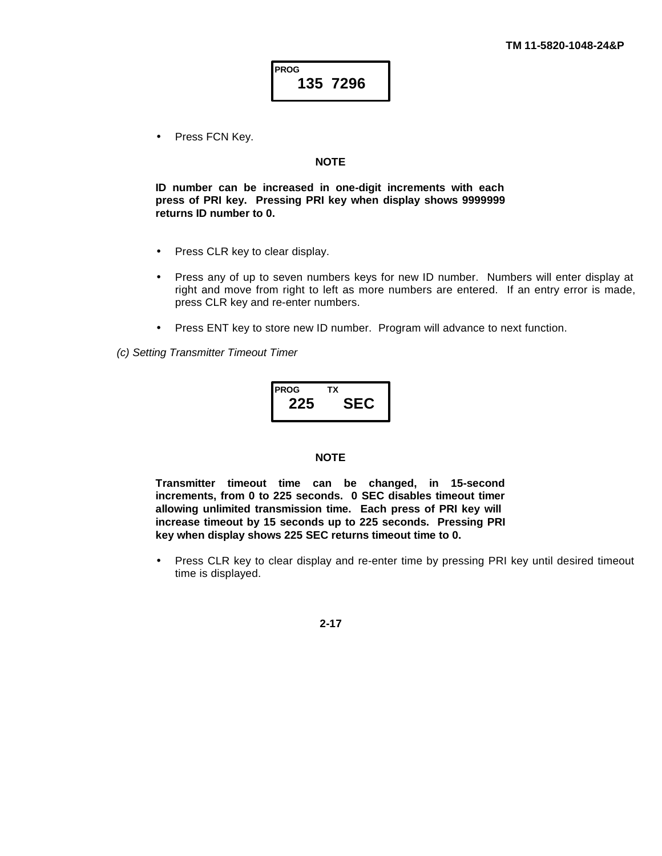Press FCN Key.

# **NOTE**

**ID number can be increased in one-digit increments with each press of PRI key. Pressing PRI key when display shows 9999999 returns ID number to 0.**

- Press CLR key to clear display.
- Press any of up to seven numbers keys for new ID number. Numbers will enter display at right and move from right to left as more numbers are entered. If an entry error is made, press CLR key and re-enter numbers.
- Press ENT key to store new ID number. Program will advance to next function.

*(c) Setting Transmitter Timeout Timer*

 **PROG TX 225 SEC**

#### **NOTE**

**Transmitter timeout time can be changed, in 15-second increments, from 0 to 225 seconds. 0 SEC disables timeout timer allowing unlimited transmission time. Each press of PRI key will increase timeout by 15 seconds up to 225 seconds. Pressing PRI key when display shows 225 SEC returns timeout time to 0.**

• Press CLR key to clear display and re-enter time by pressing PRI key until desired timeout time is displayed.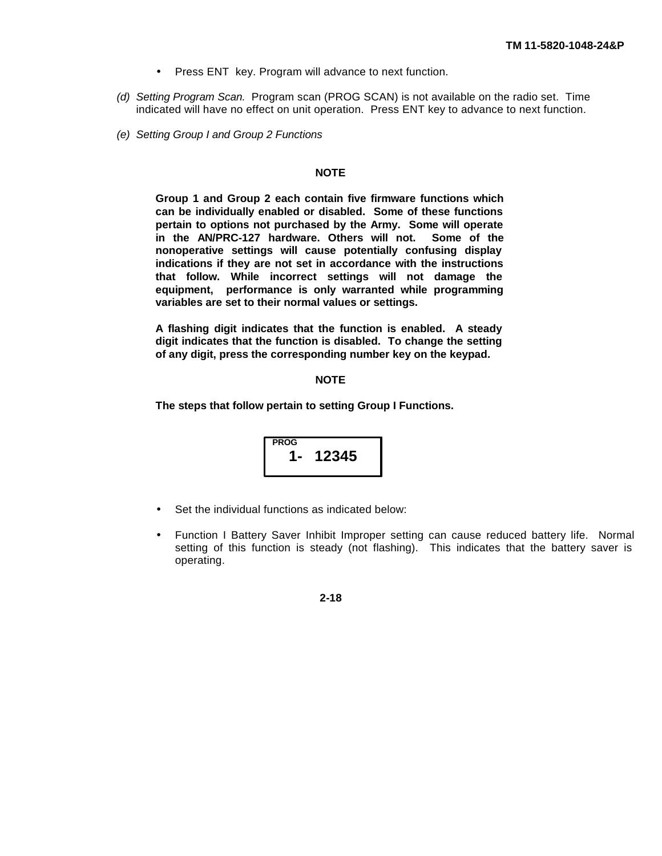- Press ENT key. Program will advance to next function.
- *(d) Setting Program Scan.* Program scan (PROG SCAN) is not available on the radio set. Time indicated will have no effect on unit operation. Press ENT key to advance to next function.
- *(e) Setting Group I and Group 2 Functions*

# **NOTE**

**Group 1 and Group 2 each contain five firmware functions which can be individually enabled or disabled. Some of these functions pertain to options not purchased by the Army. Some will operate in the AN/PRC-127 hardware. Others will not. Some of the nonoperative settings will cause potentially confusing display indications if they are not set in accordance with the instructions that follow. While incorrect settings will not damage the equipment, performance is only warranted while programming variables are set to their normal values or settings.**

**A flashing digit indicates that the function is enabled. A steady digit indicates that the function is disabled. To change the setting of any digit, press the corresponding number key on the keypad.**

#### **NOTE**

**The steps that follow pertain to setting Group I Functions.**

$$
\begin{array}{|c|}\n \hline\n \text{PROG} \\
\hline\n 1-12345\n \end{array}
$$

- Set the individual functions as indicated below:
- Function I Battery Saver Inhibit Improper setting can cause reduced battery life. Normal setting of this function is steady (not flashing). This indicates that the battery saver is operating.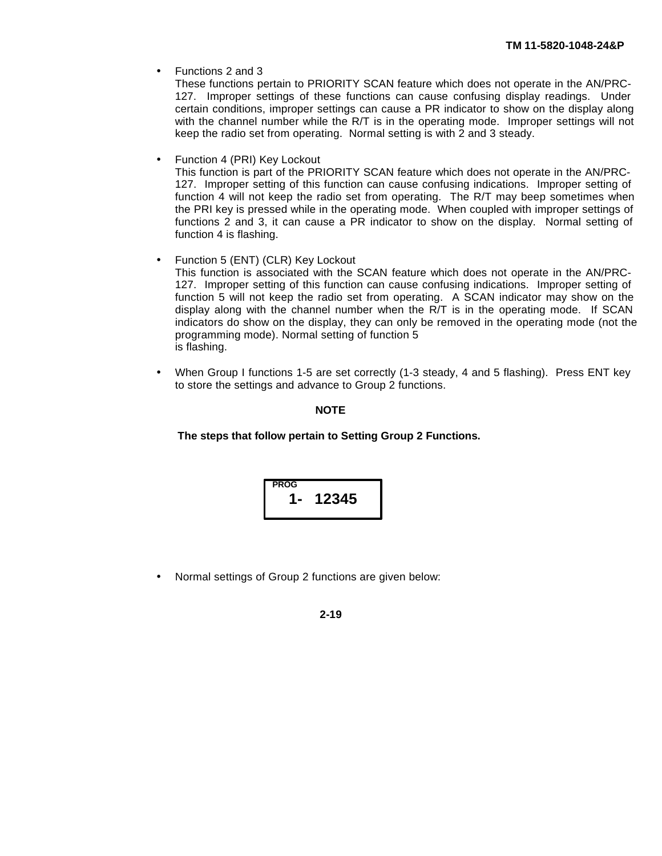• Functions 2 and 3

These functions pertain to PRIORITY SCAN feature which does not operate in the AN/PRC-127. Improper settings of these functions can cause confusing display readings. Under certain conditions, improper settings can cause a PR indicator to show on the display along with the channel number while the R/T is in the operating mode. Improper settings will not keep the radio set from operating. Normal setting is with 2 and 3 steady.

Function 4 (PRI) Key Lockout

This function is part of the PRIORITY SCAN feature which does not operate in the AN/PRC-127. Improper setting of this function can cause confusing indications. Improper setting of function 4 will not keep the radio set from operating. The R/T may beep sometimes when the PRI key is pressed while in the operating mode. When coupled with improper settings of functions 2 and 3, it can cause a PR indicator to show on the display. Normal setting of function 4 is flashing.

• Function 5 (ENT) (CLR) Key Lockout

This function is associated with the SCAN feature which does not operate in the AN/PRC-127. Improper setting of this function can cause confusing indications. Improper setting of function 5 will not keep the radio set from operating. A SCAN indicator may show on the display along with the channel number when the R/T is in the operating mode. If SCAN indicators do show on the display, they can only be removed in the operating mode (not the programming mode). Normal setting of function 5 is flashing.

• When Group I functions 1-5 are set correctly (1-3 steady, 4 and 5 flashing). Press ENT key to store the settings and advance to Group 2 functions.

# **NOTE**

**The steps that follow pertain to Setting Group 2 Functions.**



• Normal settings of Group 2 functions are given below: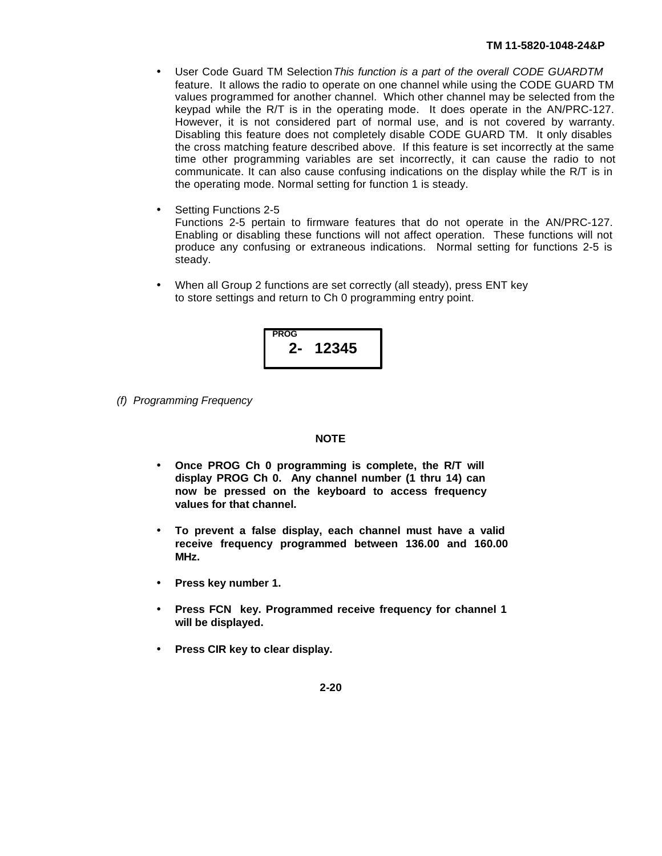- User Code Guard TM Selection *This function is a part of the overall CODE GUARDTM* feature. It allows the radio to operate on one channel while using the CODE GUARD TM values programmed for another channel. Which other channel may be selected from the keypad while the R/T is in the operating mode. It does operate in the AN/PRC-127. However, it is not considered part of normal use, and is not covered by warranty. Disabling this feature does not completely disable CODE GUARD TM. It only disables the cross matching feature described above. If this feature is set incorrectly at the same time other programming variables are set incorrectly, it can cause the radio to not communicate. It can also cause confusing indications on the display while the R/T is in the operating mode. Normal setting for function 1 is steady.
- Setting Functions 2-5 Functions 2-5 pertain to firmware features that do not operate in the AN/PRC-127. Enabling or disabling these functions will not affect operation. These functions will not produce any confusing or extraneous indications. Normal setting for functions 2-5 is steady.
- When all Group 2 functions are set correctly (all steady), press ENT key to store settings and return to Ch 0 programming entry point.



*(f) Programming Frequency*

# **NOTE**

- **· Once PROG Ch 0 programming is complete, the R/T will display PROG Ch 0. Any channel number (1 thru 14) can now be pressed on the keyboard to access frequency values for that channel.**
- **· To prevent a false display, each channel must have a valid receive frequency programmed between 136.00 and 160.00 MHz.**
- **· Press key number 1.**
- **· Press FCN key. Programmed receive frequency for channel 1 will be displayed.**
- **· Press CIR key to clear display.**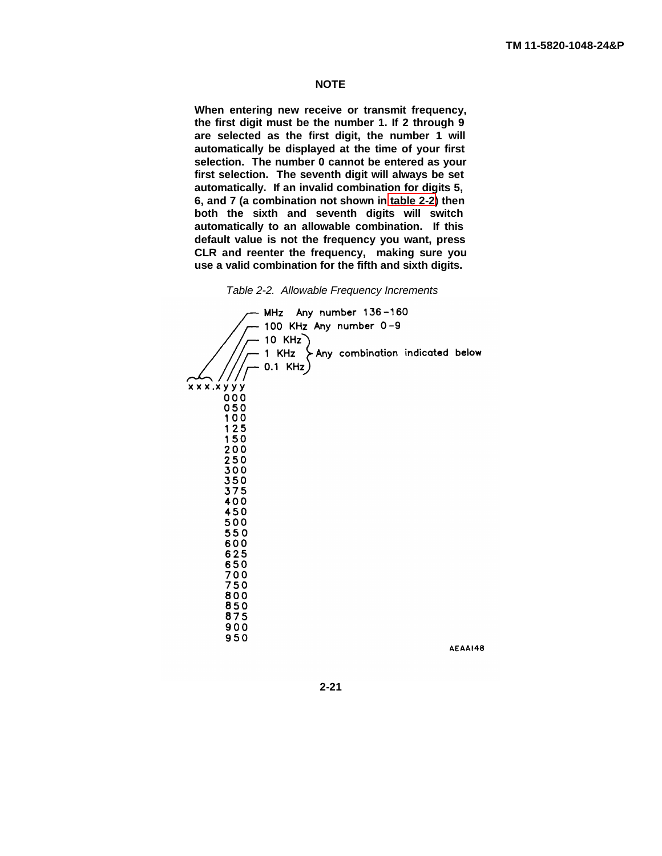# **NOTE**

<span id="page-35-0"></span>**When entering new receive or transmit frequency, the first digit must be the number 1. If 2 through 9 are selected as the first digit, the number 1 will automatically be displayed at the time of your first selection. The number 0 cannot be entered as your first selection. The seventh digit will always be set automatically. If an invalid combination for digits 5, 6, and 7 (a combination not shown in [table 2-2\)](#page-35-0) then both the sixth and seventh digits will switch automatically to an allowable combination. If this default value is not the frequency you want, press CLR and reenter the frequency, making sure you use a valid combination for the fifth and sixth digits.**



AEAAI48

**2-21**

 $950$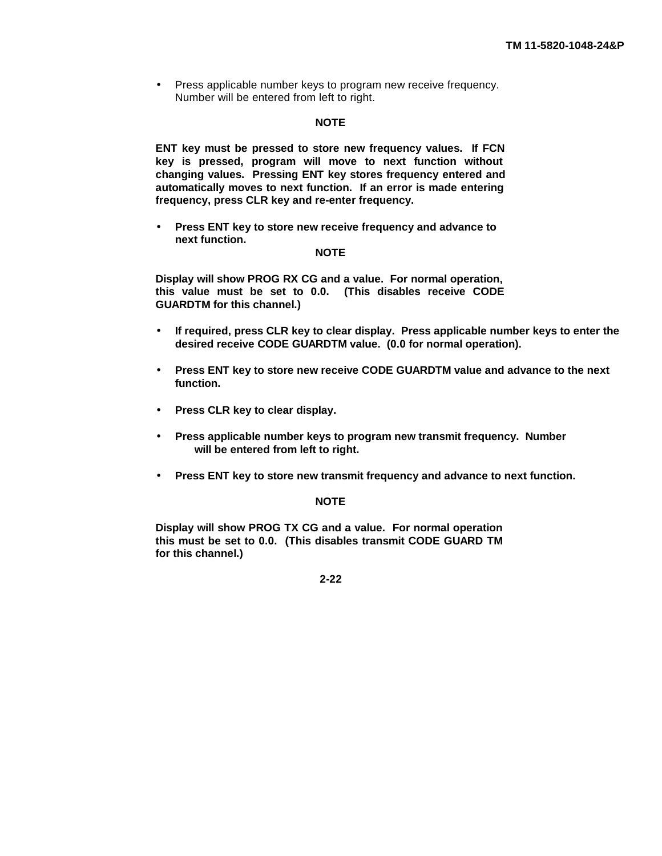• Press applicable number keys to program new receive frequency. Number will be entered from left to right.

#### **NOTE**

**ENT key must be pressed to store new frequency values. If FCN key is pressed, program will move to next function without changing values. Pressing ENT key stores frequency entered and automatically moves to next function. If an error is made entering frequency, press CLR key and re-enter frequency.**

**· Press ENT key to store new receive frequency and advance to next function.**

## **NOTE**

**Display will show PROG RX CG and a value. For normal operation, this value must be set to 0.0. (This disables receive CODE GUARDTM for this channel.)**

- **· If required, press CLR key to clear display. Press applicable number keys to enter the desired receive CODE GUARDTM value. (0.0 for normal operation).**
- **· Press ENT key to store new receive CODE GUARDTM value and advance to the next function.**
- **· Press CLR key to clear display.**
- **· Press applicable number keys to program new transmit frequency. Number will be entered from left to right.**
- **· Press ENT key to store new transmit frequency and advance to next function.**

### **NOTE**

**Display will show PROG TX CG and a value. For normal operation this must be set to 0.0. (This disables transmit CODE GUARD TM for this channel.)**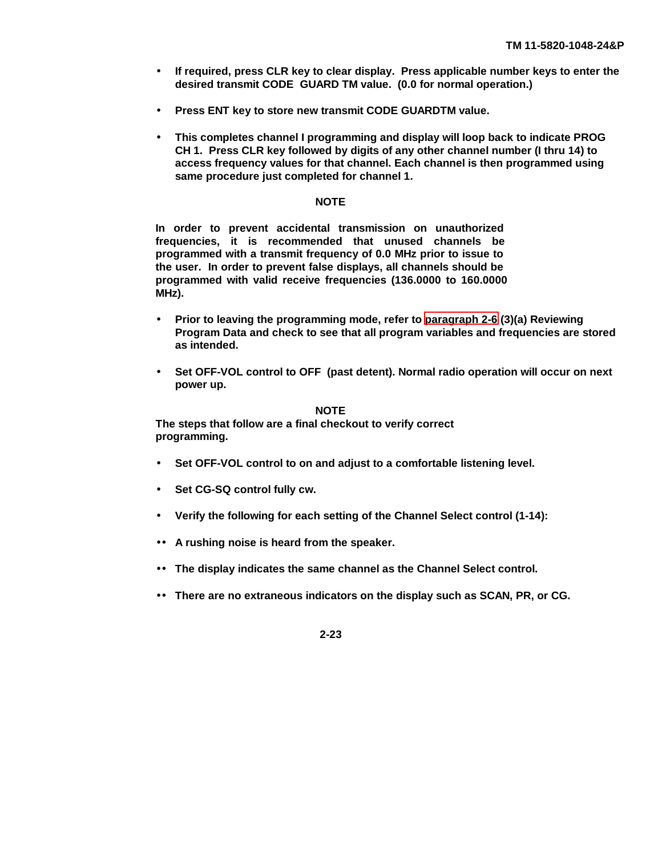- **· If required, press CLR key to clear display. Press applicable number keys to enter the desired transmit CODE GUARD TM value. (0.0 for normal operation.)**
- **· Press ENT key to store new transmit CODE GUARDTM value.**
- **· This completes channel I programming and display will loop back to indicate PROG CH 1. Press CLR key followed by digits of any other channel number (I thru 14) to access frequency values for that channel. Each channel is then programmed using same procedure just completed for channel 1.**

## **NOTE**

**In order to prevent accidental transmission on unauthorized frequencies, it is recommended that unused channels be programmed with a transmit frequency of 0.0 MHz prior to issue to the user. In order to prevent false displays, all channels should be programmed with valid receive frequencies (136.0000 to 160.0000 MHz).**

- **· Prior to leaving the programming mode, refer to [paragraph 2-6](#page-24-0) (3)(a) Reviewing Program Data and check to see that all program variables and frequencies are stored as intended.**
- **· Set OFF-VOL control to OFF (past detent). Normal radio operation will occur on next power up.**

#### **NOTE**

**The steps that follow are a final checkout to verify correct programming.**

- **· Set OFF-VOL control to on and adjust to a comfortable listening level.**
- **· Set CG-SQ control fully cw.**
- **· Verify the following for each setting of the Channel Select control (1-14):**
- **·· A rushing noise is heard from the speaker.**
- **·· The display indicates the same channel as the Channel Select control.**
- **·· There are no extraneous indicators on the display such as SCAN, PR, or CG.**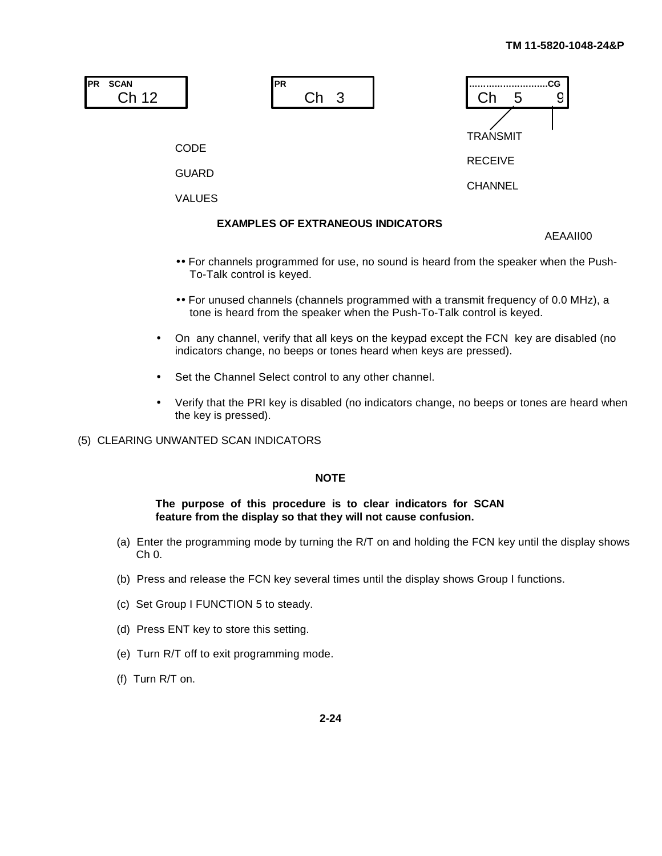

- **··**For channels programmed for use, no sound is heard from the speaker when the Push-To-Talk control is keyed.
- **··**For unused channels (channels programmed with a transmit frequency of 0.0 MHz), a tone is heard from the speaker when the Push-To-Talk control is keyed.
- On any channel, verify that all keys on the keypad except the FCN key are disabled (no indicators change, no beeps or tones heard when keys are pressed).
- Set the Channel Select control to any other channel.
- Verify that the PRI key is disabled (no indicators change, no beeps or tones are heard when the key is pressed).

# (5) CLEARING UNWANTED SCAN INDICATORS

### **NOTE**

#### **The purpose of this procedure is to clear indicators for SCAN feature from the display so that they will not cause confusion.**

- (a) Enter the programming mode by turning the R/T on and holding the FCN key until the display shows Ch 0.
- (b) Press and release the FCN key several times until the display shows Group I functions.
- (c) Set Group I FUNCTION 5 to steady.
- (d) Press ENT key to store this setting.
- (e) Turn R/T off to exit programming mode.
- (f) Turn R/T on.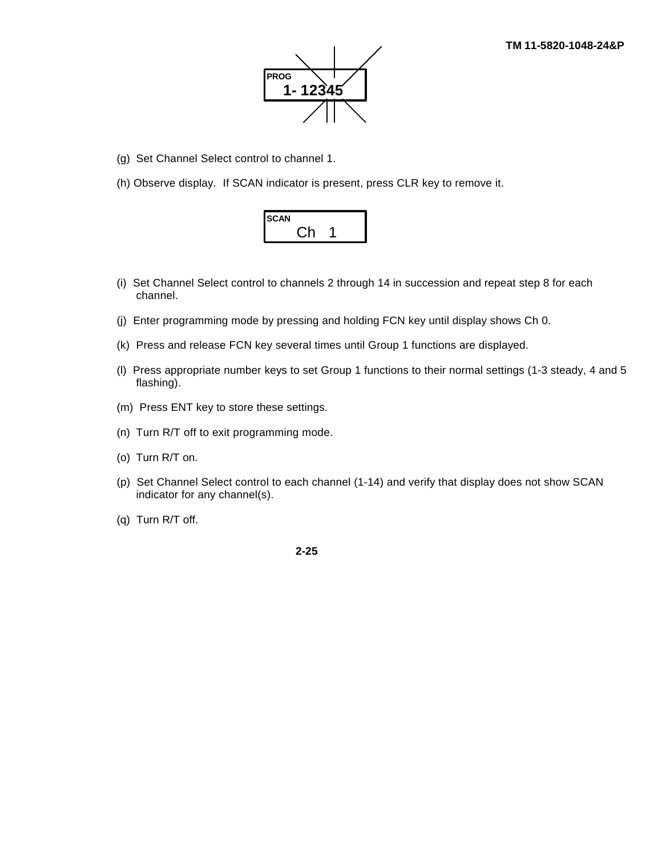

- (g) Set Channel Select control to channel 1.
- (h) Observe display. If SCAN indicator is present, press CLR key to remove it.



- (i) Set Channel Select control to channels 2 through 14 in succession and repeat step 8 for each channel.
- (j) Enter programming mode by pressing and holding FCN key until display shows Ch 0.
- (k) Press and release FCN key several times until Group 1 functions are displayed.
- (l) Press appropriate number keys to set Group 1 functions to their normal settings (1-3 steady, 4 and 5 flashing).
- (m) Press ENT key to store these settings.
- (n) Turn R/T off to exit programming mode.
- (o) Turn R/T on.
- (p) Set Channel Select control to each channel (1-14) and verify that display does not show SCAN indicator for any channel(s).
- (q) Turn R/T off.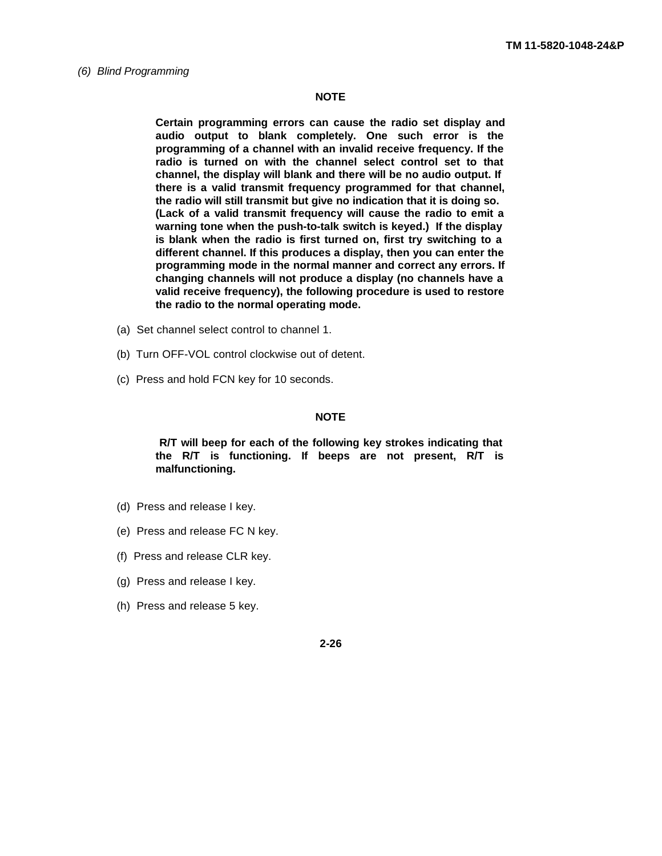#### *(6) Blind Programming*

#### **NOTE**

**Certain programming errors can cause the radio set display and audio output to blank completely. One such error is the programming of a channel with an invalid receive frequency. If the radio is turned on with the channel select control set to that channel, the display will blank and there will be no audio output. If there is a valid transmit frequency programmed for that channel, the radio will still transmit but give no indication that it is doing so. (Lack of a valid transmit frequency will cause the radio to emit a warning tone when the push-to-talk switch is keyed.) If the display is blank when the radio is first turned on, first try switching to a different channel. If this produces a display, then you can enter the programming mode in the normal manner and correct any errors. If changing channels will not produce a display (no channels have a valid receive frequency), the following procedure is used to restore the radio to the normal operating mode.**

- (a) Set channel select control to channel 1.
- (b) Turn OFF-VOL control clockwise out of detent.
- (c) Press and hold FCN key for 10 seconds.

#### **NOTE**

 **R/T will beep for each of the following key strokes indicating that the R/T is functioning. If beeps are not present, R/T is malfunctioning.**

- (d) Press and release I key.
- (e) Press and release FC N key.
- (f) Press and release CLR key.
- (g) Press and release I key.
- (h) Press and release 5 key.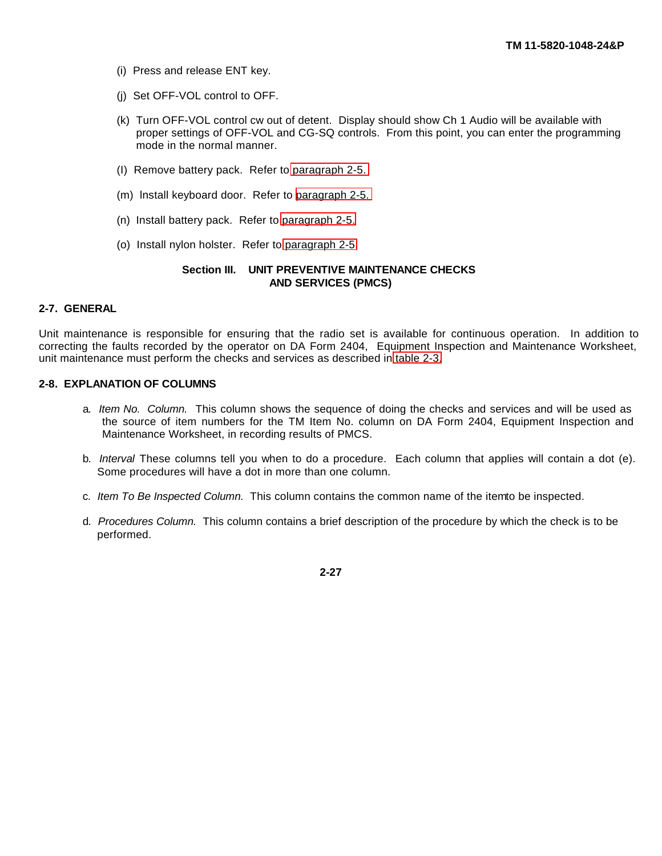- (i) Press and release ENT key.
- (j) Set OFF-VOL control to OFF.
- (k) Turn OFF-VOL control cw out of detent. Display should show Ch 1 Audio will be available with proper settings of OFF-VOL and CG-SQ controls. From this point, you can enter the programming mode in the normal manner.
- (I) Remove battery pack. Refer to [paragraph 2-5.](#page-16-0)
- (m) lnstall keyboard door. Refer to [paragraph 2-5.](#page-16-0)
- (n) Install battery pack. Refer to [paragraph 2-5.](#page-16-0)
- (o) Install nylon holster. Refer to [paragraph 2-5.](#page-16-0)

#### **Section III. UNIT PREVENTIVE MAINTENANCE CHECKS AND SERVICES (PMCS)**

#### **2-7. GENERAL**

Unit maintenance is responsible for ensuring that the radio set is available for continuous operation. In addition to correcting the faults recorded by the operator on DA Form 2404, Equipment Inspection and Maintenance Worksheet, unit maintenance must perform the checks and services as described in [table 2-3.](#page-43-0)

#### **2-8. EXPLANATION OF COLUMNS**

- a*. Item No. Column.* This column shows the sequence of doing the checks and services and will be used as the source of item numbers for the TM Item No. column on DA Form 2404, Equipment Inspection and Maintenance Worksheet, in recording results of PMCS.
- b*. Interval* These columns tell you when to do a procedure. Each column that applies will contain a dot (e). Some procedures will have a dot in more than one column.
- c. Item To Be Inspected Column. This column contains the common name of the item to be inspected.
- d*. Procedures Column.* This column contains a brief description of the procedure by which the check is to be performed.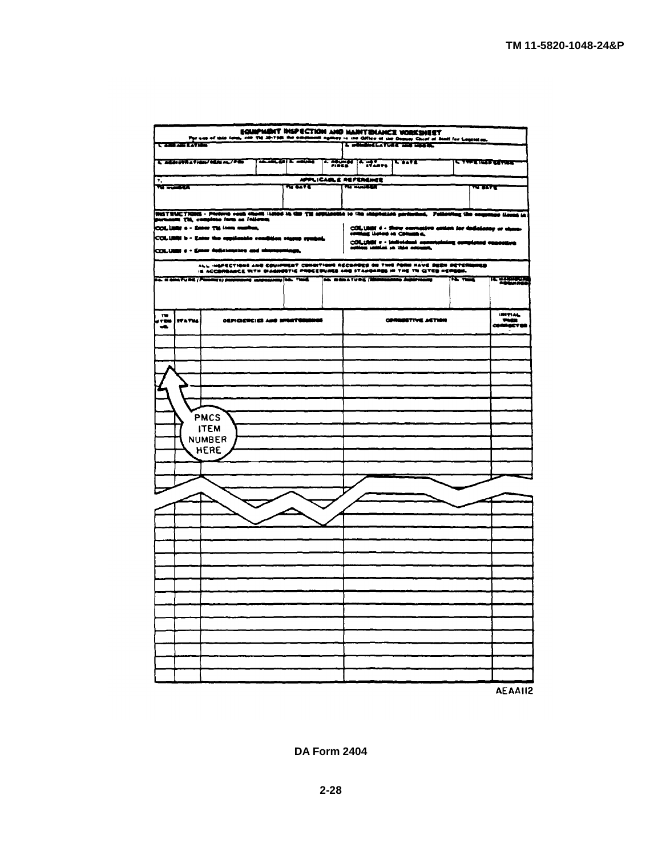| EGIMPMENT INSPECTION AND MARTENANCE VORKSHEET<br>The use of this fam, can the strike in the processes agency is and different than the first fact for Legislation.<br>In establishment compared that the contract the form inside. |                                                                |                                                          |  |                               |                     |                                               |                                                                                                                                                                       |                                     |                                     |
|------------------------------------------------------------------------------------------------------------------------------------------------------------------------------------------------------------------------------------|----------------------------------------------------------------|----------------------------------------------------------|--|-------------------------------|---------------------|-----------------------------------------------|-----------------------------------------------------------------------------------------------------------------------------------------------------------------------|-------------------------------------|-------------------------------------|
| <b>TANAH AWEATAY</b>                                                                                                                                                                                                               |                                                                |                                                          |  |                               |                     |                                               |                                                                                                                                                                       |                                     |                                     |
|                                                                                                                                                                                                                                    | <b>CONTRACT &amp; THOUGHT</b><br><b>The Marchael May 21760</b> |                                                          |  |                               | T <del>e save</del> | द रसम्बद्धान्या स्थलका                        |                                                                                                                                                                       |                                     |                                     |
| $\bullet_\star$                                                                                                                                                                                                                    | APPLICABLE REFERENCE                                           |                                                          |  |                               |                     |                                               |                                                                                                                                                                       |                                     |                                     |
| <b>WINGERA</b>                                                                                                                                                                                                                     |                                                                |                                                          |  | ਲ ਬਾ                          |                     | <b>The Municipality</b>                       |                                                                                                                                                                       | राज राज                             |                                     |
|                                                                                                                                                                                                                                    |                                                                |                                                          |  |                               |                     |                                               |                                                                                                                                                                       |                                     |                                     |
|                                                                                                                                                                                                                                    |                                                                | immt Thi, completo form on fellows;                      |  |                               |                     |                                               | INISTRUCTIONS - Perform vons chose listed in the TM applicable to the imagenzies performed. Pollowing the couplings illeged in                                        |                                     |                                     |
|                                                                                                                                                                                                                                    |                                                                | COLLER & - Enter Til isne market,                        |  |                               |                     |                                               | COLUMI 4 - there corrusive antion for deductory or chase-<br>contag listed in Column a,                                                                               |                                     |                                     |
|                                                                                                                                                                                                                                    |                                                                | COLURN b - Enter the oppidentie condition states symbol. |  |                               |                     |                                               | COLURE e - Individual contribuing completed concedes<br>cettes intital in this column,                                                                                |                                     |                                     |
|                                                                                                                                                                                                                                    |                                                                | COLUMN e - Enter deficiencies and shortestrings,         |  |                               |                     |                                               |                                                                                                                                                                       |                                     |                                     |
|                                                                                                                                                                                                                                    |                                                                |                                                          |  |                               |                     |                                               | ALL INSPECTIONS AND EQUIPMENT COMMITIONS RECORDED ON THIS PORM HAVE BEEN DETERMINED<br>IN ACCORDANCE WITH DIAGNOSTIC PROCEDURES AND STANDARDS IN THE TRICITED HERGON. |                                     |                                     |
|                                                                                                                                                                                                                                    |                                                                | ya wakatung (Pangyo) padanggi masamay (46, 790).         |  |                               |                     | <b>The man a fung (Andreasting Japaneses)</b> |                                                                                                                                                                       | $\overline{10}$ and $\overline{10}$ | <b>TEL 3 ZRIBUDA</b><br>Produkt Ado |
|                                                                                                                                                                                                                                    |                                                                |                                                          |  |                               |                     |                                               |                                                                                                                                                                       |                                     |                                     |
| $\mathbf{r}$                                                                                                                                                                                                                       |                                                                |                                                          |  |                               |                     |                                               |                                                                                                                                                                       |                                     | <b>IMTIAL</b>                       |
| 7 EW<br>uß.                                                                                                                                                                                                                        | <b>ITATUS</b>                                                  |                                                          |  | DEFICIERCIES AND SPORTOSISMOS |                     |                                               | <b>CORRESTIVE ASTION</b>                                                                                                                                              |                                     | -<br>COMMUSTOR                      |
|                                                                                                                                                                                                                                    |                                                                |                                                          |  |                               |                     |                                               |                                                                                                                                                                       |                                     |                                     |
|                                                                                                                                                                                                                                    |                                                                |                                                          |  |                               |                     |                                               |                                                                                                                                                                       |                                     |                                     |
|                                                                                                                                                                                                                                    |                                                                |                                                          |  |                               |                     |                                               |                                                                                                                                                                       |                                     |                                     |
|                                                                                                                                                                                                                                    |                                                                |                                                          |  |                               |                     |                                               |                                                                                                                                                                       |                                     |                                     |
|                                                                                                                                                                                                                                    |                                                                |                                                          |  |                               |                     |                                               |                                                                                                                                                                       |                                     |                                     |
|                                                                                                                                                                                                                                    |                                                                |                                                          |  |                               |                     |                                               |                                                                                                                                                                       |                                     |                                     |
|                                                                                                                                                                                                                                    |                                                                | <b>PMCS</b>                                              |  |                               |                     |                                               |                                                                                                                                                                       |                                     |                                     |
|                                                                                                                                                                                                                                    |                                                                | <b>ITEM</b>                                              |  |                               |                     |                                               |                                                                                                                                                                       |                                     |                                     |
|                                                                                                                                                                                                                                    |                                                                | <b>NUMBER</b><br><b>HERE</b>                             |  |                               |                     |                                               |                                                                                                                                                                       |                                     |                                     |
|                                                                                                                                                                                                                                    |                                                                |                                                          |  |                               |                     |                                               |                                                                                                                                                                       |                                     |                                     |
|                                                                                                                                                                                                                                    |                                                                |                                                          |  |                               |                     |                                               |                                                                                                                                                                       |                                     |                                     |
|                                                                                                                                                                                                                                    |                                                                |                                                          |  |                               |                     |                                               |                                                                                                                                                                       |                                     |                                     |
|                                                                                                                                                                                                                                    |                                                                |                                                          |  |                               |                     |                                               |                                                                                                                                                                       |                                     |                                     |
|                                                                                                                                                                                                                                    |                                                                |                                                          |  |                               |                     |                                               |                                                                                                                                                                       |                                     |                                     |
|                                                                                                                                                                                                                                    |                                                                |                                                          |  |                               |                     |                                               |                                                                                                                                                                       |                                     |                                     |
|                                                                                                                                                                                                                                    |                                                                |                                                          |  |                               |                     |                                               |                                                                                                                                                                       |                                     |                                     |
|                                                                                                                                                                                                                                    |                                                                |                                                          |  |                               |                     |                                               |                                                                                                                                                                       |                                     |                                     |
|                                                                                                                                                                                                                                    |                                                                |                                                          |  |                               |                     |                                               |                                                                                                                                                                       |                                     |                                     |
|                                                                                                                                                                                                                                    |                                                                |                                                          |  |                               |                     |                                               |                                                                                                                                                                       |                                     |                                     |
|                                                                                                                                                                                                                                    |                                                                |                                                          |  |                               |                     |                                               |                                                                                                                                                                       |                                     |                                     |
|                                                                                                                                                                                                                                    |                                                                |                                                          |  |                               |                     |                                               |                                                                                                                                                                       |                                     |                                     |
|                                                                                                                                                                                                                                    |                                                                |                                                          |  |                               |                     |                                               |                                                                                                                                                                       |                                     |                                     |
|                                                                                                                                                                                                                                    |                                                                |                                                          |  |                               |                     |                                               |                                                                                                                                                                       |                                     |                                     |
|                                                                                                                                                                                                                                    |                                                                |                                                          |  |                               |                     |                                               |                                                                                                                                                                       |                                     |                                     |
|                                                                                                                                                                                                                                    |                                                                |                                                          |  |                               |                     |                                               |                                                                                                                                                                       |                                     |                                     |
|                                                                                                                                                                                                                                    |                                                                |                                                          |  |                               |                     |                                               |                                                                                                                                                                       |                                     |                                     |

AEAAII2

**DA Form 2404**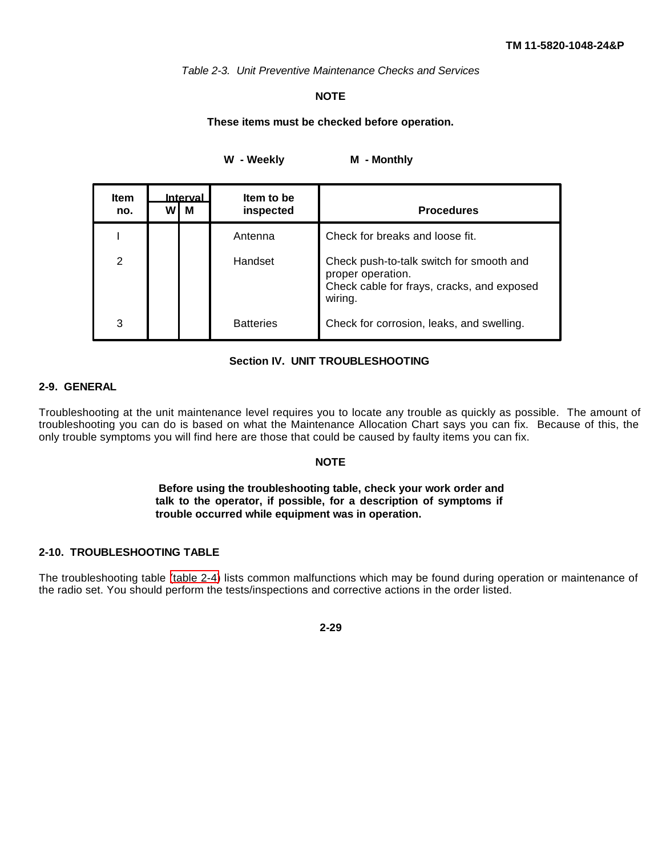*Table 2-3. Unit Preventive Maintenance Checks and Services*

# **NOTE**

#### **These items must be checked before operation.**

W - Weekly M - Monthly

<span id="page-43-0"></span>

| <b>Item</b><br>no. | W١ | <b>Interval</b><br>м | Item to be<br>inspected | <b>Procedures</b>                                                                                                      |
|--------------------|----|----------------------|-------------------------|------------------------------------------------------------------------------------------------------------------------|
|                    |    |                      | Antenna                 | Check for breaks and loose fit.                                                                                        |
| 2                  |    |                      | Handset                 | Check push-to-talk switch for smooth and<br>proper operation.<br>Check cable for frays, cracks, and exposed<br>wiring. |
| 3                  |    |                      | <b>Batteries</b>        | Check for corrosion, leaks, and swelling.                                                                              |

#### **Section IV. UNIT TROUBLESHOOTING**

# **2-9. GENERAL**

Troubleshooting at the unit maintenance level requires you to locate any trouble as quickly as possible. The amount of troubleshooting you can do is based on what the Maintenance Allocation Chart says you can fix. Because of this, the only trouble symptoms you will find here are those that could be caused by faulty items you can fix.

#### **NOTE**

## **Before using the troubleshooting table, check your work order and talk to the operator, if possible, for a description of symptoms if trouble occurred while equipment was in operation.**

# **2-10. TROUBLESHOOTING TABLE**

The troubleshooting table [\(table 2-4\)](#page-44-0) lists common malfunctions which may be found during operation or maintenance of the radio set. You should perform the tests/inspections and corrective actions in the order listed.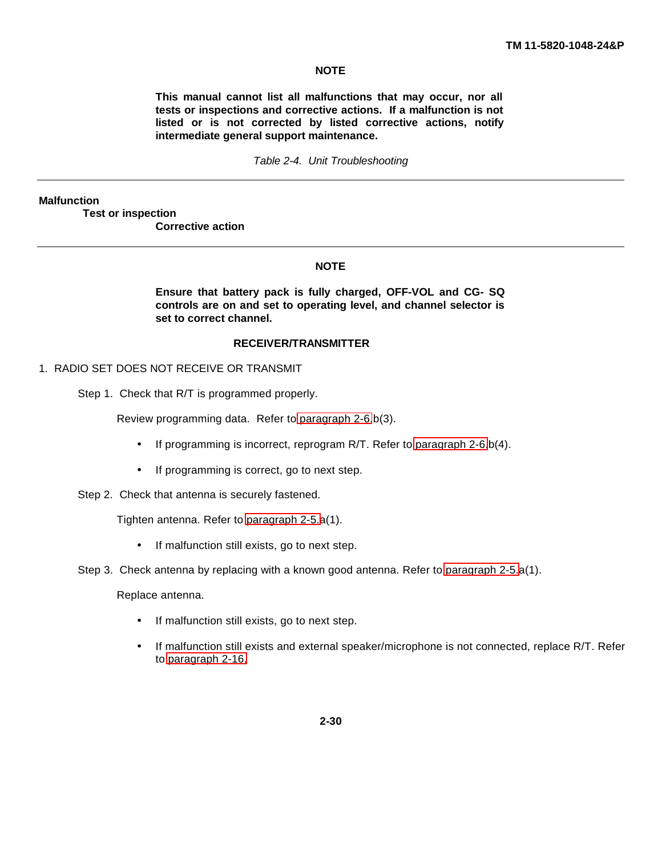# **NOTE**

**This manual cannot list all malfunctions that may occur, nor all tests or inspections and corrective actions. If a malfunction is not listed or is not corrected by listed corrective actions, notify intermediate general support maintenance.**

#### *Table 2-4. Unit Troubleshooting*

<span id="page-44-0"></span>**Malfunction**

**Test or inspection**

**Corrective action**

#### **NOTE**

**Ensure that battery pack is fully charged, OFF-VOL and CG- SQ controls are on and set to operating level, and channel selector is set to correct channel.**

#### **RECEIVER/TRANSMITTER**

- 1. RADIO SET DOES NOT RECEIVE OR TRANSMIT
	- Step 1. Check that R/T is programmed properly.

Review programming data. Refer to [paragraph 2-6.](#page-24-0)b(3).

- If programming is incorrect, reprogram R/T. Refer to [paragraph 2-6.](#page-24-0)b(4).
- If programming is correct, go to next step.
- Step 2. Check that antenna is securely fastened.

Tighten antenna. Refer to [paragraph 2-5.a](#page-16-0)(1).

- If malfunction still exists, go to next step.
- Step 3. Check antenna by replacing with a known good antenna. Refer to [paragraph 2-5.](#page-16-0)a(1).

Replace antenna.

- If malfunction still exists, go to next step.
- If malfunction still exists and external speaker/microphone is not connected, replace R/T. Refer to [paragraph 2-16.](#page-51-0)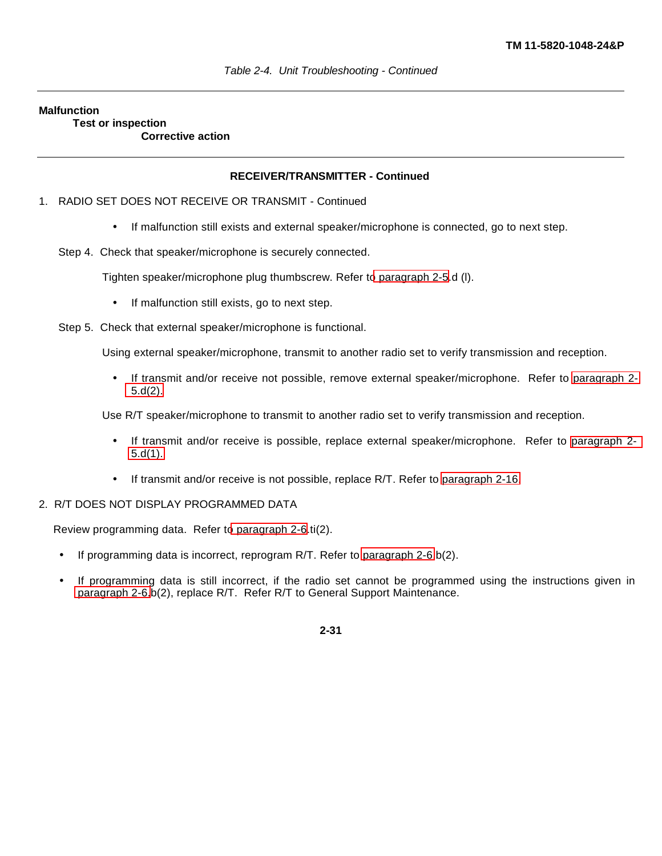#### **Malfunction**

**Test or inspection Corrective action**

## **RECEIVER/TRANSMITTER - Continued**

- 1. RADIO SET DOES NOT RECEIVE OR TRANSMIT Continued
	- If malfunction still exists and external speaker/microphone is connected, go to next step.
	- Step 4. Check that speaker/microphone is securely connected.

Tighten speaker/microphone plug thumbscrew. Refer t[o paragraph 2-5.](#page-16-0)d (l).

- If malfunction still exists, go to next step.
- Step 5. Check that external speaker/microphone is functional.

Using external speaker/microphone, transmit to another radio set to verify transmission and reception.

• If transmit and/or receive not possible, remove external speaker/microphone. Refer to [paragraph 2-](#page-16-1) [5.d\(2\).](#page-16-1)

Use R/T speaker/microphone to transmit to another radio set to verify transmission and reception.

- If transmit and/or receive is possible, replace external speaker/microphone. Refer to [paragraph 2-](#page-16-1) [5.d\(1\).](#page-16-1)
- If transmit and/or receive is not possible, replace R/T. Refer to [paragraph 2-16.](#page-51-0)
- 2. R/T DOES NOT DISPLAY PROGRAMMED DATA

Review programming data. Refer t[o paragraph 2-6.](#page-24-0)ti(2).

- If programming data is incorrect, reprogram R/T. Refer to [paragraph 2-6.](#page-24-0)b(2).
- If programming data is still incorrect, if the radio set cannot be programmed using the instructions given in [paragraph 2-6.](#page-24-0)b(2), replace R/T. Refer R/T to General Support Maintenance.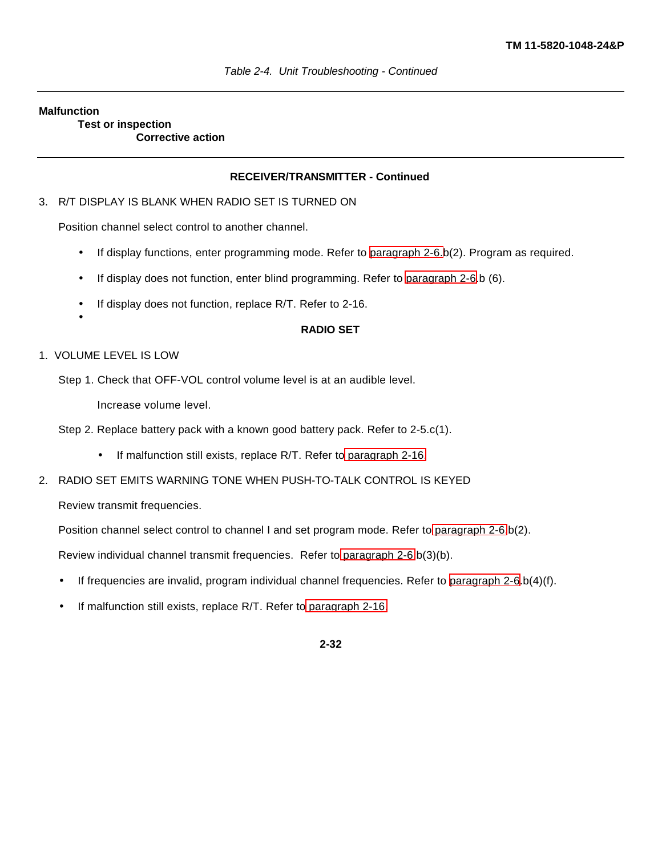#### **Malfunction**

**Test or inspection Corrective action**

#### **RECEIVER/TRANSMITTER - Continued**

#### 3. R/T DISPLAY IS BLANK WHEN RADIO SET IS TURNED ON

Position channel select control to another channel.

- If display functions, enter programming mode. Refer to [paragraph 2-6.b](#page-24-0)(2). Program as required.
- If display does not function, enter blind programming. Refer to [paragraph 2-6.](#page-24-0)b (6).
- If display does not function, replace R/T. Refer to 2-16.
	- **RADIO SET**

#### 1. VOLUME LEVEL IS LOW

•

Step 1. Check that OFF-VOL control volume level is at an audible level.

Increase volume level.

Step 2. Replace battery pack with a known good battery pack. Refer to 2-5.c(1).

- If malfunction still exists, replace R/T. Refer to [paragraph 2-16.](#page-51-0)
- 2. RADIO SET EMITS WARNING TONE WHEN PUSH-TO-TALK CONTROL IS KEYED

Review transmit frequencies.

Position channel select control to channel I and set program mode. Refer to [paragraph 2-6.](#page-24-0)b(2).

Review individual channel transmit frequencies. Refer to [paragraph 2-6.](#page-24-0)b(3)(b).

- If frequencies are invalid, program individual channel frequencies. Refer to [paragraph 2-6.](#page-24-0)b(4)(f).
- If malfunction still exists, replace R/T. Refer to [paragraph 2-16.](#page-51-0)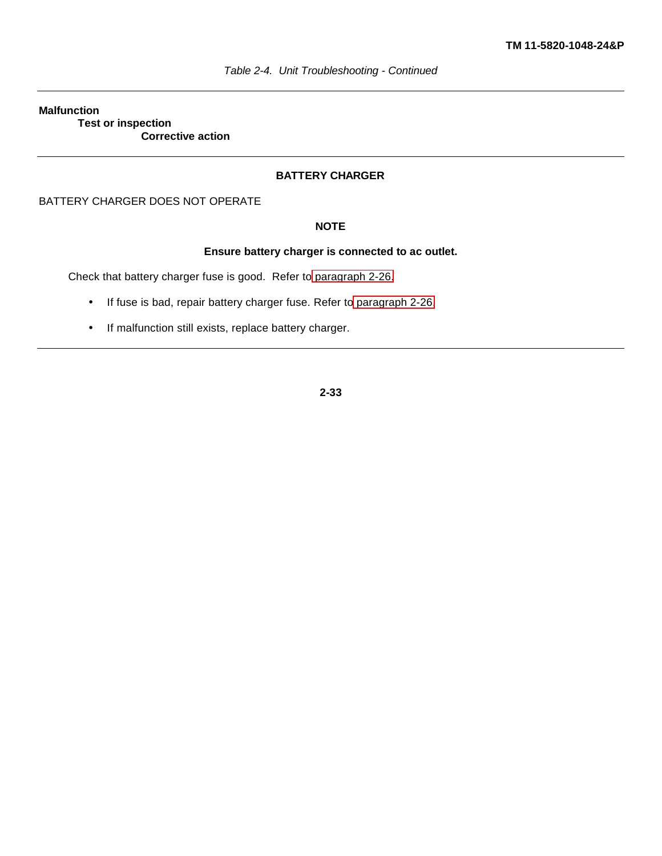#### **Malfunction Test or inspection Corrective action**

# **BATTERY CHARGER**

BATTERY CHARGER DOES NOT OPERATE

# **NOTE**

# **Ensure battery charger is connected to ac outlet.**

Check that battery charger fuse is good. Refer to [paragraph 2-26.](#page-56-0)

- If fuse is bad, repair battery charger fuse. Refer to [paragraph 2-26.](#page-56-0)
- If malfunction still exists, replace battery charger.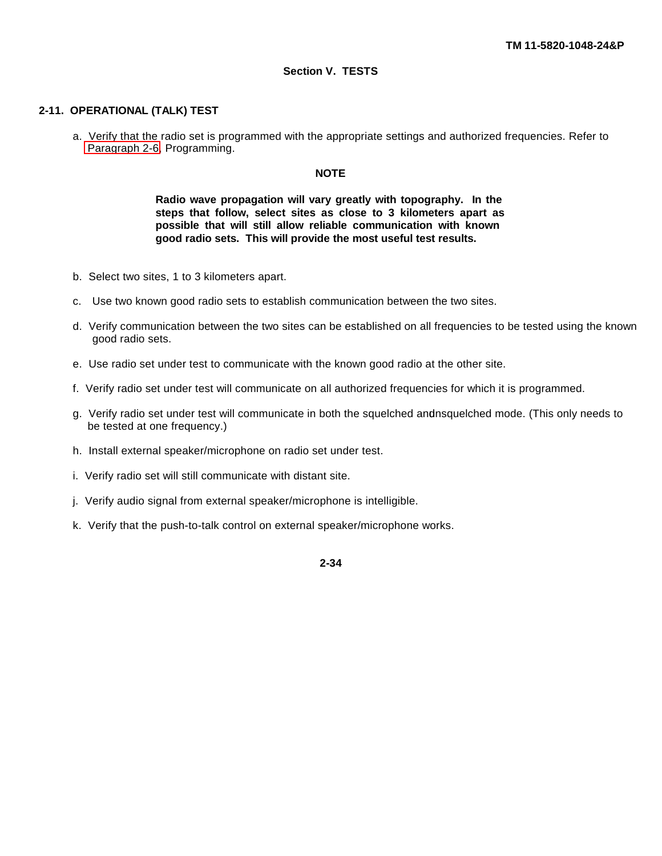#### **Section V. TESTS**

# **2-11. OPERATIONAL (TALK) TEST**

a. Verify that the radio set is programmed with the appropriate settings and authorized frequencies. Refer to [Paragraph 2-6,](#page-24-0) Programming.

#### **NOTE**

**Radio wave propagation will vary greatly with topography. In the steps that follow, select sites as close to 3 kilometers apart as possible that will still allow reliable communication with known good radio sets. This will provide the most useful test results.**

- b. Select two sites, 1 to 3 kilometers apart.
- c. Use two known good radio sets to establish communication between the two sites.
- d. Verify communication between the two sites can be established on all frequencies to be tested using the known good radio sets.
- e. Use radio set under test to communicate with the known good radio at the other site.
- f. Verify radio set under test will communicate on all authorized frequencies for which it is programmed.
- g. Verify radio set under test will communicate in both the squelched and nsquelched mode. (This only needs to be tested at one frequency.)
- h. Install external speaker/microphone on radio set under test.
- i. Verify radio set will still communicate with distant site.
- j. Verify audio signal from external speaker/microphone is intelligible.
- k. Verify that the push-to-talk control on external speaker/microphone works.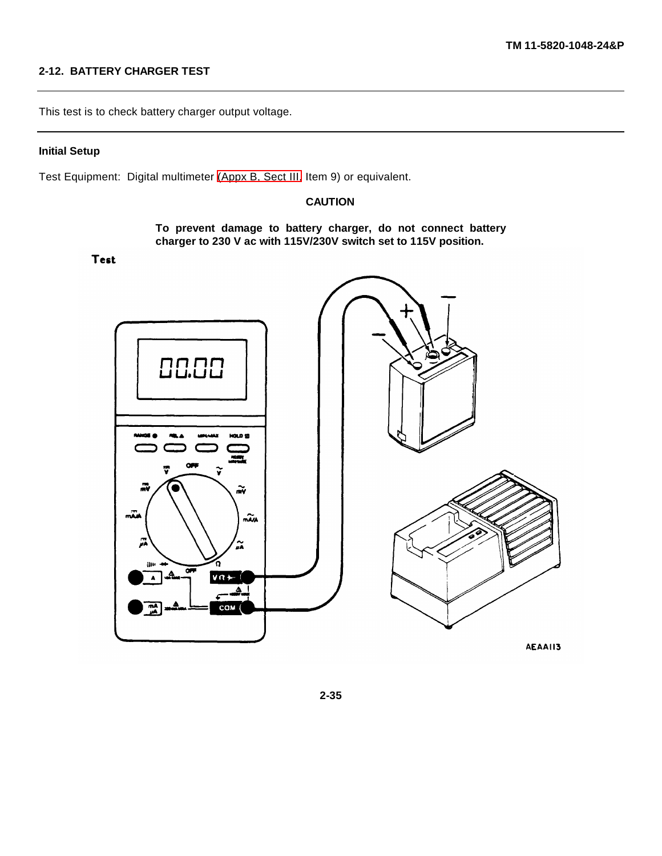# **2-12. BATTERY CHARGER TEST**

This test is to check battery charger output voltage.

#### **Initial Setup**

Test Equipment: Digital multimeter [\(Appx B, Sect III,](#page-92-0) Item 9) or equivalent.

## **CAUTION**

**To prevent damage to battery charger, do not connect battery charger to 230 V ac with 115V/230V switch set to 115V position.**

**Test** 

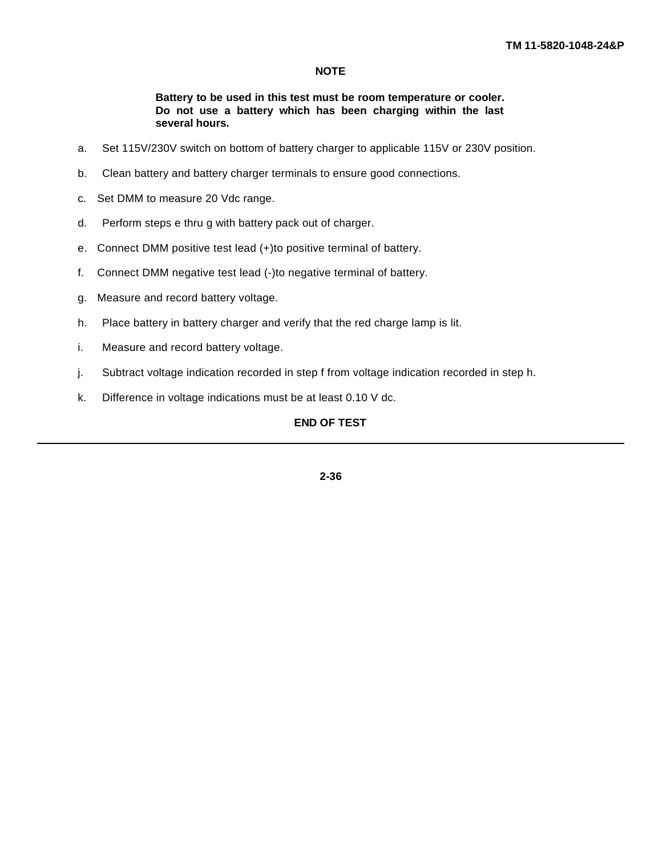# **NOTE**

### **Battery to be used in this test must be room temperature or cooler. Do not use a battery which has been charging within the last several hours.**

- a. Set 115V/230V switch on bottom of battery charger to applicable 115V or 230V position.
- b. Clean battery and battery charger terminals to ensure good connections.
- c. Set DMM to measure 20 Vdc range.
- d. Perform steps e thru g with battery pack out of charger.
- e. Connect DMM positive test lead (+)to positive terminal of battery.
- f. Connect DMM negative test lead (-)to negative terminal of battery.
- g. Measure and record battery voltage.
- h. Place battery in battery charger and verify that the red charge lamp is lit.
- i. Measure and record battery voltage.
- j. Subtract voltage indication recorded in step f from voltage indication recorded in step h.
- k. Difference in voltage indications must be at least 0.10 V dc.

# **END OF TEST**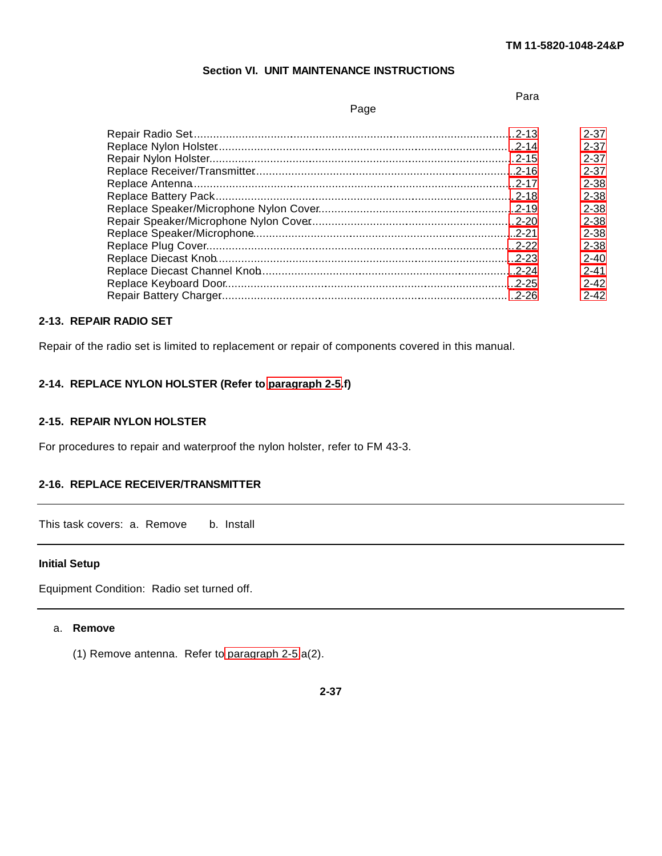#### **Section VI. UNIT MAINTENANCE INSTRUCTIONS**

# Page

Para

<span id="page-51-1"></span><span id="page-51-0"></span>

|       | 2-37     |
|-------|----------|
|       | $2 - 37$ |
|       | $2 - 37$ |
|       | 2-37     |
|       | $2 - 38$ |
|       | $2 - 38$ |
|       | $2 - 38$ |
|       | $2 - 38$ |
|       | $2 - 38$ |
|       | $2 - 38$ |
|       | $2 - 40$ |
|       | $2 - 41$ |
|       | $2 - 42$ |
| -2-26 | $2 - 42$ |
|       |          |

# **2-13. REPAIR RADIO SET**

Repair of the radio set is limited to replacement or repair of components covered in this manual.

# **2-14. REPLACE NYLON HOLSTER (Refer to [paragraph 2-5.](#page-16-0)f)**

## **2-15. REPAIR NYLON HOLSTER**

For procedures to repair and waterproof the nylon holster, refer to FM 43-3.

# **2-16. REPLACE RECEIVER/TRANSMITTER**

This task covers: a. Remove b. Install

#### **Initial Setup**

Equipment Condition: Radio set turned off.

#### a. **Remove**

(1) Remove antenna. Refer to [paragraph 2-5.](#page-16-0)a(2).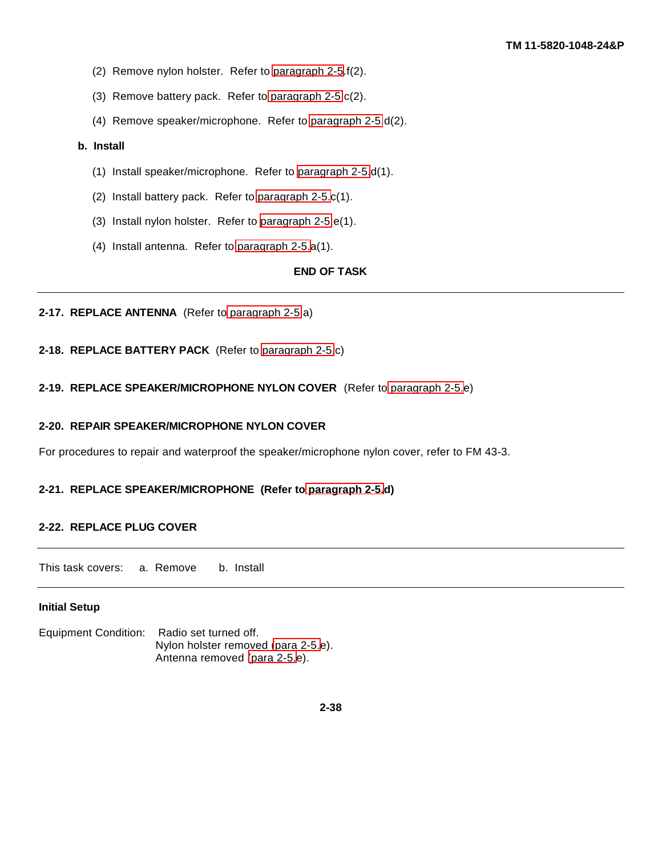- <span id="page-52-1"></span><span id="page-52-0"></span>(2) Remove nylon holster. Refer to [paragraph 2-5.](#page-16-0)f(2).
- (3) Remove battery pack. Refer to [paragraph 2-5.](#page-16-0)c(2).
- (4) Remove speaker/microphone. Refer to [paragraph 2-5.](#page-16-0)d(2).

#### **b. Install**

- (1) Install speaker/microphone. Refer to [paragraph 2-5.](#page-16-0)d(1).
- (2) Install battery pack. Refer to [paragraph 2-5.c](#page-16-0)(1).
- (3) Install nylon holster. Refer to [paragraph 2-5.](#page-16-0)e(1).
- (4) Install antenna. Refer to [paragraph 2-5.](#page-16-0)a(1).

# **END OF TASK**

# **2-17. REPLACE ANTENNA** (Refer to [paragraph 2-5.](#page-16-0)a)

**2-18. REPLACE BATTERY PACK** (Refer to [paragraph 2-5.](#page-16-0)c)

**2-19. REPLACE SPEAKER/MICROPHONE NYLON COVER** (Refer to [paragraph 2-5.e](#page-16-0))

## **2-20. REPAIR SPEAKER/MICROPHONE NYLON COVER**

For procedures to repair and waterproof the speaker/microphone nylon cover, refer to FM 43-3.

#### **2-21. REPLACE SPEAKER/MICROPHONE (Refer to [paragraph 2-5.](#page-16-0)d)**

#### **2-22. REPLACE PLUG COVER**

This task covers: a. Remove b. Install

#### **Initial Setup**

Equipment Condition: Radio set turned off. Nylon holster removed [\(para 2-5.](#page-16-0)e). Antenna removed [\(para 2-5.](#page-16-0)e).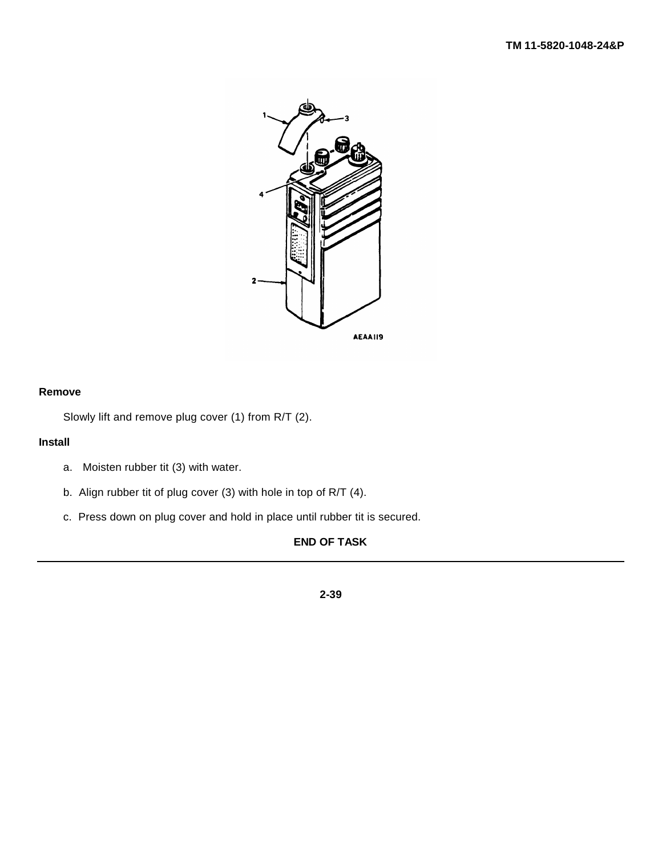

# **Remove**

Slowly lift and remove plug cover (1) from R/T (2).

# **Install**

- a. Moisten rubber tit (3) with water.
- b. Align rubber tit of plug cover (3) with hole in top of R/T (4).
- c. Press down on plug cover and hold in place until rubber tit is secured.

# **END OF TASK**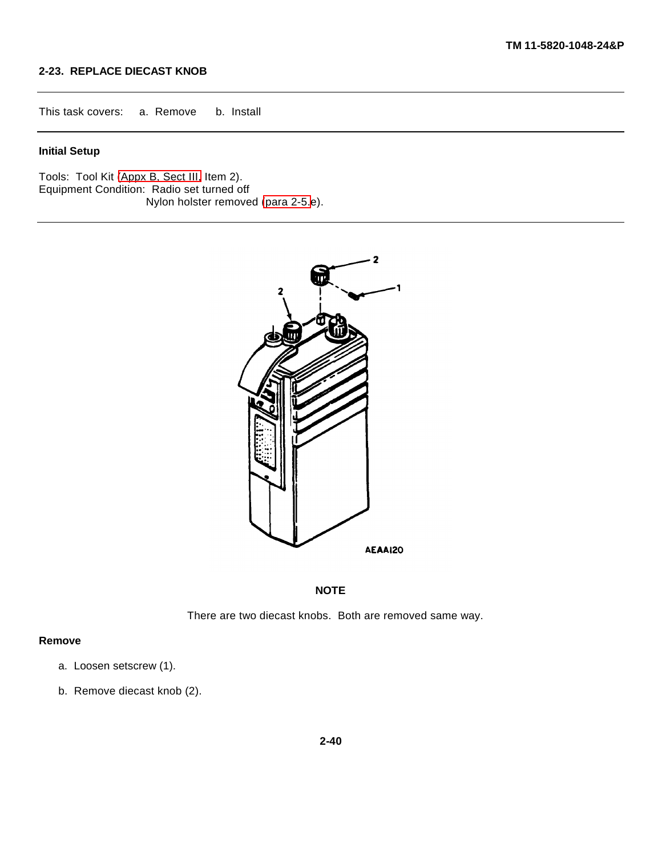# <span id="page-54-0"></span>**2-23. REPLACE DIECAST KNOB**

<span id="page-54-1"></span>This task covers: a. Remove b. Install

#### **Initial Setup**

Tools: Tool Kit [\(Appx B, Sect III,](#page-92-0) Item 2). Equipment Condition: Radio set turned off*.* Nylon holster removed [\(para 2-5.](#page-16-0)e).



## **NOTE**

There are two diecast knobs. Both are removed same way.

#### **Remove**

- a. Loosen setscrew (1).
- b. Remove diecast knob (2).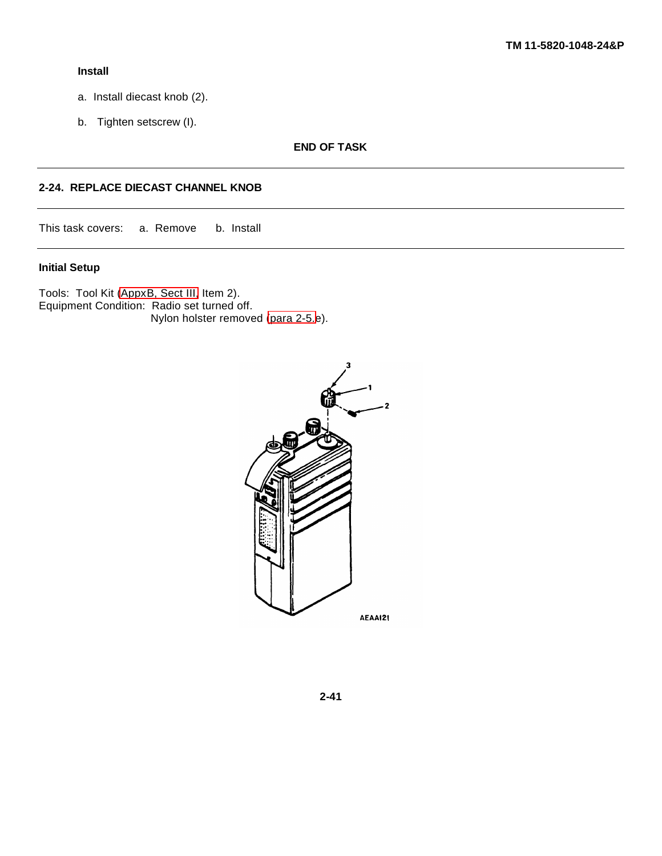### <span id="page-55-1"></span><span id="page-55-0"></span>**Install**

- a. Install diecast knob (2).
- b. Tighten setscrew (I).

**END OF TASK**

# **2-24. REPLACE DIECAST CHANNEL KNOB**

This task covers: a. Remove b. Install

# **Initial Setup**

Tools: Tool Kit [\(AppxB, Sect III,](#page-92-0) Item 2). Equipment Condition: Radio set turned off. Nylon holster removed [\(para 2-5.e](#page-16-0)).

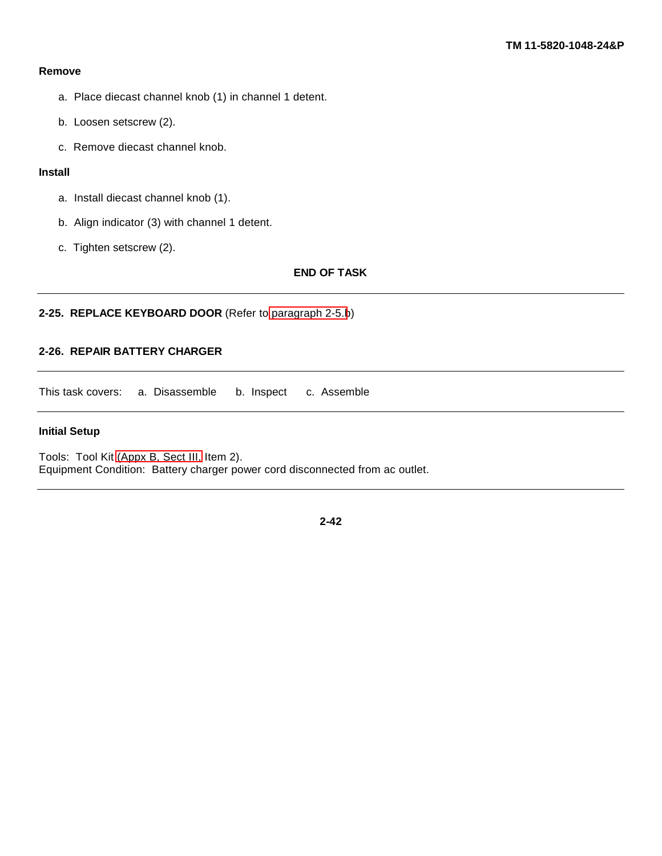#### <span id="page-56-0"></span>**Remove**

- a. Place diecast channel knob (1) in channel 1 detent.
- b. Loosen setscrew (2).
- c. Remove diecast channel knob.

# **Install**

- a. Install diecast channel knob (1).
- b. Align indicator (3) with channel 1 detent.
- c. Tighten setscrew (2).

# **END OF TASK**

# **2-25. REPLACE KEYBOARD DOOR** (Refer to [paragraph 2-5.b](#page-16-0))

# **2-26. REPAIR BATTERY CHARGER**

This task covers: a. Disassemble b. Inspect c. Assemble

#### **Initial Setup**

Tools: Tool Kit [\(Appx B, Sect III,](#page-92-0) Item 2). Equipment Condition: Battery charger power cord disconnected from ac outlet.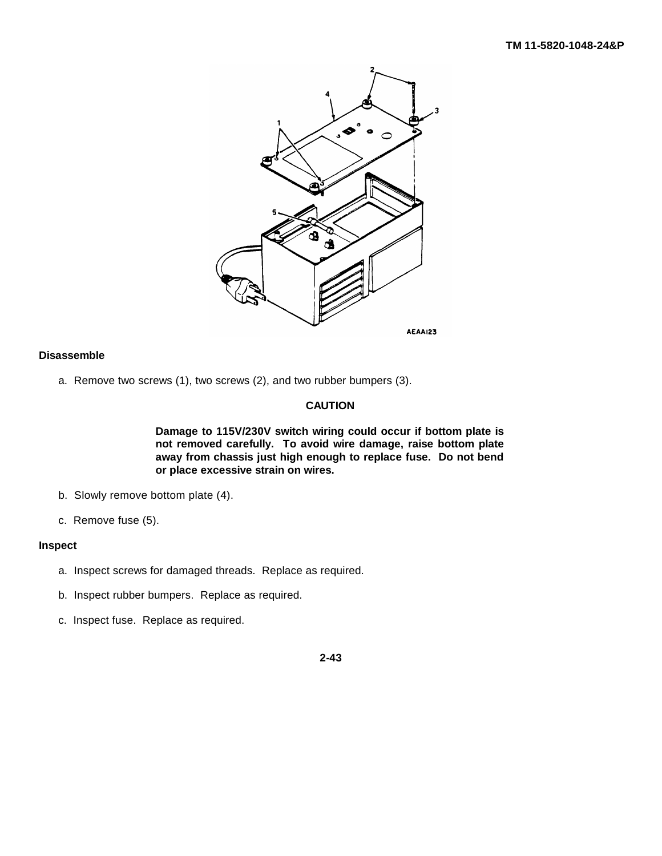

## **Disassemble**

a. Remove two screws (1), two screws (2), and two rubber bumpers (3).

# **CAUTION**

**Damage to 115V/230V switch wiring could occur if bottom plate is not removed carefully. To avoid wire damage, raise bottom plate away from chassis just high enough to replace fuse. Do not bend or place excessive strain on wires.**

- b. Slowly remove bottom plate (4).
- c. Remove fuse (5).

#### **Inspect**

- a. Inspect screws for damaged threads. Replace as required.
- b. Inspect rubber bumpers. Replace as required.
- c. Inspect fuse. Replace as required.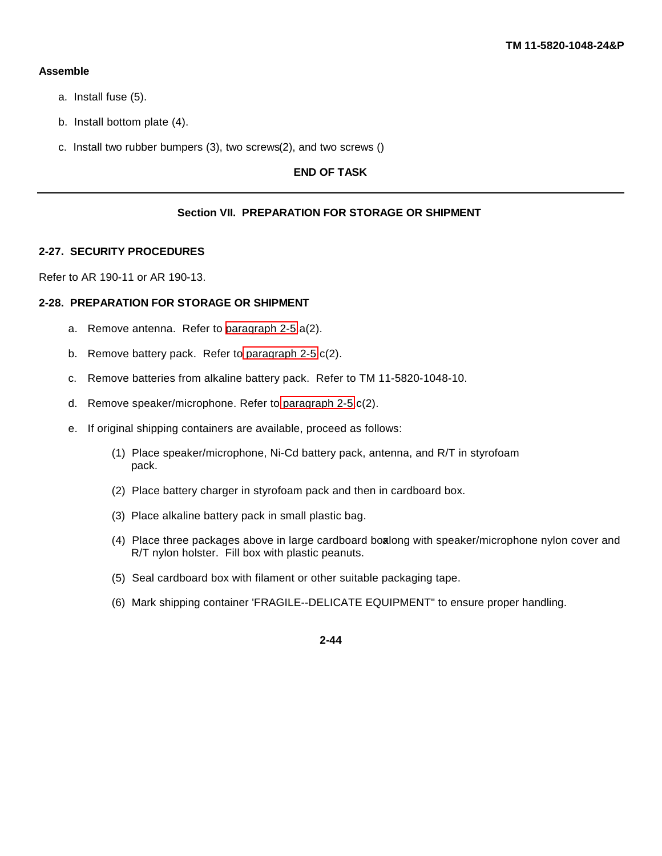#### **Assemble**

- a. Install fuse (5).
- b. Install bottom plate (4).
- c. Install two rubber bumpers (3), two screws(2), and two screws ()

# **END OF TASK**

## **Section VII. PREPARATION FOR STORAGE OR SHIPMENT**

#### **2-27. SECURITY PROCEDURES**

Refer to AR 190-11 or AR 190-13.

## **2-28. PREPARATION FOR STORAGE OR SHIPMENT**

- a. Remove antenna. Refer to [paragraph 2-5.](#page-16-0)a(2).
- b. Remove battery pack. Refer to [paragraph 2-5.](#page-16-0)c(2).
- c. Remove batteries from alkaline battery pack. Refer to TM 11-5820-1048-10.
- d. Remove speaker/microphone. Refer to [paragraph 2-5.](#page-16-0)c(2).
- e. If original shipping containers are available, proceed as follows:
	- (1) Place speaker/microphone, Ni-Cd battery pack, antenna, and R/T in styrofoam pack.
	- (2) Place battery charger in styrofoam pack and then in cardboard box.
	- (3) Place alkaline battery pack in small plastic bag.
	- (4) Place three packages above in large cardboard boxalong with speaker/microphone nylon cover and R/T nylon holster. Fill box with plastic peanuts.
	- (5) Seal cardboard box with filament or other suitable packaging tape.
	- (6) Mark shipping container 'FRAGILE--DELICATE EQUIPMENT" to ensure proper handling.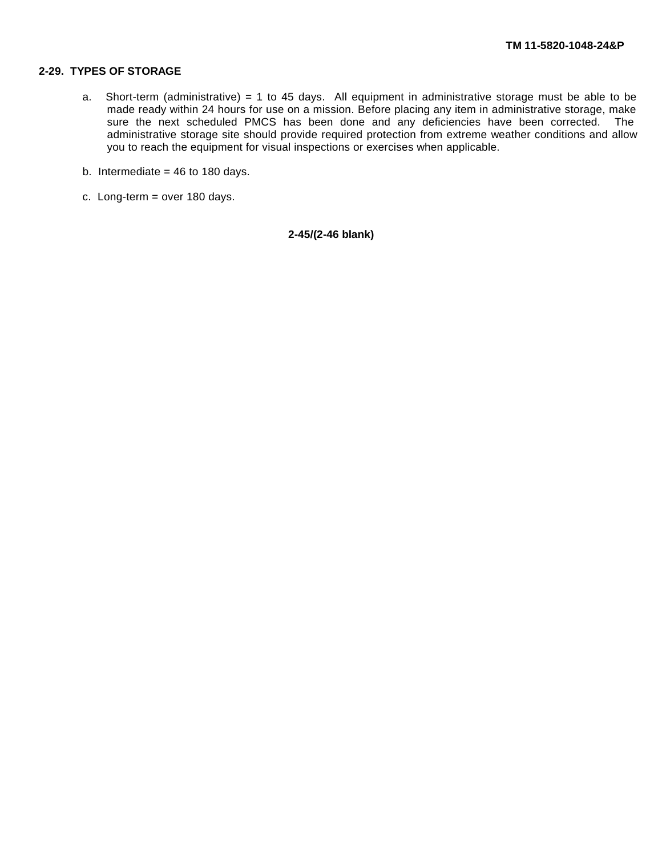# **2-29. TYPES OF STORAGE**

- a. Short-term (administrative) = 1 to 45 days. All equipment in administrative storage must be able to be made ready within 24 hours for use on a mission. Before placing any item in administrative storage, make sure the next scheduled PMCS has been done and any deficiencies have been corrected. The administrative storage site should provide required protection from extreme weather conditions and allow you to reach the equipment for visual inspections or exercises when applicable.
- b. Intermediate  $= 46$  to 180 days.
- c. Long-term = over 180 days.

**2-45/(2-46 blank)**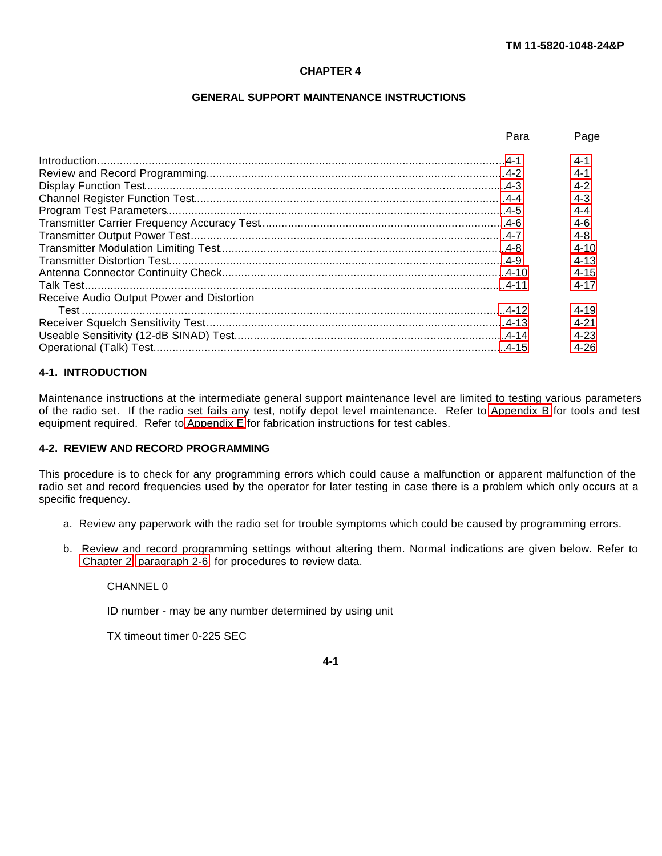### **CHAPTER 4**

# **GENERAL SUPPORT MAINTENANCE INSTRUCTIONS**

<span id="page-60-0"></span>

|                                           | Para | Page     |
|-------------------------------------------|------|----------|
|                                           |      | $4 - 1$  |
|                                           |      | $4 - 1$  |
|                                           |      | $4 - 2$  |
|                                           |      | $4 - 3$  |
|                                           |      | $4 - 4$  |
|                                           |      | $4-6$    |
|                                           |      | $4 - 8$  |
|                                           |      | $4 - 10$ |
|                                           |      | $4 - 13$ |
|                                           |      | $4 - 15$ |
|                                           |      | 4-17     |
| Receive Audio Output Power and Distortion |      |          |
|                                           |      | $4 - 19$ |
|                                           |      | 4-21     |
|                                           |      | $4 - 23$ |
|                                           |      | 4-26     |

# **4-1. INTRODUCTION**

Maintenance instructions at the intermediate general support maintenance level are limited to testing various parameters of the radio set. If the radio set fails any test, notify depot level maintenance. Refer to [Appendix B](#page-88-0) for tools and test equipment required. Refer to [Appendix E](#page-115-0) for fabrication instructions for test cables.

#### **4-2. REVIEW AND RECORD PROGRAMMING**

This procedure is to check for any programming errors which could cause a malfunction or apparent malfunction of the radio set and record frequencies used by the operator for later testing in case there is a problem which only occurs at a specific frequency.

- a. Review any paperwork with the radio set for trouble symptoms which could be caused by programming errors.
- b. Review and record programming settings without altering them. Normal indications are given below. Refer to [Chapter 2,](#page-15-0) [paragraph 2-6,](#page-24-0) for procedures to review data.

CHANNEL 0

ID number - may be any number determined by using unit

TX timeout timer 0-225 SEC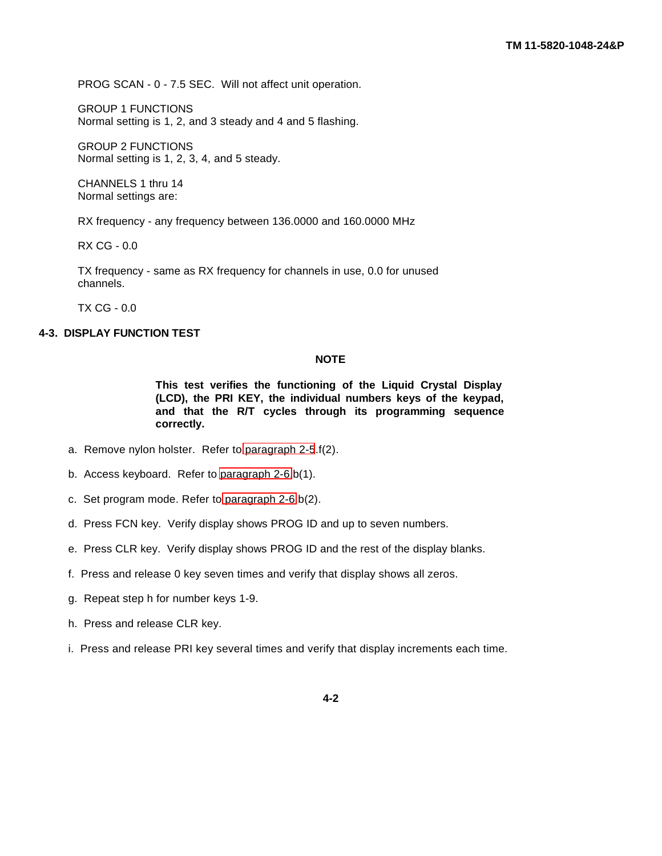<span id="page-61-1"></span><span id="page-61-0"></span>PROG SCAN - 0 - 7.5 SEC. Will not affect unit operation.

GROUP 1 FUNCTIONS Normal setting is 1, 2, and 3 steady and 4 and 5 flashing.

GROUP 2 FUNCTIONS Normal setting is 1, 2, 3, 4, and 5 steady.

CHANNELS 1 thru 14 Normal settings are:

RX frequency - any frequency between 136.0000 and 160.0000 MHz

RX CG - 0.0

TX frequency - same as RX frequency for channels in use, 0.0 for unused channels.

TX CG - 0.0

# **4-3. DISPLAY FUNCTION TEST**

## **NOTE**

**This test verifies the functioning of the Liquid Crystal Display (LCD), the PRI KEY, the individual numbers keys of the keypad, and that the R/T cycles through its programming sequence correctly.**

- a. Remove nylon holster. Refer to [paragraph 2-5](#page-16-0).f(2).
- b. Access keyboard. Refer to [paragraph 2-6.](#page-24-0)b(1).
- c. Set program mode. Refer to [paragraph 2-6.](#page-24-0)b(2).
- d. Press FCN key. Verify display shows PROG ID and up to seven numbers.
- e. Press CLR key. Verify display shows PROG ID and the rest of the display blanks.
- f. Press and release 0 key seven times and verify that display shows all zeros.
- g. Repeat step h for number keys 1-9.
- h. Press and release CLR key.
- i. Press and release PRI key several times and verify that display increments each time.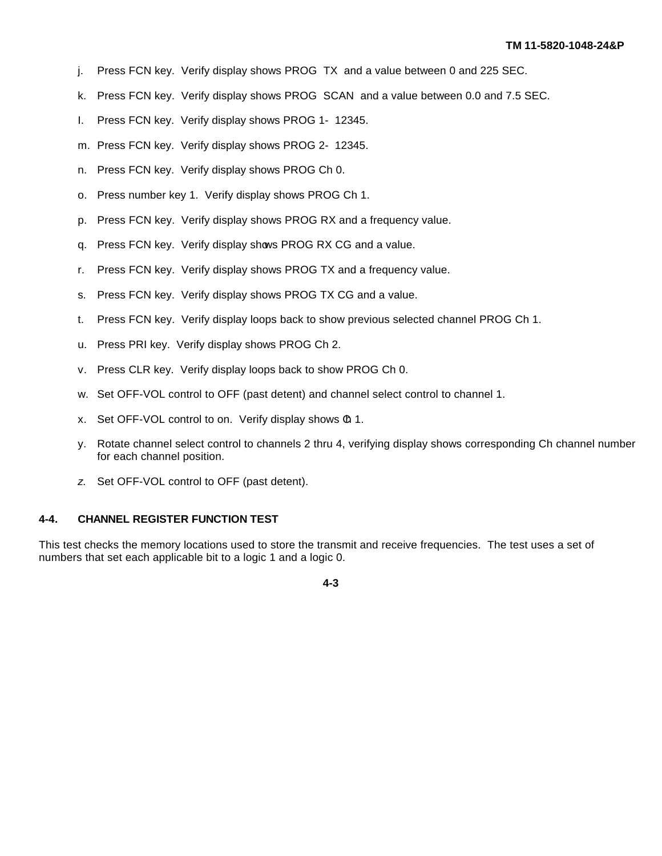- <span id="page-62-0"></span>j. Press FCN key. Verify display shows PROG TX and a value between 0 and 225 SEC.
- k. Press FCN key. Verify display shows PROG SCAN and a value between 0.0 and 7.5 SEC.
- I. Press FCN key. Verify display shows PROG 1- 12345.
- m. Press FCN key. Verify display shows PROG 2- 12345.
- n. Press FCN key. Verify display shows PROG Ch 0.
- o. Press number key 1. Verify display shows PROG Ch 1.
- p. Press FCN key. Verify display shows PROG RX and a frequency value.
- q. Press FCN key. Verify display shows PROG RX CG and a value.
- r. Press FCN key. Verify display shows PROG TX and a frequency value.
- s. Press FCN key. Verify display shows PROG TX CG and a value.
- t. Press FCN key. Verify display loops back to show previous selected channel PROG Ch 1.
- u. Press PRI key. Verify display shows PROG Ch 2.
- v. Press CLR key. Verify display loops back to show PROG Ch 0.
- w. Set OFF-VOL control to OFF (past detent) and channel select control to channel 1.
- x. Set OFF-VOL control to on. Verify display shows  $\Phi$  1.
- y. Rotate channel select control to channels 2 thru 4, verifying display shows corresponding Ch channel number for each channel position.
- *z*. Set OFF-VOL control to OFF (past detent).

#### **4-4. CHANNEL REGISTER FUNCTION TEST**

This test checks the memory locations used to store the transmit and receive frequencies. The test uses a set of numbers that set each applicable bit to a logic 1 and a logic 0.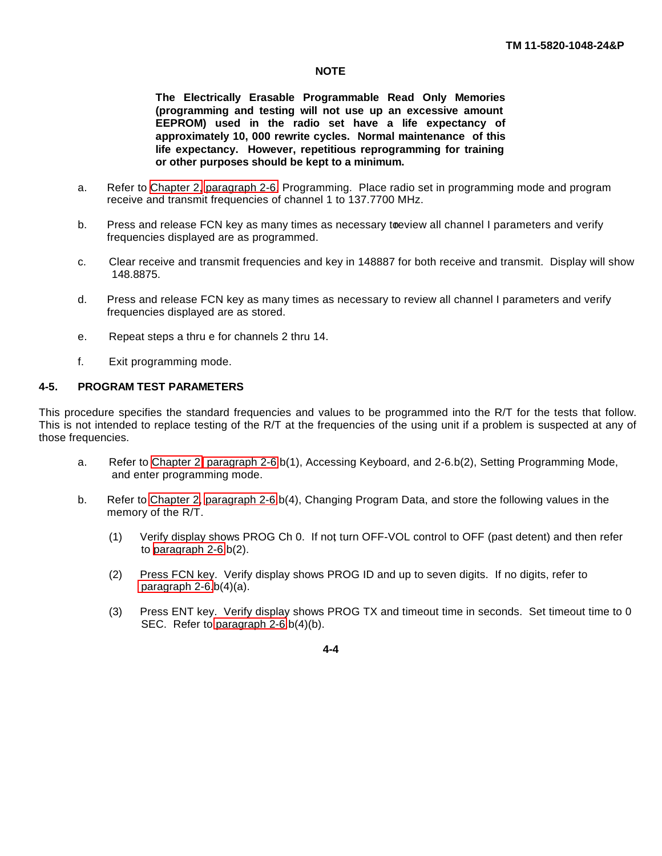## **NOTE**

**The Electrically Erasable Programmable Read Only Memories (programming and testing will not use up an excessive amount EEPROM) used in the radio set have a life expectancy of approximately 10, 000 rewrite cycles. Normal maintenance of this life expectancy. However, repetitious reprogramming for training or other purposes should be kept to a minimum.**

- <span id="page-63-0"></span>a. Refer to [Chapter 2,](#page-15-0) [paragraph 2-6,](#page-24-0) Programming. Place radio set in programming mode and program receive and transmit frequencies of channel 1 to 137.7700 MHz.
- b. Press and release FCN key as many times as necessary to eview all channel I parameters and verify frequencies displayed are as programmed.
- c. Clear receive and transmit frequencies and key in 148887 for both receive and transmit. Display will show 148.8875.
- d. Press and release FCN key as many times as necessary to review all channel I parameters and verify frequencies displayed are as stored.
- e. Repeat steps a thru e for channels 2 thru 14.
- f. Exit programming mode.

# **4-5. PROGRAM TEST PARAMETERS**

This procedure specifies the standard frequencies and values to be programmed into the R/T for the tests that follow. This is not intended to replace testing of the R/T at the frequencies of the using unit if a problem is suspected at any of those frequencies.

- a. Refer to [Chapter 2,](#page-15-0) [paragraph 2-6.](#page-24-0)b(1), Accessing Keyboard, and 2-6.b(2), Setting Programming Mode, and enter programming mode.
- b. Refer to [Chapter 2,](#page-15-0) [paragraph 2-6.](#page-24-0)b(4), Changing Program Data, and store the following values in the memory of the R/T.
	- (1) Verify display shows PROG Ch 0. If not, turn OFF-VOL control to OFF (past detent) and then refer to [paragraph 2-6.](#page-24-0)b(2).
	- (2) Press FCN key. Verify display shows PROG ID and up to seven digits. If no digits, refer to paragraph  $2-6.b(4)(a)$ .
	- (3) Press ENT key. Verify display shows PROG TX and timeout time in seconds. Set timeout time to 0 SEC. Refer to [paragraph 2-6.](#page-24-0)b(4)(b).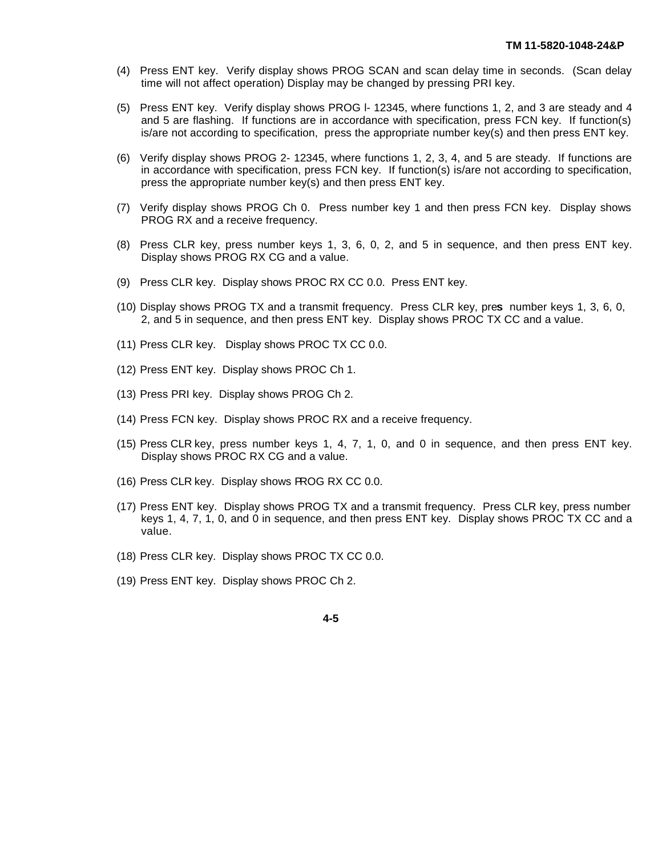- (4) Press ENT key. Verify display shows PROG SCAN and scan delay time in seconds. (Scan delay time will not affect operation) Display may be changed by pressing PRI key.
- (5) Press ENT key. Verify display shows PROG l- 12345, where functions 1, 2, and 3 are steady and 4 and 5 are flashing. If functions are in accordance with specification, press FCN key. If function(s) is/are not according to specification, press the appropriate number key(s) and then press ENT key.
- (6) Verify display shows PROG 2- 12345, where functions 1, 2, 3, 4, and 5 are steady. If functions are in accordance with specification, press FCN key. If function(s) is/are not according to specification, press the appropriate number key(s) and then press ENT key.
- (7) Verify display shows PROG Ch 0. Press number key 1 and then press FCN key. Display shows PROG RX and a receive frequency.
- (8) Press CLR key, press number keys 1, 3, 6, 0, 2, and 5 in sequence, and then press ENT key. Display shows PROG RX CG and a value.
- (9) Press CLR key. Display shows PROC RX CC 0.0. Press ENT key.
- (10) Display shows PROG TX and a transmit frequency. Press CLR key, pres number keys 1, 3, 6, 0, 2, and 5 in sequence, and then press ENT key. Display shows PROC TX CC and a value.
- (11) Press CLR key. Display shows PROC TX CC 0.0.
- (12) Press ENT key. Display shows PROC Ch 1.
- (13) Press PRI key. Display shows PROG Ch 2.
- (14) Press FCN key. Display shows PROC RX and a receive frequency.
- (15) Press CLR key, press number keys 1, 4, 7, 1, 0, and 0 in sequence, and then press ENT key. Display shows PROC RX CG and a value.
- (16) Press CLR key. Display shows PROG RX CC 0.0.
- (17) Press ENT key. Display shows PROG TX and a transmit frequency. Press CLR key, press number keys 1, 4, 7, 1, 0, and 0 in sequence, and then press ENT key. Display shows PROC TX CC and a value.
- (18) Press CLR key. Display shows PROC TX CC 0.0.
- (19) Press ENT key. Display shows PROC Ch 2.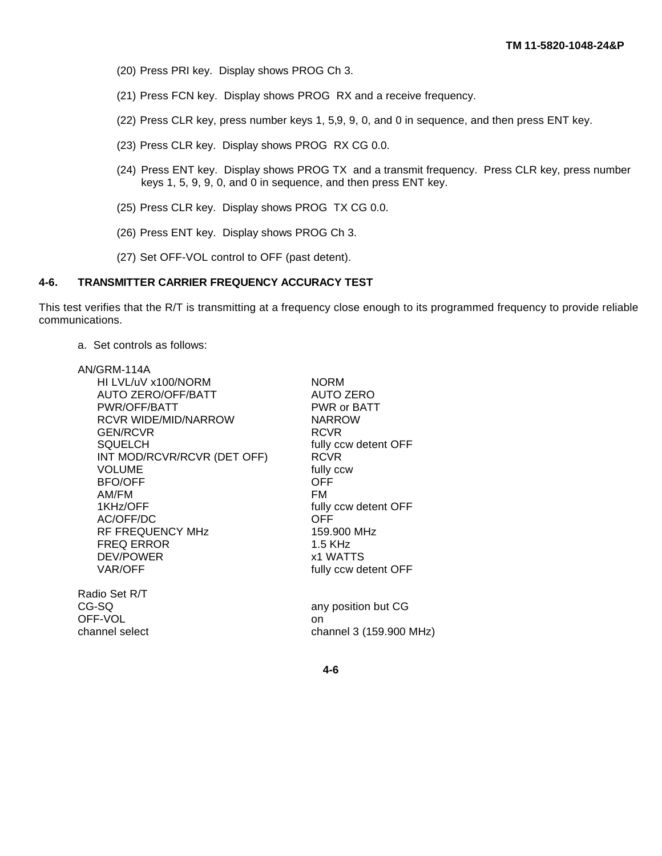- <span id="page-65-0"></span>(20) Press PRI key. Display shows PROG Ch 3.
- (21) Press FCN key. Display shows PROG RX and a receive frequency.
- (22) Press CLR key, press number keys 1, 5,9, 9, 0, and 0 in sequence, and then press ENT key.
- (23) Press CLR key. Display shows PROG RX CG 0.0.
- (24) Press ENT key. Display shows PROG TX and a transmit frequency. Press CLR key, press number keys 1, 5, 9, 9, 0, and 0 in sequence, and then press ENT key.
- (25) Press CLR key. Display shows PROG TX CG 0.0.
- (26) Press ENT key. Display shows PROG Ch 3.
- (27) Set OFF-VOL control to OFF (past detent).

# **4-6. TRANSMITTER CARRIER FREQUENCY ACCURACY TEST**

This test verifies that the R/T is transmitting at a frequency close enough to its programmed frequency to provide reliable communications.

a. Set controls as follows:

| AN/GRM-114A                 |                         |
|-----------------------------|-------------------------|
| HI LVL/uV x100/NORM         | <b>NORM</b>             |
| <b>AUTO ZERO/OFF/BATT</b>   | <b>AUTO ZERO</b>        |
| PWR/OFF/BATT                | PWR or BATT             |
| <b>RCVR WIDE/MID/NARROW</b> | <b>NARROW</b>           |
| <b>GEN/RCVR</b>             | <b>RCVR</b>             |
| <b>SQUELCH</b>              | fully ccw detent OFF    |
| INT MOD/RCVR/RCVR (DET OFF) | <b>RCVR</b>             |
| <b>VOLUME</b>               | fully ccw               |
| <b>BFO/OFF</b>              | <b>OFF</b>              |
| AM/FM                       | FM                      |
| 1KHz/OFF                    | fully ccw detent OFF    |
| AC/OFF/DC                   | OFF                     |
| RF FREQUENCY MHz            | 159,900 MHz             |
| <b>FREQ ERROR</b>           | $1.5$ KHz               |
| <b>DEV/POWER</b>            | x1 WATTS                |
| VAR/OFF                     | fully ccw detent OFF    |
| Radio Set R/T               |                         |
| CG-SQ                       | any position but CG     |
| OFF-VOL                     | on                      |
| channel select              | channel 3 (159.900 MHz) |
|                             |                         |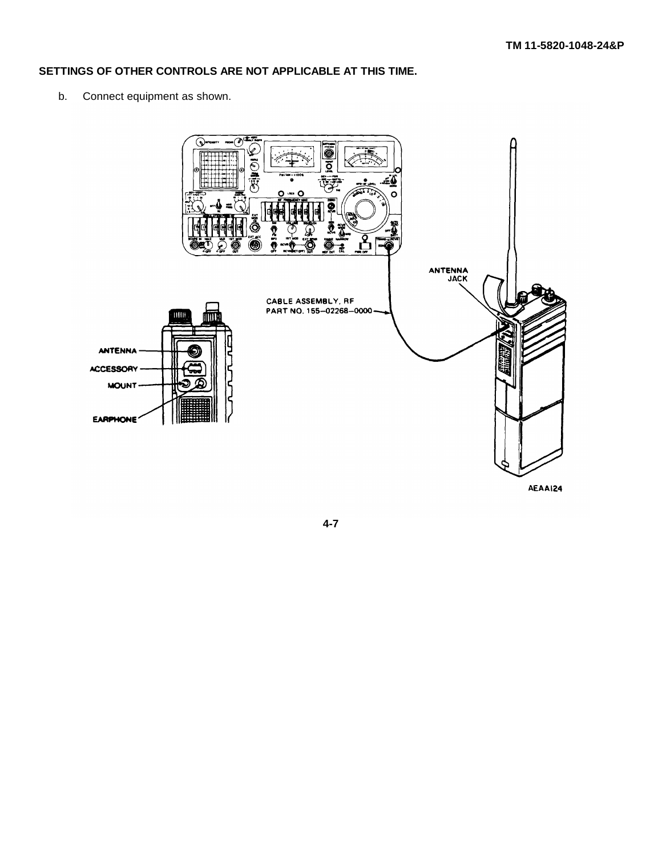# **SETTINGS OF OTHER CONTROLS ARE NOT APPLICABLE AT THIS TIME.**

b. Connect equipment as shown.



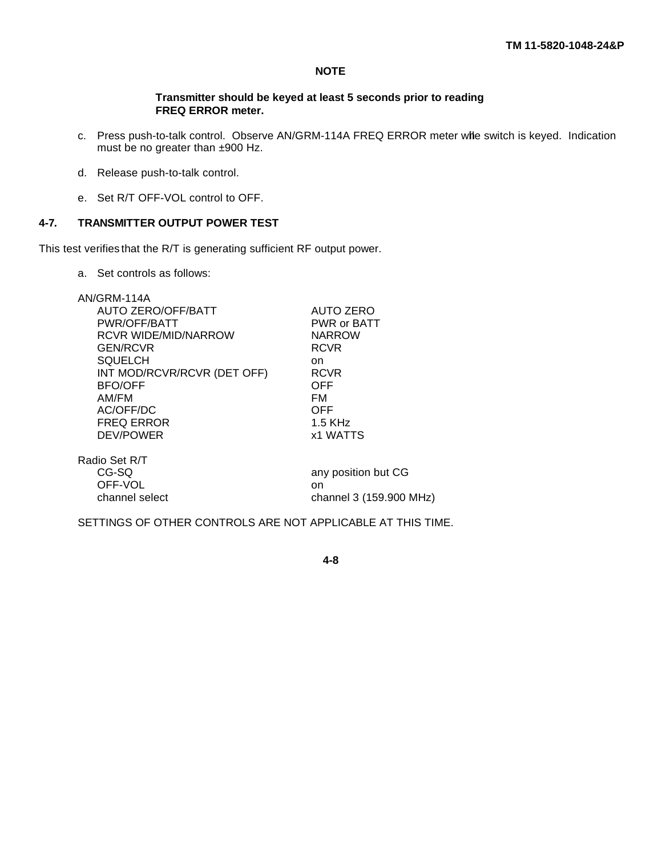# **NOTE**

#### **Transmitter should be keyed at least 5 seconds prior to reading FREQ ERROR meter.**

- <span id="page-67-0"></span>c. Press push-to-talk control. Observe AN/GRM-114A FREQ ERROR meter wile switch is keyed. Indication must be no greater than ±900 Hz.
- d. Release push-to-talk control.
- e. Set R/T OFF-VOL control to OFF.

### **4-7***.* **TRANSMITTER OUTPUT POWER TEST**

This test verifies that the R/T is generating sufficient RF output power.

a. Set controls as follows:

| AN/GRM-114A<br>AUTO ZERO/OFF/BATT<br>PWR/OFF/BATT<br><b>RCVR WIDE/MID/NARROW</b><br><b>GEN/RCVR</b><br><b>SQUELCH</b><br>INT MOD/RCVR/RCVR (DET OFF)<br><b>BFO/OFF</b><br>AM/FM<br>AC/OFF/DC<br><b>FREQ ERROR</b><br>DEV/POWER | AUTO ZERO<br>PWR or BATT<br><b>NARROW</b><br><b>RCVR</b><br>on<br><b>RCVR</b><br>OFF<br>FM<br>OFF<br>$1.5$ KHz<br>x1 WATTS |
|--------------------------------------------------------------------------------------------------------------------------------------------------------------------------------------------------------------------------------|----------------------------------------------------------------------------------------------------------------------------|
| Radio Set R/T                                                                                                                                                                                                                  |                                                                                                                            |
| CG-SQ                                                                                                                                                                                                                          | any position but CG                                                                                                        |
| OFF-VOL                                                                                                                                                                                                                        | on                                                                                                                         |
| channel select                                                                                                                                                                                                                 | channel 3 (159.900 MHz)                                                                                                    |

SETTINGS OF OTHER CONTROLS ARE NOT APPLICABLE AT THIS TIME.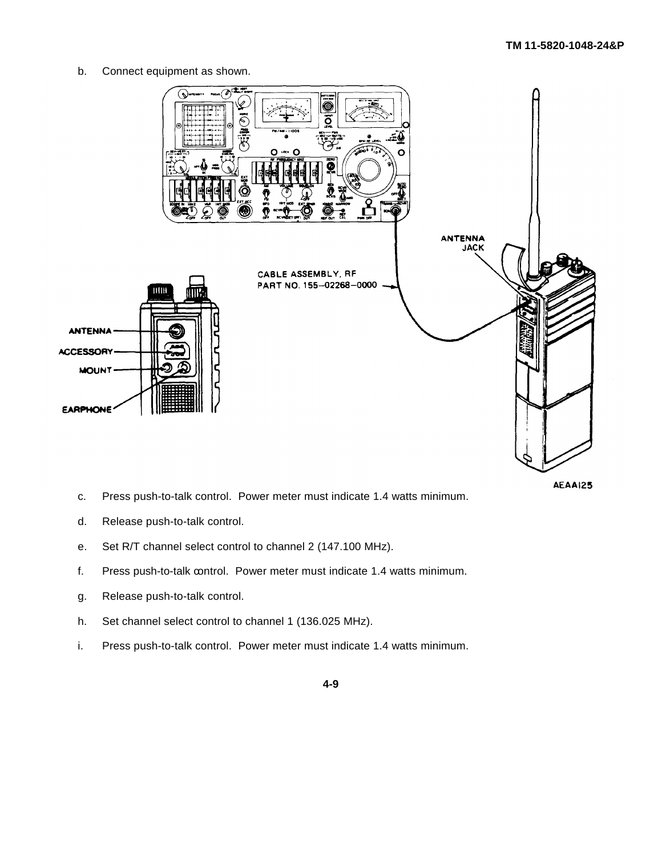b. Connect equipment as shown.



AEAA125

- c. Press push-to-talk control. Power meter must indicate 1.4 watts minimum.
- d. Release push-to-talk control.
- e. Set R/T channel select control to channel 2 (147.100 MHz).
- f. Press push-to-talk control. Power meter must indicate 1.4 watts minimum.
- g. Release push-to-talk control.
- h. Set channel select control to channel 1 (136.025 MHz).
- i. Press push-to-talk control. Power meter must indicate 1.4 watts minimum.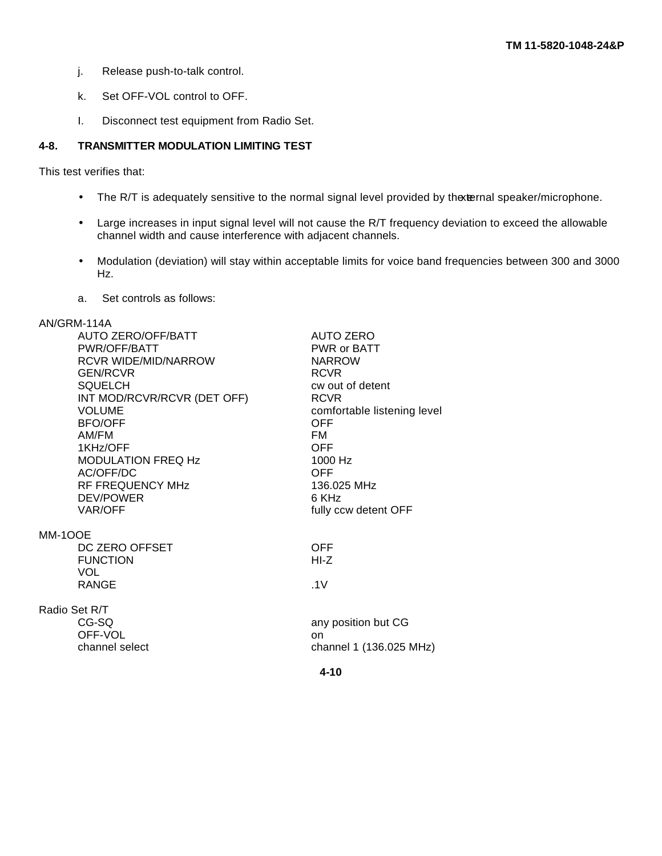- j. Release push-to-talk control.
- k. Set OFF-VOL control to OFF.
- I. Disconnect test equipment from Radio Set.

# <span id="page-69-0"></span>**4-8. TRANSMITTER MODULATION LIMITING TEST**

This test verifies that:

- The R/T is adequately sensitive to the normal signal level provided by the ternal speaker/microphone.
- Large increases in input signal level will not cause the R/T frequency deviation to exceed the allowable channel width and cause interference with adjacent channels.
- Modulation (deviation) will stay within acceptable limits for voice band frequencies between 300 and 3000 Hz.
- a. Set controls as follows:

# AN/GRM-114A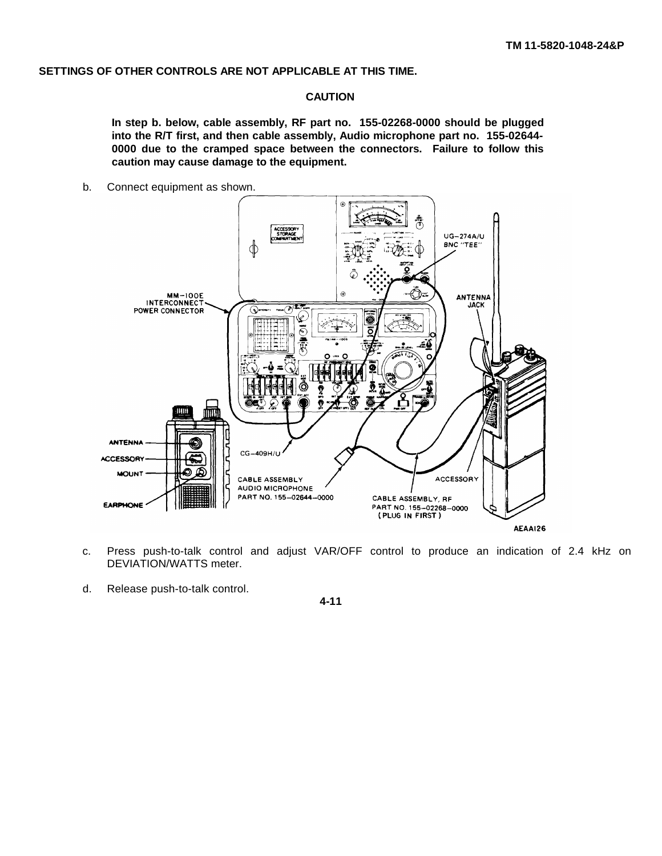## **SETTINGS OF OTHER CONTROLS ARE NOT APPLICABLE AT THIS TIME.**

# **CAUTION**

**In step b. below, cable assembly, RF part no. 155-02268-0000 should be plugged into the R/T first, and then cable assembly, Audio microphone part no. 155-02644- 0000 due to the cramped space between the connectors. Failure to follow this caution may cause damage to the equipment.**

b. Connect equipment as shown.



- c. Press push-to-talk control and adjust VAR/OFF control to produce an indication of 2.4 kHz on DEVIATION/WATTS meter.
- d. Release push-to-talk control.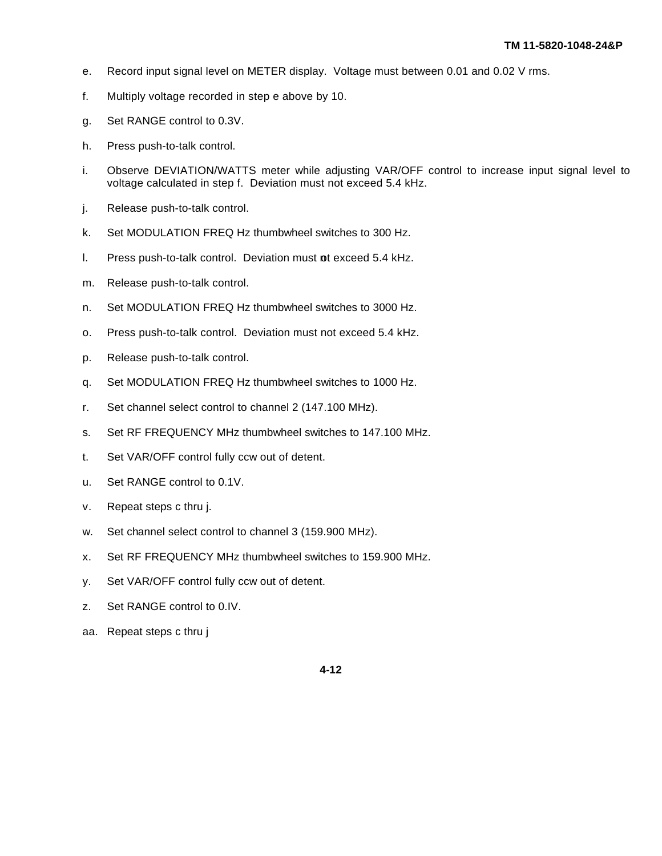- e. Record input signal level on METER display. Voltage must between 0.01 and 0.02 V rms.
- f. Multiply voltage recorded in step e above by 10.
- g. Set RANGE control to 0.3V.
- h. Press push-to-talk control.
- i. Observe DEVIATION/WATTS meter while adjusting VAR/OFF control to increase input signal level to voltage calculated in step f. Deviation must not exceed 5.4 kHz.
- j. Release push-to-talk control.
- k. Set MODULATION FREQ Hz thumbwheel switches to 300 Hz.
- l. Press push-to-talk control. Deviation must ot exceed 5.4 kHz.
- m. Release push-to-talk control.
- n. Set MODULATION FREQ Hz thumbwheel switches to 3000 Hz.
- o. Press push-to-talk control. Deviation must not exceed 5.4 kHz.
- p. Release push-to-talk control.
- q. Set MODULATION FREQ Hz thumbwheel switches to 1000 Hz.
- r. Set channel select control to channel 2 (147.100 MHz).
- s. Set RF FREQUENCY MHz thumbwheel switches to 147.100 MHz.
- t. Set VAR/OFF control fully ccw out of detent.
- u. Set RANGE control to 0.1V.
- v. Repeat steps c thru j.
- w. Set channel select control to channel 3 (159.900 MHz).
- x. Set RF FREQUENCY MHz thumbwheel switches to 159.900 MHz.
- y. Set VAR/OFF control fully ccw out of detent.
- z. Set RANGE control to 0.IV.
- aa. Repeat steps c thru j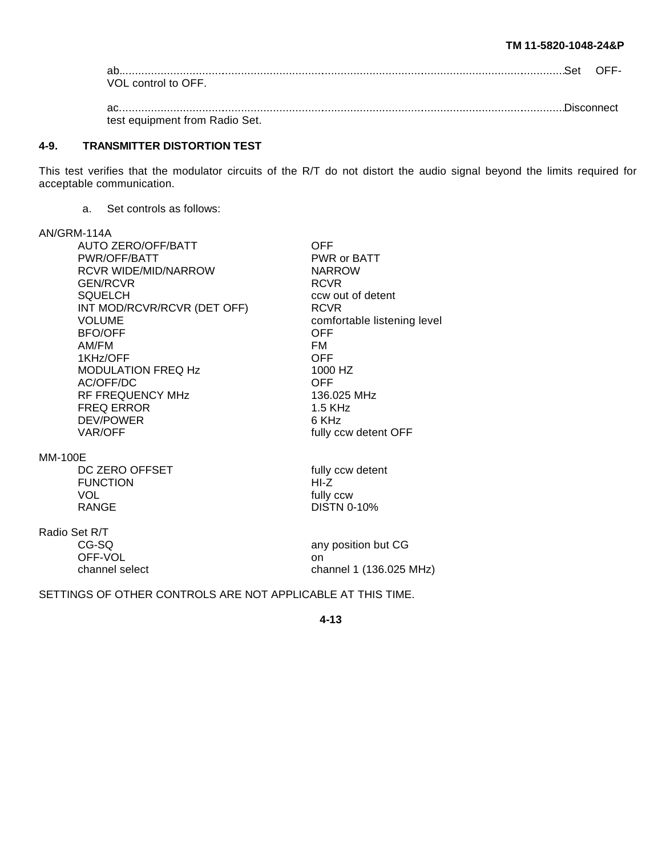#### **TM 11-5820-1048-24&P**

| ab                 |  |
|--------------------|--|
| VOL control to OFF |  |
|                    |  |

ac...........................................................................................................................................Disconnect test equipment from Radio Set.

#### <span id="page-72-0"></span>**4-9. TRANSMITTER DISTORTION TEST**

This test verifies that the modulator circuits of the R/T do not distort the audio signal beyond the limits required for acceptable communication.

a. Set controls as follows:

# AN/GRM-114A

|                | <b>AUTO ZERO/OFF/BATT</b>   | OFF                         |
|----------------|-----------------------------|-----------------------------|
|                | PWR/OFF/BATT                | PWR or BATT                 |
|                | <b>RCVR WIDE/MID/NARROW</b> | <b>NARROW</b>               |
|                | <b>GEN/RCVR</b>             | <b>RCVR</b>                 |
|                | <b>SQUELCH</b>              | ccw out of detent           |
|                | INT MOD/RCVR/RCVR (DET OFF) | <b>RCVR</b>                 |
|                | <b>VOLUME</b>               | comfortable listening level |
|                | <b>BFO/OFF</b>              | <b>OFF</b>                  |
|                | AM/FM                       | FM                          |
|                | 1KHz/OFF                    | <b>OFF</b>                  |
|                | MODULATION FREQ Hz          | 1000 HZ                     |
|                | AC/OFF/DC                   | <b>OFF</b>                  |
|                | RF FREQUENCY MHz            | 136.025 MHz                 |
|                | <b>FREQ ERROR</b>           | $1.5$ KHz                   |
|                | DEV/POWER                   | 6 KHz                       |
|                | <b>VAR/OFF</b>              | fully ccw detent OFF        |
| <b>MM-100E</b> |                             |                             |
|                | DC ZERO OFFSET              | fully ccw detent            |
|                | <b>FUNCTION</b>             | HI-Z                        |
|                | <b>VOL</b>                  | fully ccw                   |
|                | <b>RANGE</b>                | <b>DISTN 0-10%</b>          |
|                | Radio Set R/T               |                             |
|                | CG-SQ                       | any position but CG         |
|                | OFF-VOL                     | on                          |
|                | channel select              | channel 1 (136.025 MHz)     |
|                |                             |                             |

SETTINGS OF OTHER CONTROLS ARE NOT APPLICABLE AT THIS TIME.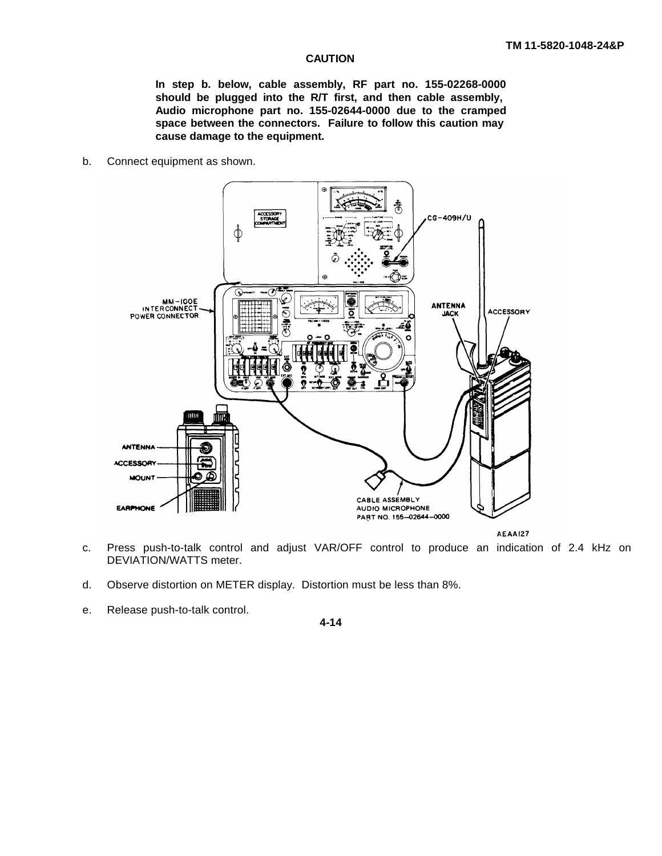#### **CAUTION**

**In step b. below, cable assembly, RF part no. 155-02268-0000 should be plugged into the R/T first, and then cable assembly, Audio microphone part no. 155-02644-0000 due to the cramped space between the connectors. Failure to follow this caution may cause damage to the equipment.**

b. Connect equipment as shown.



- c. Press push-to-talk control and adjust VAR/OFF control to produce an indication of 2.4 kHz on DEVIATION/WATTS meter.
- d. Observe distortion on METER display. Distortion must be less than 8%.
- e. Release push-to-talk control.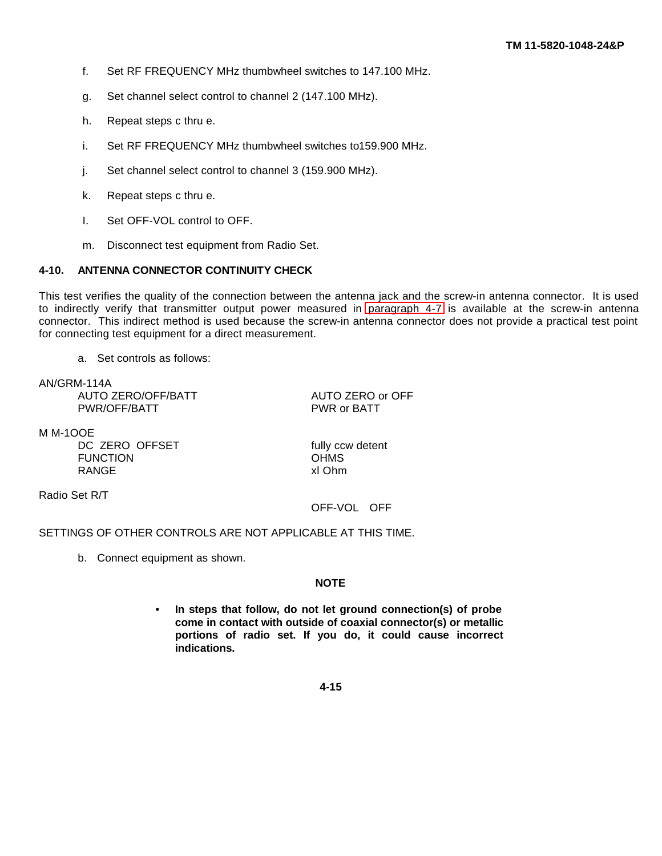- f. Set RF FREQUENCY MHz thumbwheel switches to 147.100 MHz.
- g. Set channel select control to channel 2 (147.100 MHz).
- h. Repeat steps c thru e.
- i. Set RF FREQUENCY MHz thumbwheel switches to 159.900 MHz.
- j. Set channel select control to channel 3 (159.900 MHz).
- k. Repeat steps c thru e.
- I. Set OFF-VOL control to OFF.
- m. Disconnect test equipment from Radio Set.

## **4-10. ANTENNA CONNECTOR CONTINUITY CHECK**

This test verifies the quality of the connection between the antenna jack and the screw-in antenna connector. It is used to indirectly verify that transmitter output power measured in [paragraph 4-7](#page-67-0) is available at the screw-in antenna connector. This indirect method is used because the screw-in antenna connector does not provide a practical test point for connecting test equipment for a direct measurement.

a. Set controls as follows:

AN/GRM-114A AUTO ZERO/OFF/BATT AUTO ZERO or OFF PWR/OFF/BATT PWR or BATT

M M-1OOE

DC ZERO OFFSET fully ccw detent<br>FUNCTION CHMS FUNCTION DHMS<br>RANGE XI Ohm RANGE

Radio Set R/T

# OFF-VOL OFF

# SETTINGS OF OTHER CONTROLS ARE NOT APPLICABLE AT THIS TIME.

b. Connect equipment as shown.

# **NOTE**

**• In steps that follow, do not let ground connection(s) of probe come in contact with outside of coaxial connector(s) or metallic portions of radio set. If you do, it could cause incorrect indications.**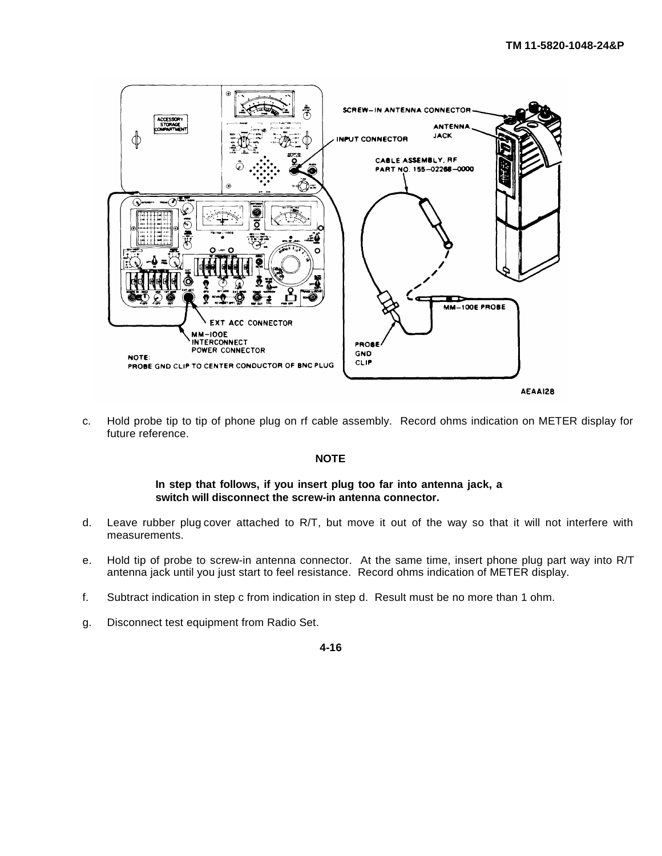

c. Hold probe tip to tip of phone plug on rf cable assembly. Record ohms indication on METER display for future reference.

# **NOTE**

#### **In step that follows, if you insert plug too far into antenna jack, a switch will disconnect the screw-in antenna connector.**

- d. Leave rubber plug cover attached to R/T, but move it out of the way so that it will not interfere with measurements.
- e. Hold tip of probe to screw-in antenna connector. At the same time, insert phone plug part way into R/T antenna jack until you just start to feel resistance. Record ohms indication of METER display.
- f. Subtract indication in step c from indication in step d. Result must be no more than 1 ohm.
- g. Disconnect test equipment from Radio Set.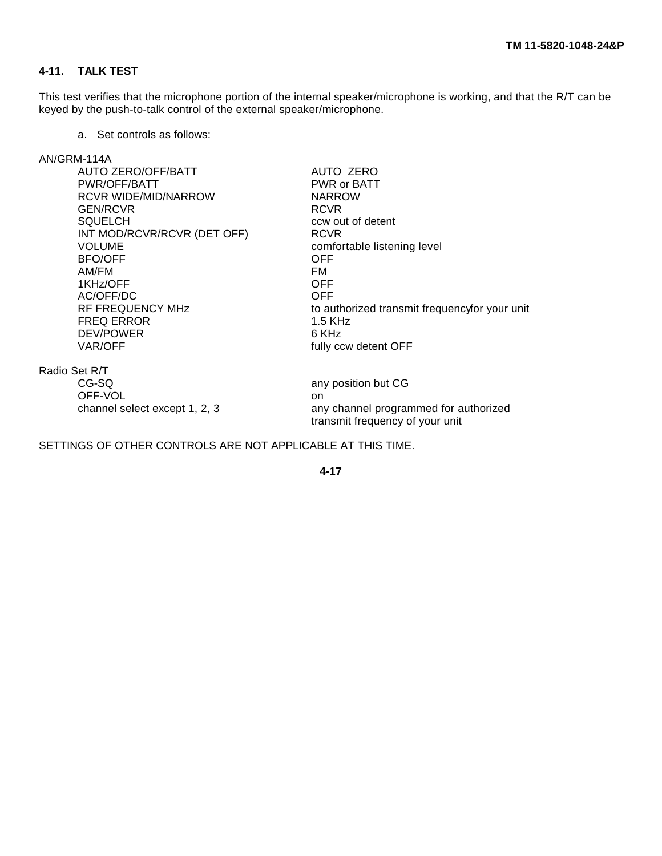# **4-11. TALK TEST**

This test verifies that the microphone portion of the internal speaker/microphone is working, and that the R/T can be keyed by the push-to-talk control of the external speaker/microphone.

a. Set controls as follows:

# AN/GRM-114A

| PWR (<br><b>NARR</b><br>RCVR |
|------------------------------|
|                              |
|                              |
|                              |
| CCW OI                       |
| <b>RCVR</b>                  |
| comfo                        |
| OFF.                         |
| FM                           |
| <b>OFF</b>                   |
| <b>OFF</b>                   |
| to autl                      |
| $1.5$ K <sub>h</sub>         |
|                              |
| 6 KHz                        |
|                              |

AUTO ZERO PWR or BATT **NARROW RCVR** ccw out of detent<br>RCVR comfortable listening level<br>OFF to authorized transmit frequency for your unit  $1.5$  KHz 6 KHz fully ccw detent OFF

Radio Set R/T CG-SQ any position but CG OFF-VOL on

channel select except 1, 2, 3 any channel programmed for authorized transmit frequency of your unit

SETTINGS OF OTHER CONTROLS ARE NOT APPLICABLE AT THIS TIME.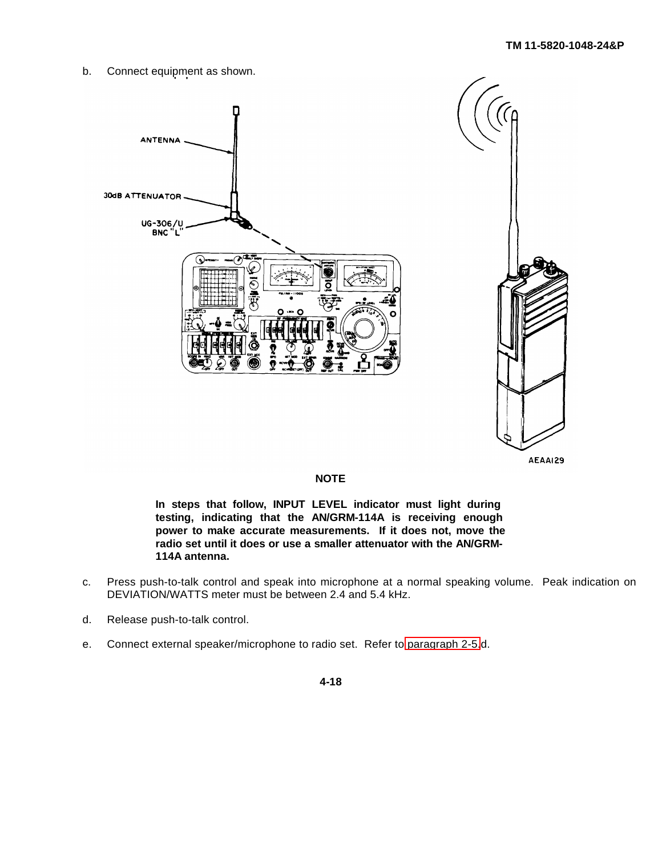b. Connect equipment as shown.





#### **NOTE**

**In steps that follow, INPUT LEVEL indicator must light during testing, indicating that the AN/GRM-114A is receiving enough power to make accurate measurements. If it does not, move the radio set until it does or use a smaller attenuator with the AN/GRM-114A antenna.**

- c. Press push-to-talk control and speak into microphone at a normal speaking volume. Peak indication on DEVIATION/WATTS meter must be between 2.4 and 5.4 kHz.
- d. Release push-to-talk control.
- e. Connect external speaker/microphone to radio set. Refer to [paragraph 2-5.](#page-16-0)d.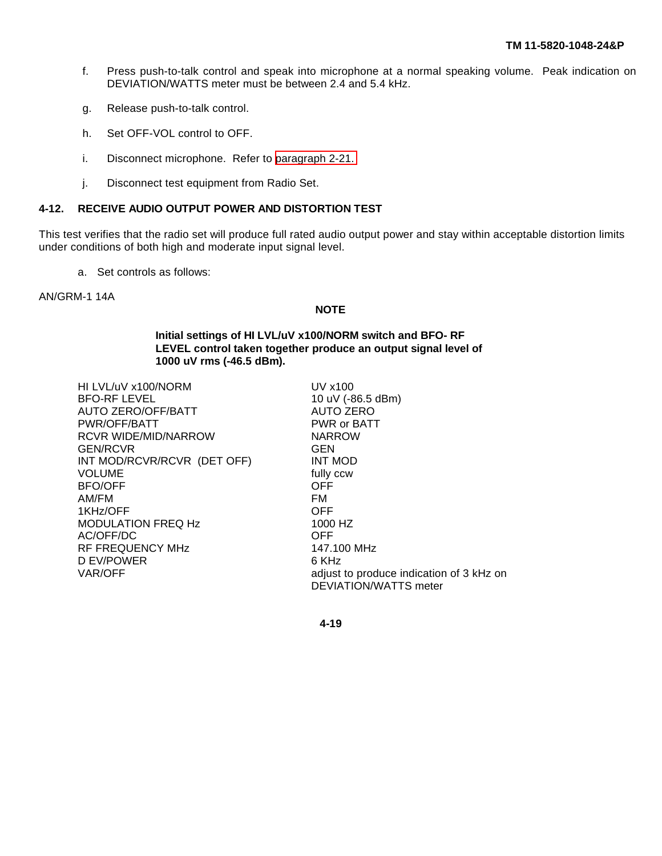- <span id="page-78-0"></span>f. Press push-to-talk control and speak into microphone at a normal speaking volume. Peak indication on DEVIATION/WATTS meter must be between 2.4 and 5.4 kHz.
- g. Release push-to-talk control.
- h. Set OFF-VOL control to OFF.
- i. Disconnect microphone. Refer to [paragraph 2-21.](#page-52-0)
- j. Disconnect test equipment from Radio Set.

#### **4-12. RECEIVE AUDIO OUTPUT POWER AND DISTORTION TEST**

This test verifies that the radio set will produce full rated audio output power and stay within acceptable distortion limits under conditions of both high and moderate input signal level.

a. Set controls as follows:

AN/GRM-1 14A

#### **NOTE**

**Initial settings of HI LVL/uV x100/NORM switch and BFO- RF LEVEL control taken together produce an output signal level of 1000 uV rms (-46.5 dBm).**

| HI LVL/uV x100/NORM         | UV x100                                  |
|-----------------------------|------------------------------------------|
| <b>BFO-RF LEVEL</b>         | 10 uV (-86.5 dBm)                        |
| AUTO ZERO/OFF/BATT          | AUTO ZERO                                |
| PWR/OFF/BATT                | PWR or BATT                              |
| RCVR WIDE/MID/NARROW        | <b>NARROW</b>                            |
| GEN/RCVR                    | <b>GEN</b>                               |
| INT MOD/RCVR/RCVR (DET OFF) | <b>INT MOD</b>                           |
| VOLUME                      | fully ccw                                |
| BFO/OFF                     | OFF.                                     |
| AM/FM                       | FM                                       |
| 1KHz/OFF                    | <b>OFF</b>                               |
| MODULATION FREQ Hz          | 1000 HZ                                  |
| AC/OFF/DC                   | <b>OFF</b>                               |
| RF FREQUENCY MHz            | 147.100 MHz                              |
| D EV/POWER                  | 6 KHz                                    |
| VAR/OFF                     | adjust to produce indication of 3 kHz on |
|                             | <b>DEVIATION/WATTS meter</b>             |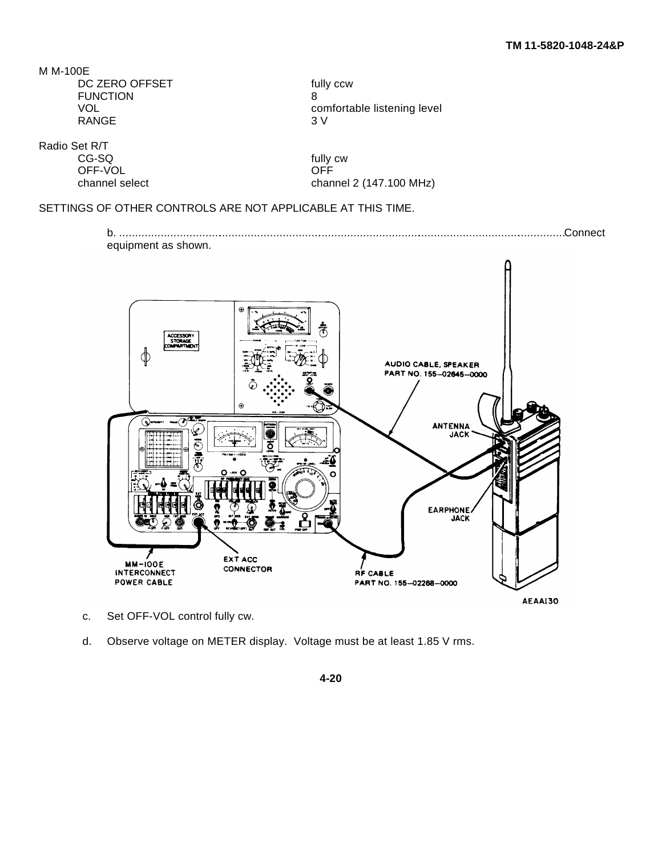| fully |
|-------|
|       |
| con   |
| 3V    |
|       |

fully ccw comfortable listening level<br>3 V

Radio Set R/T

OFF-VOL

fully cw<br>OFF channel select channel 2 (147.100 MHz)

# SETTINGS OF OTHER CONTROLS ARE NOT APPLICABLE AT THIS TIME.

b. ...........................................................................................................................................Connect equipment as shown.



AEAAI30

- c. Set OFF-VOL control fully cw.
- d. Observe voltage on METER display. Voltage must be at least 1.85 V rms.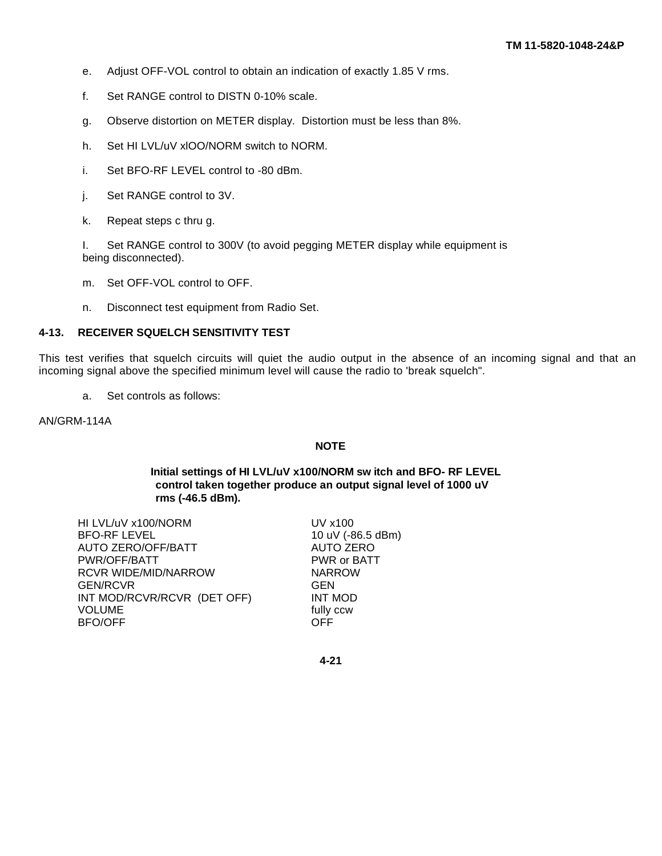- e. Adjust OFF-VOL control to obtain an indication of exactly 1.85 V rms.
- f. Set RANGE control to DISTN 0-10% scale.
- g. Observe distortion on METER display. Distortion must be less than 8%.
- h. Set HI LVL/uV xlOO/NORM switch to NORM.
- i. Set BFO-RF LEVEL control to -80 dBm.
- j. Set RANGE control to 3V.
- k. Repeat steps c thru g.

I. Set RANGE control to 300V (to avoid pegging METER display while equipment is being disconnected).

- m. Set OFF-VOL control to OFF.
- n. Disconnect test equipment from Radio Set.

# **4-13. RECEIVER SQUELCH SENSITIVITY TEST**

This test verifies that squelch circuits will quiet the audio output in the absence of an incoming signal and that an incoming signal above the specified minimum level will cause the radio to 'break squelch".

a. Set controls as follows:

AN/GRM-114A

## **NOTE**

## **Initial settings of HI LVL/uV x100/NORM sw itch and BFO- RF LEVEL control taken together produce an output signal level of 1000 uV rms (-46.5 dBm).**

| HI LVL/uV x100/NORM         | UV x100           |
|-----------------------------|-------------------|
| <b>BFO-RF LEVEL</b>         | 10 uV (-86.5 dBm) |
| <b>AUTO ZERO/OFF/BATT</b>   | <b>AUTO ZERO</b>  |
| PWR/OFF/BATT                | PWR or BATT       |
| <b>RCVR WIDE/MID/NARROW</b> | <b>NARROW</b>     |
| <b>GEN/RCVR</b>             | GEN               |
| INT MOD/RCVR/RCVR (DET OFF) | INT MOD           |
| <b>VOLUME</b>               | fully ccw         |
| <b>BFO/OFF</b>              | OFF               |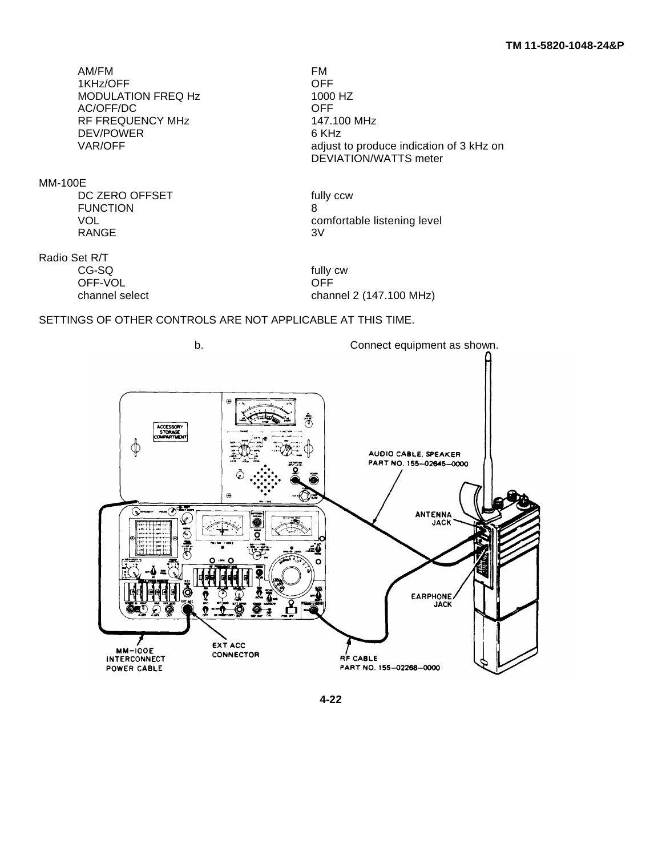AM/FM FM FM FM FM FM FM FM FM P 1KHz/OFF OFF MODULATION FREQ Hz AC/OFF/DC OFF RF FREQUENCY MHz DEV/POWER 6 KHz

MM-100E

DC ZERO OFFSET fully ccw FUNCTION 8 RANGE

Radio Set R/T

OFF-VOL OFF

VAR/OFF and adjust to produce indication of 3 kHz on DEVIATION/WATTS meter

VOL VOL COMPOSE COMPORATION COMPOSE COMPOSE COMPOSE COMPOSE OF RANGE COMPOSE OF SAMPLE COMPOSE OF SAMPLE COMPOSE OF SAMPLE COMPOSE OF SAMPLE COMPOSE OF SAMPLE COMPOSE OF SAMPLE COMPOSE OF SAMPLE COMPOSE OF SAMPLE COMPOSE O

fully cw channel select channel 2 (147.100 MHz)

# SETTINGS OF OTHER CONTROLS ARE NOT APPLICABLE AT THIS TIME.

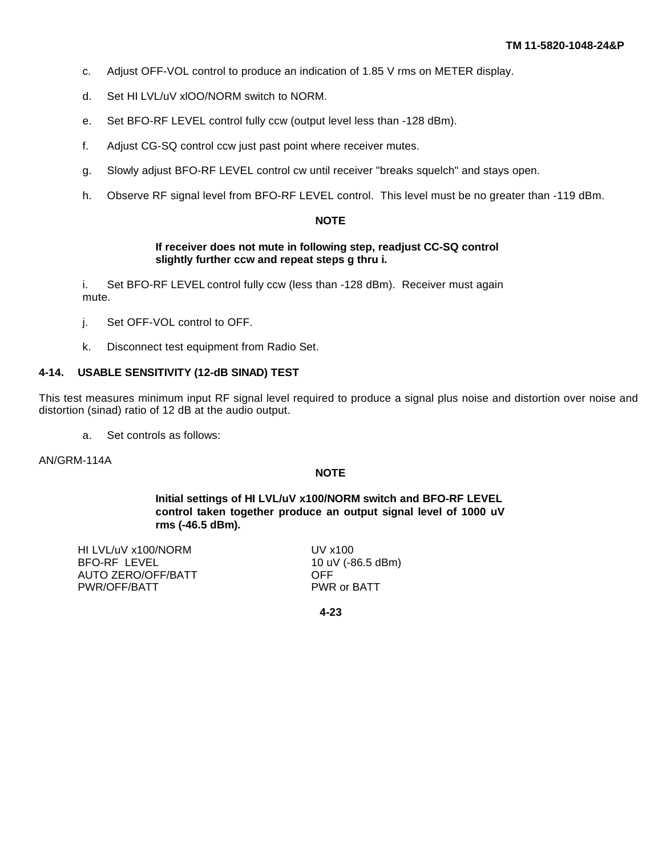- c. Adjust OFF-VOL control to produce an indication of 1.85 V rms on METER display.
- d. Set HI LVL/uV xlOO/NORM switch to NORM.
- e. Set BFO-RF LEVEL control fully ccw (output level less than -128 dBm).
- f. Adjust CG-SQ control ccw just past point where receiver mutes.
- g. Slowly adjust BFO-RF LEVEL control cw until receiver "breaks squelch" and stays open.
- h. Observe RF signal level from BFO-RF LEVEL control. This level must be no greater than -119 dBm.

#### **NOTE**

#### **If receiver does not mute in following step, readjust CC-SQ control slightly further ccw and repeat steps g thru i.**

i. Set BFO-RF LEVEL control fully ccw (less than -128 dBm). Receiver must again mute.

- j. Set OFF-VOL control to OFF.
- k. Disconnect test equipment from Radio Set.

#### **4-14. USABLE SENSITIVITY (12-dB SINAD) TEST**

This test measures minimum input RF signal level required to produce a signal plus noise and distortion over noise and distortion (sinad) ratio of 12 dB at the audio output.

a. Set controls as follows:

AN/GRM-114A

#### **NOTE**

**Initial settings of HI LVL/uV x100/NORM switch and BFO-RF LEVEL control taken together produce an output signal level of 1000 uV rms (-46.5 dBm).**

HI LVL/uV x100/NORM UV x100 BFO-RF LEVEL 10 uV (-86.5 dBm) AUTO ZERO/OFF/BATT OFF PWR/OFF/BATT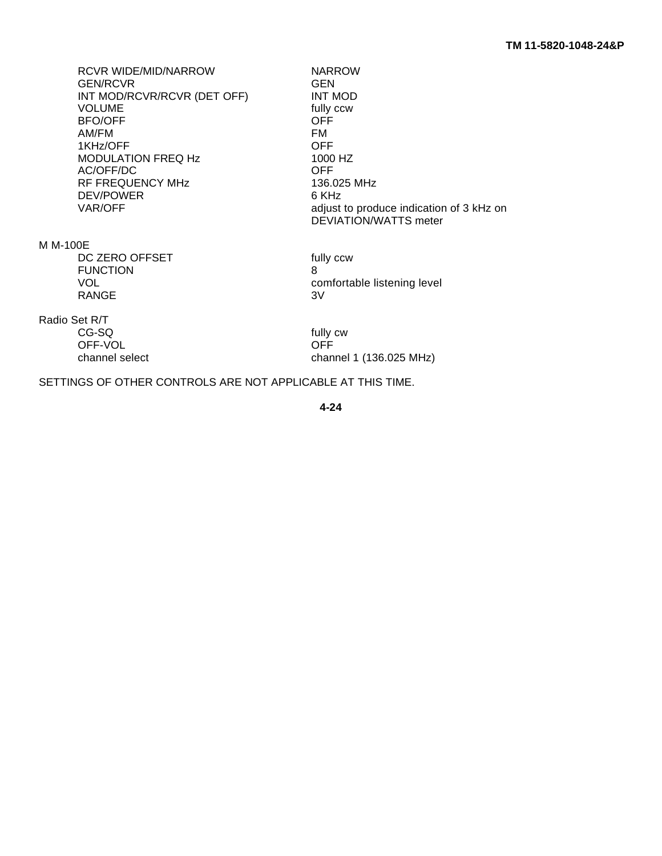RCVR WIDE/MID/NARROW NARROW NARROW GEN/RCVR GEN/RCVR<br>INT MOD/RCVR/RCVR (DET OFF) INT MOD INT MOD/RCVR/RCVR (DET OFF) VOLUME fully ccw<br>BFO/OFF **fully ccw** BFO/OFF OFF AM/FM 1KHz/OFF OFF MODULATION FREQ Hz 1000<br>AC/OFF/DC 1000 HZ AC/OFF/DC RF FREQUENCY MHz<br>DEV/POWER 136.025 MHz DEV/POWER<br>VAR/OFF

M M-100E

DC ZERO OFFSET fully ccw FUNCTION 8 RANGE 3V

Radio Set R/T

OFF-VOL

adjust to produce indication of 3 kHz on DEVIATION/WATTS meter

VOL VOL **COMPUTE 2018** Comfortable listening level

fully cw<br>OFF channel select channel 1 (136.025 MHz)

SETTINGS OF OTHER CONTROLS ARE NOT APPLICABLE AT THIS TIME.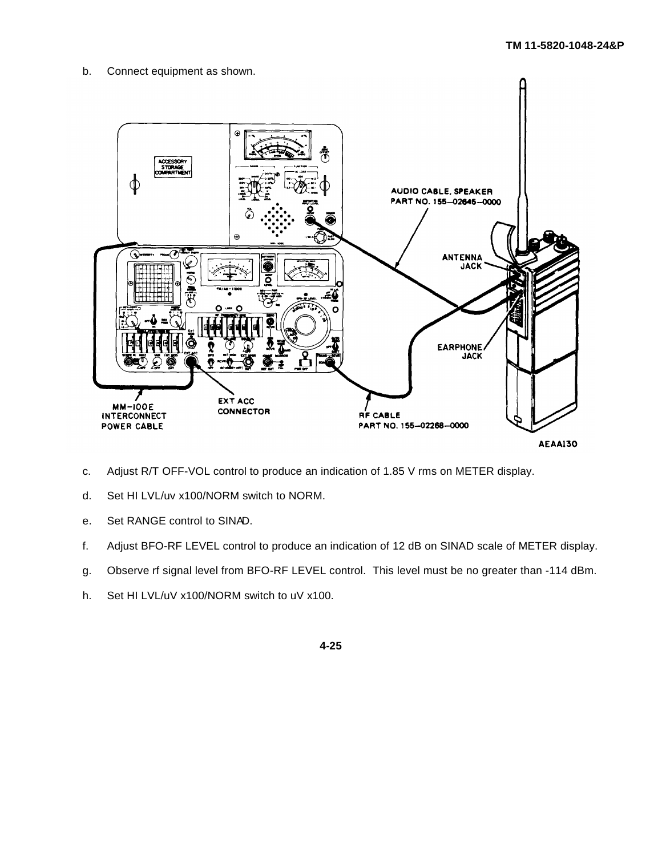b. Connect equipment as shown.



- c. Adjust R/T OFF-VOL control to produce an indication of 1.85 V rms on METER display.
- d. Set HI LVL/uv x100/NORM switch to NORM.
- e. Set RANGE control to SINAD.
- f. Adjust BFO-RF LEVEL control to produce an indication of 12 dB on SINAD scale of METER display.
- g. Observe rf signal level from BFO-RF LEVEL control. This level must be no greater than -114 dBm.
- h. Set HI LVL/uV x100/NORM switch to uV x100.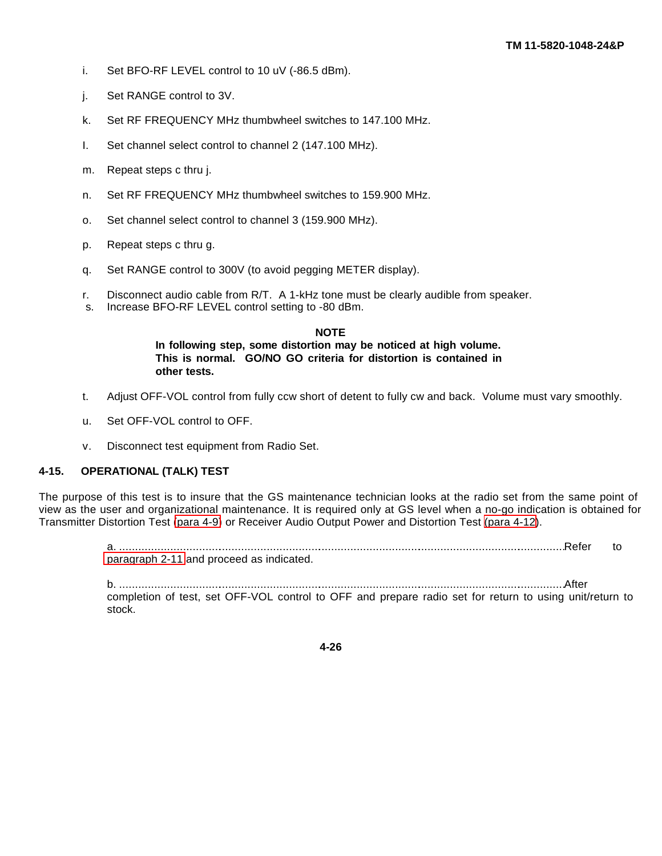- i. Set BFO-RF LEVEL control to 10 uV (-86.5 dBm).
- j. Set RANGE control to 3V.
- k. Set RF FREQUENCY MHz thumbwheel switches to 147.100 MHz.
- I. Set channel select control to channel 2 (147.100 MHz).
- m. Repeat steps c thru j.
- n. Set RF FREQUENCY MHz thumbwheel switches to 159.900 MHz.
- o. Set channel select control to channel 3 (159.900 MHz).
- p. Repeat steps c thru g.
- q. Set RANGE control to 300V (to avoid pegging METER display).
- r. Disconnect audio cable from R/T. A 1-kHz tone must be clearly audible from speaker.
- s. Increase BFO-RF LEVEL control setting to -80 dBm.

#### **NOTE**

**In following step, some distortion may be noticed at high volume. This is normal. GO/NO GO criteria for distortion is contained in other tests.**

- t. Adjust OFF-VOL control from fully ccw short of detent to fully cw and back. Volume must vary smoothly.
- u. Set OFF-VOL control to OFF.
- v. Disconnect test equipment from Radio Set.

#### **4-15. OPERATIONAL (TALK) TEST**

The purpose of this test is to insure that the GS maintenance technician looks at the radio set from the same point of view as the user and organizational maintenance. It is required only at GS level when a no-go indication is obtained for Transmitter Distortion Test [\(para 4-9\)](#page-72-0) or Receiver Audio Output Power and Distortion Test [\(para 4-12\)](#page-78-0).

> a. ...........................................................................................................................................Refer to [paragraph 2-11](#page-48-0) and proceed as indicated.

b. ...........................................................................................................................................After

completion of test, set OFF-VOL control to OFF and prepare radio set for return to using unit/return to stock.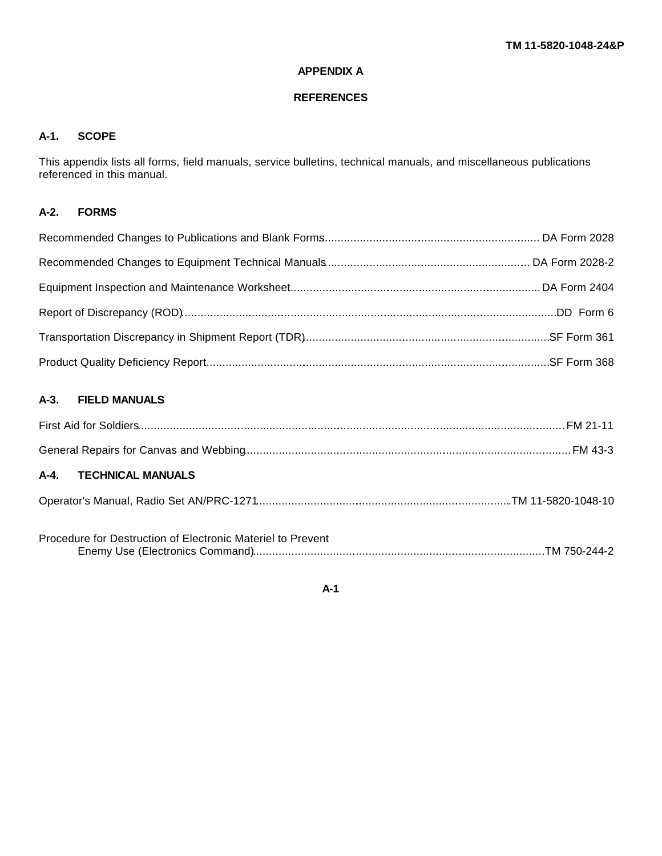# **APPENDIX A**

#### **REFERENCES**

# **A-1. SCOPE**

This appendix lists all forms, field manuals, service bulletins, technical manuals, and miscellaneous publications referenced in this manual.

# **A-2. FORMS**

# **A-3. FIELD MANUALS**

| A-4. TECHNICAL MANUALS                                      |  |
|-------------------------------------------------------------|--|
|                                                             |  |
| Procedure for Destruction of Electronic Materiel to Prevent |  |

**A-1**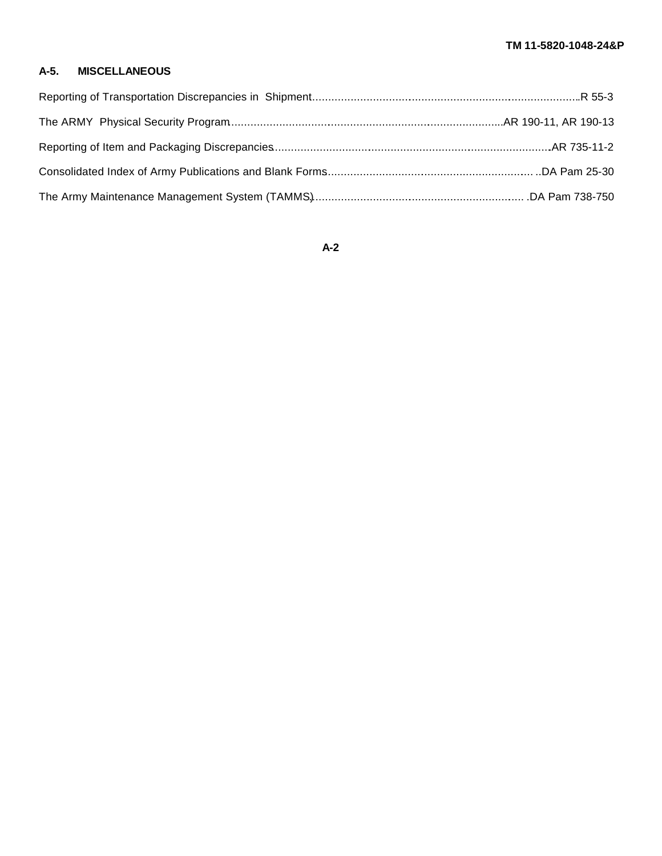# **A-5. MISCELLANEOUS**

# **A-2**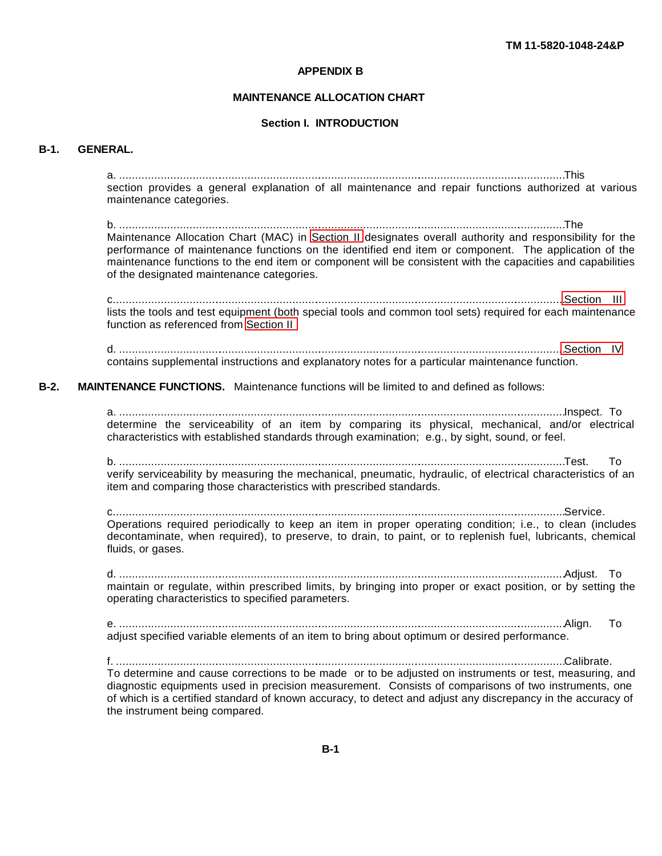#### **APPENDIX B**

#### **MAINTENANCE ALLOCATION CHART**

#### **Section I. INTRODUCTION**

#### <span id="page-88-0"></span>**B-1. GENERAL.**

a. ...........................................................................................................................................This section provides a general explanation of all maintenance and repair functions authorized at various maintenance categories.

b. ...........................................................................................................................................The Maintenance Allocation Chart (MAC) in [Section II](#page-91-0) designates overall authority and responsibility for the performance of maintenance functions on the identified end item or component. The application of the maintenance functions to the end item or component will be consistent with the capacities and capabilities of the designated maintenance categories.

c...........................................................................................................................................[..Section III](#page-92-0) lists the tools and test equipment (both special tools and common tool sets) required for each maintenance function as referenced from [Section II](#page-91-0)

d. .........................................................................................................................................[..Section IV](#page-93-0) contains supplemental instructions and explanatory notes for a particular maintenance function.

**B-2. MAINTENANCE FUNCTIONS.** Maintenance functions will be limited to and defined as follows:

a. ...........................................................................................................................................Inspect. To determine the serviceability of an item by comparing its physical, mechanical, and/or electrical characteristics with established standards through examination; e.g., by sight, sound, or feel.

b. ...........................................................................................................................................Test. To verify serviceability by measuring the mechanical, pneumatic, hydraulic, of electrical characteristics of an item and comparing those characteristics with prescribed standards.

c.............................................................................................................................................Service. Operations required periodically to keep an item in proper operating condition; i.e., to clean (includes decontaminate, when required), to preserve, to drain, to paint, or to replenish fuel, lubricants, chemical fluids, or gases.

d. ...........................................................................................................................................Adjust. To maintain or regulate, within prescribed limits, by bringing into proper or exact position, or by setting the operating characteristics to specified parameters.

e. ...........................................................................................................................................Align. To adjust specified variable elements of an item to bring about optimum or desired performance.

f. ............................................................................................................................................Calibrate. To determine and cause corrections to be made or to be adjusted on instruments or test, measuring, and diagnostic equipments used in precision measurement. Consists of comparisons of two instruments, one of which is a certified standard of known accuracy, to detect and adjust any discrepancy in the accuracy of the instrument being compared.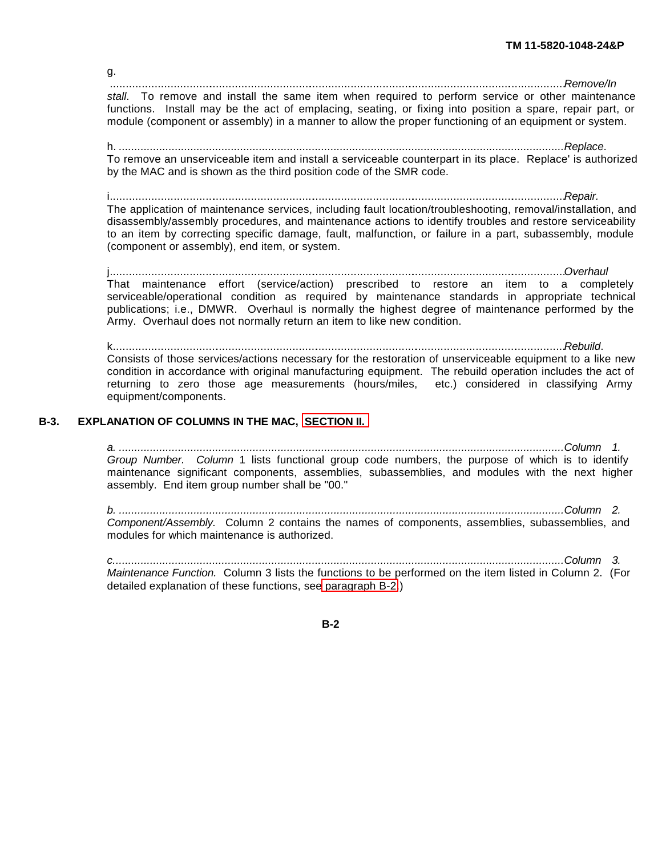g. ..............................................................................................................................................*Remove/In*

*stall*. To remove and install the same item when required to perform service or other maintenance functions. Install may be the act of emplacing, seating, or fixing into position a spare, repair part, or module (component or assembly) in a manner to allow the proper functioning of an equipment or system.

h. *...............................................................................................................................................Replace*. To remove an unserviceable item and install a serviceable counterpart in its place. Replace' is authorized by the MAC and is shown as the third position code of the SMR code.

i..............................................................................................................................................*Repair.* The application of maintenance services, including fault location/troubleshooting, removal/installation, and disassembly/assembly procedures, and maintenance actions to identify troubles and restore serviceability to an item by correcting specific damage, fault, malfunction, or failure in a part, subassembly, module (component or assembly), end item, or system.

j..............................................................................................................................................*Overhaul* That maintenance effort (service/action) prescribed to restore an item to a completely serviceable/operational condition as required by maintenance standards in appropriate technical publications; i.e., DMWR. Overhaul is normally the highest degree of maintenance performed by the Army. Overhaul does not normally return an item to like new condition.

k.............................................................................................................................................*Rebuild*. Consists of those services/actions necessary for the restoration of unserviceable equipment to a like new condition in accordance with original manufacturing equipment. The rebuild operation includes the act of returning to zero those age measurements (hours/miles, etc.) considered in classifying Army equipment/components.

# **B-3. EXPLANATION OF COLUMNS IN THE MAC, [SECTION II.](#page-91-1)**

*a. ...............................................................................................................................................Column 1. Group Number. Column* 1 lists functional group code numbers, the purpose of which is to identify maintenance significant components, assemblies, subassemblies, and modules with the next higher assembly. End item group number shall be "00."

*b. ...............................................................................................................................................Column 2. Component/Assembly.* Column 2 contains the names of components, assemblies, subassemblies, and modules for which maintenance is authorized.

*c.................................................................................................................................................Column 3. Maintenance Function.* Column 3 lists the functions to be performed on the item listed in Column 2. (For detailed explanation of these functions, see [paragraph B-2.](#page-88-0))

**B-2**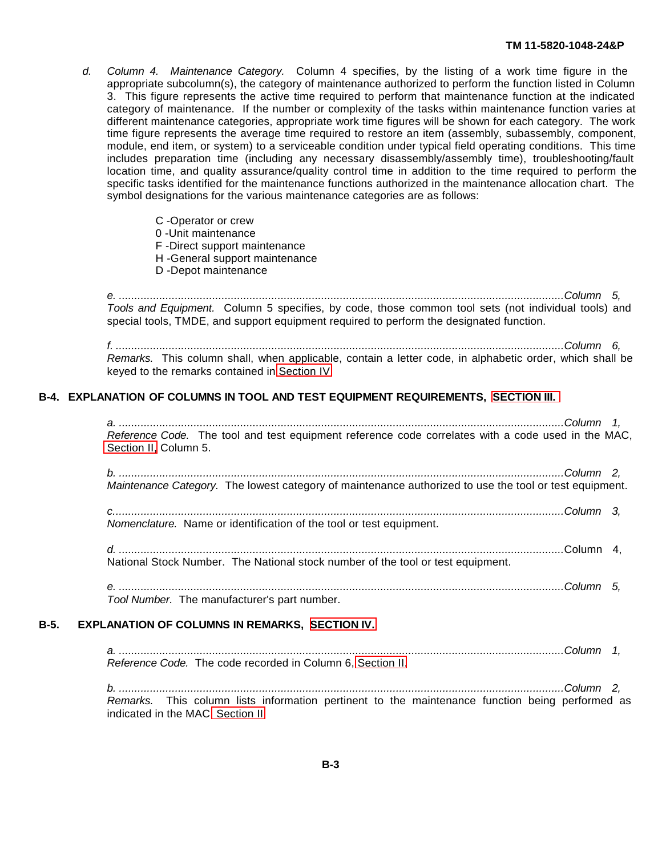- *d. Column 4. Maintenance Category.* Column 4 specifies, by the listing of a work time figure in the appropriate subcolumn(s), the category of maintenance authorized to perform the function listed in Column 3. This figure represents the active time required to perform that maintenance function at the indicated category of maintenance. If the number or complexity of the tasks within maintenance function varies at different maintenance categories, appropriate work time figures will be shown for each category. The work time figure represents the average time required to restore an item (assembly, subassembly, component, module, end item, or system) to a serviceable condition under typical field operating conditions. This time includes preparation time (including any necessary disassembly/assembly time), troubleshooting/fault location time, and quality assurance/quality control time in addition to the time required to perform the specific tasks identified for the maintenance functions authorized in the maintenance allocation chart. The symbol designations for the various maintenance categories are as follows:
	- C -Operator or crew
	- 0 -Unit maintenance
	- F -Direct support maintenance
	- H -General support maintenance
	- D -Depot maintenance

*e. ...............................................................................................................................................Column 5, Tools and Equipment.* Column 5 specifies, by code, those common tool sets (not individual tools) and special tools, TMDE, and support equipment required to perform the designated function.

*f. ................................................................................................................................................Column 6, Remarks.* This column shall, when applicable, contain a letter code, in alphabetic order, which shall be keyed to the remarks contained in [Section IV.](#page-93-0)

#### **B-4. EXPLANATION OF COLUMNS IN TOOL AND TEST EQUIPMENT REQUIREMENTS, [SECTION III.](#page-92-1)**

*a. ...............................................................................................................................................Column 1, Reference Code.* The tool and test equipment reference code correlates with a code used in the MAC, [Section II,](#page-91-0) Column 5.

*b. ...............................................................................................................................................Column 2, Maintenance Category.* The lowest category of maintenance authorized to use the tool or test equipment.

*c.................................................................................................................................................Column 3, Nomenclature.* Name or identification of the tool or test equipment.

*d. ...............................................................................................................................................*Column 4, National Stock Number. The National stock number of the tool or test equipment.

*e. ...............................................................................................................................................Column 5, Tool Number.* The manufacturer's part number.

#### **B-5. EXPLANATION OF COLUMNS IN REMARKS, [SECTION IV.](#page-93-1)**

*a. ...............................................................................................................................................Column 1, Reference Code.* The code recorded in Column 6, [Section II.](#page-91-0)

*b. ...............................................................................................................................................Column 2, Remarks.* This column lists information pertinent to the maintenance function being performed as indicated in the MAC[, Section II.](#page-91-0)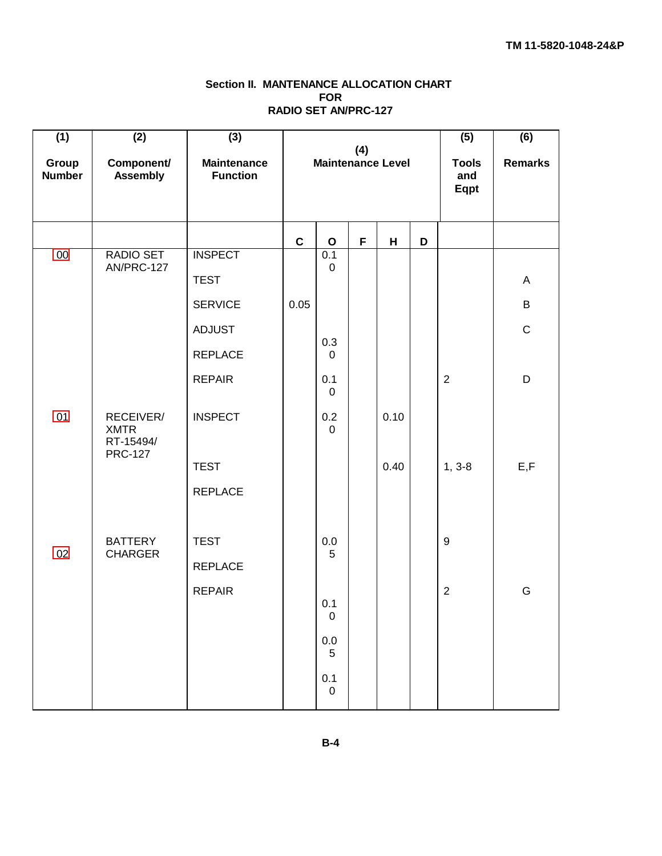# **Section II. MANTENANCE ALLOCATION CHART FOR RADIO SET AN/PRC-127**

<span id="page-91-1"></span><span id="page-91-0"></span>

| (1)<br>Group<br><b>Number</b> | (2)<br>Component/<br><b>Assembly</b>                    | (3)<br><b>Maintenance</b><br><b>Function</b> | (4)<br><b>Maintenance Level</b> |                       |   | (5)<br><b>Tools</b><br>and<br>Eqpt | (6)<br><b>Remarks</b> |                  |             |
|-------------------------------|---------------------------------------------------------|----------------------------------------------|---------------------------------|-----------------------|---|------------------------------------|-----------------------|------------------|-------------|
|                               |                                                         |                                              | $\mathbf C$                     | $\mathbf O$           | F | н                                  | D                     |                  |             |
| $00\,$                        | RADIO SET<br>AN/PRC-127                                 | <b>INSPECT</b>                               |                                 | 0.1<br>$\mathbf 0$    |   |                                    |                       |                  |             |
|                               |                                                         | <b>TEST</b>                                  |                                 |                       |   |                                    |                       |                  | A           |
|                               |                                                         | <b>SERVICE</b>                               | 0.05                            |                       |   |                                    |                       |                  | B           |
|                               |                                                         | <b>ADJUST</b>                                |                                 | 0.3                   |   |                                    |                       |                  | $\mathbf C$ |
|                               |                                                         | <b>REPLACE</b>                               |                                 | $\mathbf 0$           |   |                                    |                       |                  |             |
|                               |                                                         | <b>REPAIR</b>                                |                                 | 0.1<br>$\mathbf 0$    |   |                                    |                       | 2                | D           |
| 01                            | RECEIVER/<br><b>XMTR</b><br>RT-15494/<br><b>PRC-127</b> | <b>INSPECT</b>                               |                                 | 0.2<br>$\mathbf 0$    |   | 0.10                               |                       |                  |             |
|                               |                                                         | <b>TEST</b>                                  |                                 |                       |   | 0.40                               |                       | $1, 3-8$         | E, F        |
|                               |                                                         | <b>REPLACE</b>                               |                                 |                       |   |                                    |                       |                  |             |
|                               | <b>BATTERY</b>                                          | <b>TEST</b>                                  |                                 | 0.0                   |   |                                    |                       | $\boldsymbol{9}$ |             |
| 02                            | <b>CHARGER</b>                                          | <b>REPLACE</b>                               |                                 | 5                     |   |                                    |                       |                  |             |
|                               |                                                         | <b>REPAIR</b>                                |                                 |                       |   |                                    |                       | $\overline{2}$   | G           |
|                               |                                                         |                                              |                                 | 0.1<br>0              |   |                                    |                       |                  |             |
|                               |                                                         |                                              |                                 | $0.0\,$<br>$\sqrt{5}$ |   |                                    |                       |                  |             |
|                               |                                                         |                                              |                                 | $0.1\,$<br>$\pmb{0}$  |   |                                    |                       |                  |             |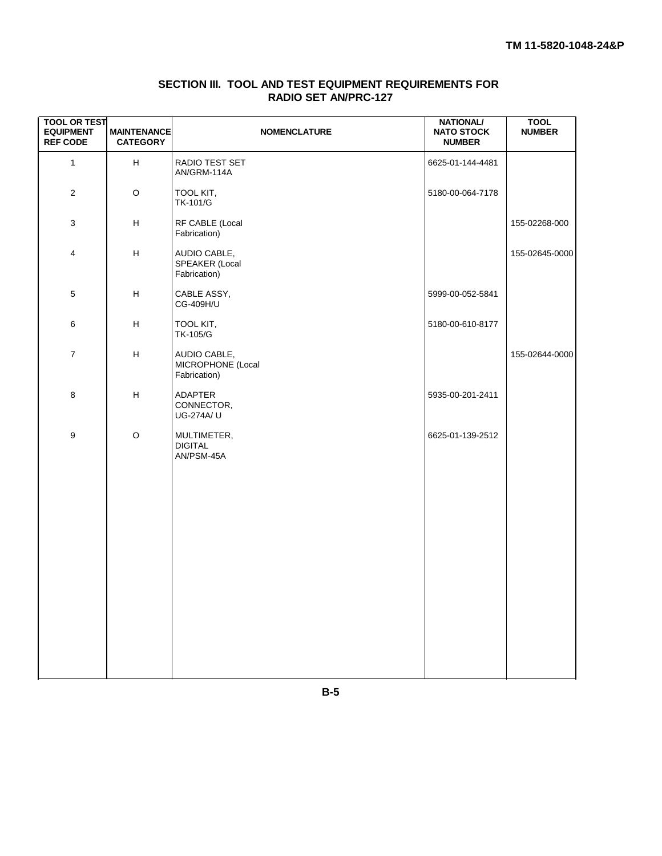<span id="page-92-1"></span><span id="page-92-0"></span>

| <b>TOOL OR TEST</b><br><b>EQUIPMENT</b><br><b>REF CODE</b> | <b>MAINTENANCE</b><br><b>CATEGORY</b>                       | <b>NOMENCLATURE</b>                               | <b>NATIONAL/</b><br><b>NATO STOCK</b><br><b>NUMBER</b> | <b>TOOL</b><br><b>NUMBER</b> |
|------------------------------------------------------------|-------------------------------------------------------------|---------------------------------------------------|--------------------------------------------------------|------------------------------|
| $\mathbf{1}$                                               | H                                                           | RADIO TEST SET<br>AN/GRM-114A                     | 6625-01-144-4481                                       |                              |
| $\overline{2}$                                             | O                                                           | TOOL KIT,<br>TK-101/G                             | 5180-00-064-7178                                       |                              |
| 3                                                          | H                                                           | RF CABLE (Local<br>Fabrication)                   |                                                        | 155-02268-000                |
| 4                                                          | н                                                           | AUDIO CABLE,<br>SPEAKER (Local<br>Fabrication)    |                                                        | 155-02645-0000               |
| 5                                                          | H                                                           | CABLE ASSY,<br>CG-409H/U                          | 5999-00-052-5841                                       |                              |
| 6                                                          | н                                                           | TOOL KIT,<br>TK-105/G                             | 5180-00-610-8177                                       |                              |
| $\boldsymbol{7}$                                           | $\boldsymbol{\mathsf{H}}$                                   | AUDIO CABLE,<br>MICROPHONE (Local<br>Fabrication) |                                                        | 155-02644-0000               |
| 8                                                          | $\mathsf{H}% _{\mathbb{R}}^{1}\left( \mathbb{R}^{2}\right)$ | <b>ADAPTER</b><br>CONNECTOR,<br>UG-274A/ U        | 5935-00-201-2411                                       |                              |
| $\boldsymbol{9}$                                           | $\mathsf O$                                                 | MULTIMETER,<br><b>DIGITAL</b><br>AN/PSM-45A       | 6625-01-139-2512                                       |                              |

# **SECTION III. TOOL AND TEST EQUIPMENT REQUIREMENTS FOR RADIO SET AN/PRC-127**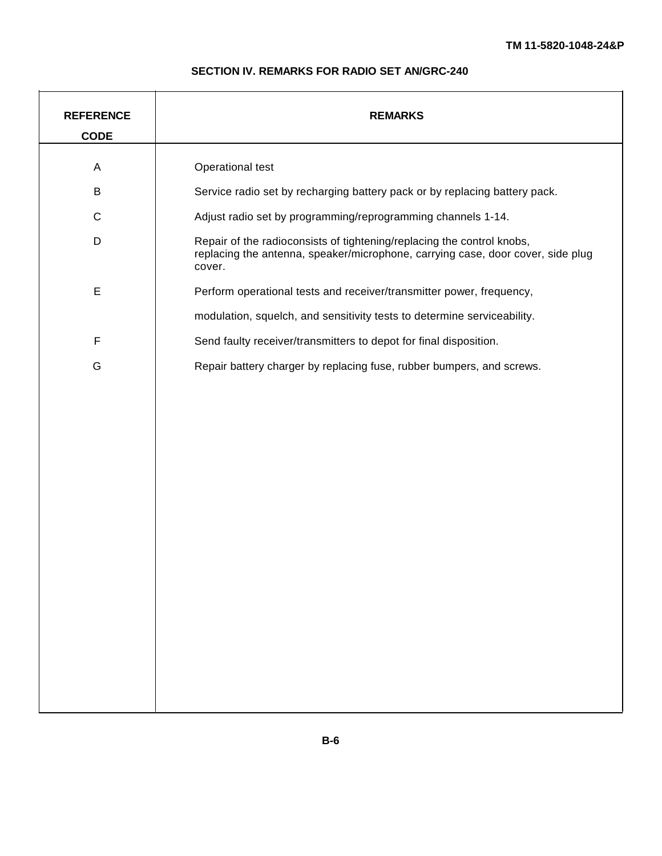# **SECTION IV. REMARKS FOR RADIO SET AN/GRC-240**

<span id="page-93-1"></span><span id="page-93-0"></span>

| <b>REFERENCE</b><br><b>CODE</b> | <b>REMARKS</b>                                                                                                                                                      |
|---------------------------------|---------------------------------------------------------------------------------------------------------------------------------------------------------------------|
| A                               | Operational test                                                                                                                                                    |
| B                               | Service radio set by recharging battery pack or by replacing battery pack.                                                                                          |
| ${\bf C}$                       | Adjust radio set by programming/reprogramming channels 1-14.                                                                                                        |
| D                               | Repair of the radioconsists of tightening/replacing the control knobs,<br>replacing the antenna, speaker/microphone, carrying case, door cover, side plug<br>cover. |
| $\mathsf E$                     | Perform operational tests and receiver/transmitter power, frequency,                                                                                                |
|                                 | modulation, squelch, and sensitivity tests to determine serviceability.                                                                                             |
| $\mathsf F$                     | Send faulty receiver/transmitters to depot for final disposition.                                                                                                   |
| G                               | Repair battery charger by replacing fuse, rubber bumpers, and screws.                                                                                               |
|                                 |                                                                                                                                                                     |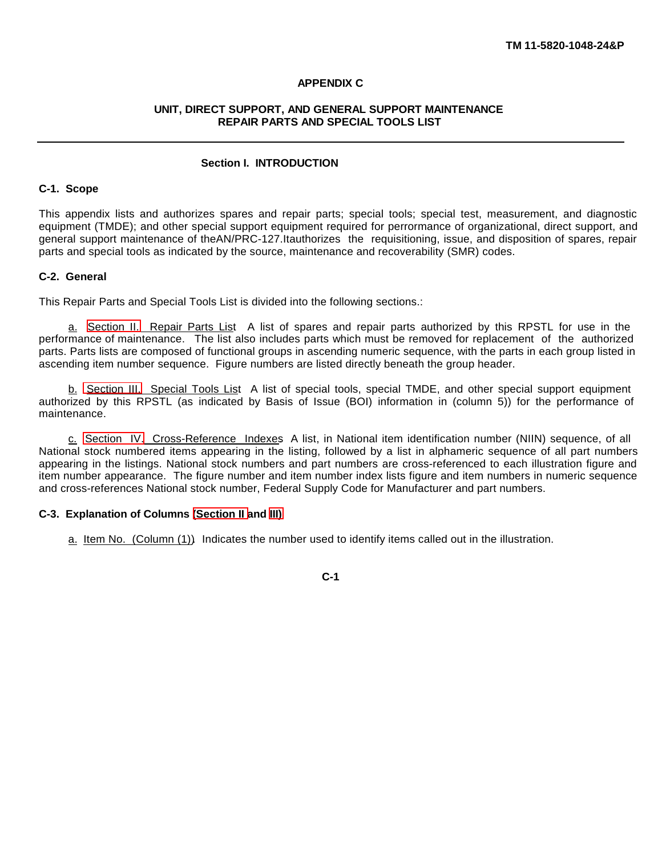#### **APPENDIX C**

#### **UNIT, DIRECT SUPPORT, AND GENERAL SUPPORT MAINTENANCE REPAIR PARTS AND SPECIAL TOOLS LIST**

#### **Section I. INTRODUCTION**

#### **C-1. Scope**

This appendix lists and authorizes spares and repair parts; special tools; special test, measurement, and diagnostic equipment (TMDE); and other special support equipment required for perrormance of organizational, direct support, and general support maintenance of theAN/PRC-127.Itauthorizes the requisitioning, issue, and disposition of spares, repair parts and special tools as indicated by the source, maintenance and recoverability (SMR) codes.

#### **C-2. General**

This Repair Parts and Special Tools List is divided into the following sections.:

a. [Section II.](#page-102-0) Repair Parts List. A list of spares and repair parts authorized by this RPSTL for use in the performance of maintenance. The list also includes parts which must be removed for replacement of the authorized parts. Parts lists are composed of functional groups in ascending numeric sequence, with the parts in each group listed in ascending item number sequence. Figure numbers are listed directly beneath the group header.

b. [Section III.](#page-108-0) Special Tools List. A list of special tools, special TMDE, and other special support equipment authorized by this RPSTL (as indicated by Basis of Issue (BOI) information in (column 5)) for the performance of maintenance.

c. [Section IV.](#page-110-0) Cross-Reference Indexes. A list, in National item identification number (NIIN) sequence, of all National stock numbered items appearing in the listing, followed by a list in alphameric sequence of all part numbers appearing in the listings. National stock numbers and part numbers are cross-referenced to each illustration figure and item number appearance. The figure number and item number index lists figure and item numbers in numeric sequence and cross-references National stock number, Federal Supply Code for Manufacturer and part numbers.

#### **C-3. Explanation of Columns [\(Section II a](#page-102-0)nd [III\)](#page-108-0)**

a. Item No. (Column (1)). Indicates the number used to identify items called out in the illustration.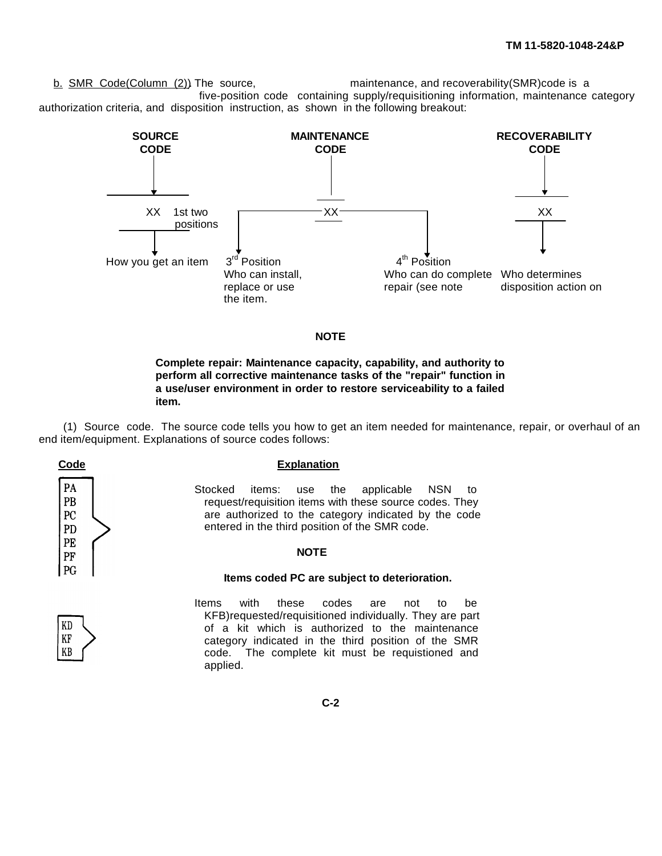b. SMR Code(Column (2)). The source, maintenance, and recoverability(SMR)code is a five-position code containing supply/requisitioning information, maintenance category authorization criteria, and disposition instruction, as shown in the following breakout:



#### **NOTE**

#### **Complete repair: Maintenance capacity, capability, and authority to perform all corrective maintenance tasks of the "repair" function in a use/user environment in order to restore serviceability to a failed item.**

(1) Source code. The source code tells you how to get an item needed for maintenance, repair, or overhaul of an end item/equipment. Explanations of source codes follows:

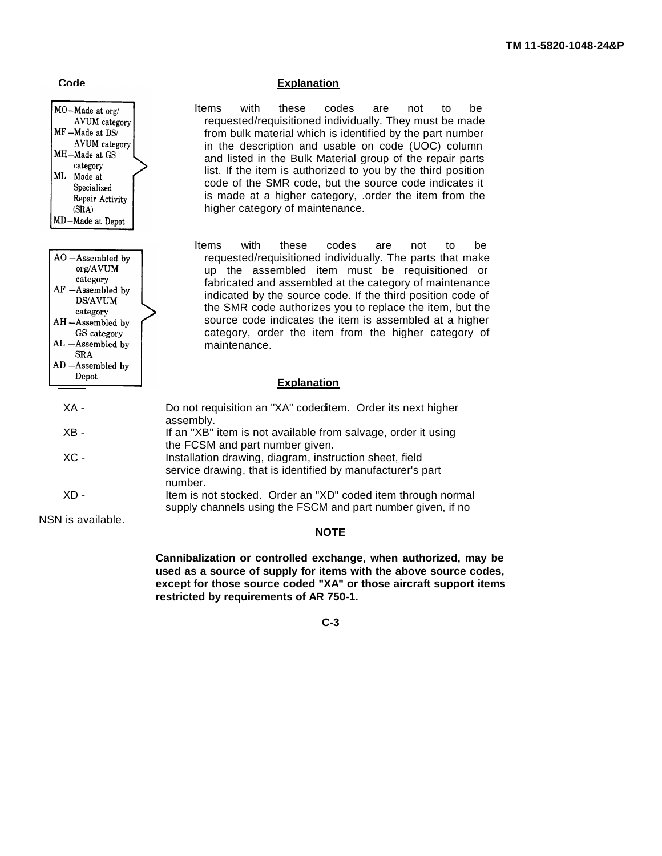

AL -Assembled by **SRA** AD-Assembled by

# **Code Explanation**

Items with these codes are not to be requested/requisitioned individually. They must be made from bulk material which is identified by the part number in the description and usable on code (UOC) column and listed in the Bulk Material group of the repair parts list. If the item is authorized to you by the third position code of the SMR code, but the source code indicates it is made at a higher category, .order the item from the higher category of maintenance.

Items with these codes are not to be requested/requisitioned individually. The parts that make up the assembled item must be requisitioned or fabricated and assembled at the category of maintenance indicated by the source code. If the third position code of the SMR code authorizes you to replace the item, but the source code indicates the item is assembled at a higher category, order the item from the higher category of maintenance.

# **Conduction Conduction Explanation**

| XA -   | Do not requisition an "XA" codeditem. Order its next higher<br>assembly.                                                         |
|--------|----------------------------------------------------------------------------------------------------------------------------------|
| $XB -$ | If an "XB" item is not available from salvage, order it using<br>the FCSM and part number given.                                 |
| $XC -$ | Installation drawing, diagram, instruction sheet, field<br>service drawing, that is identified by manufacturer's part<br>number. |
| XD -   | Item is not stocked. Order an "XD" coded item through normal<br>supply channels using the FSCM and part number given, if no      |
|        |                                                                                                                                  |

NSN is available.

#### **NOTE**

**Cannibalization or controlled exchange, when authorized, may be used as a source of supply for items with the above source codes, except for those source coded "XA" or those aircraft support items restricted by requirements of AR 750-1.**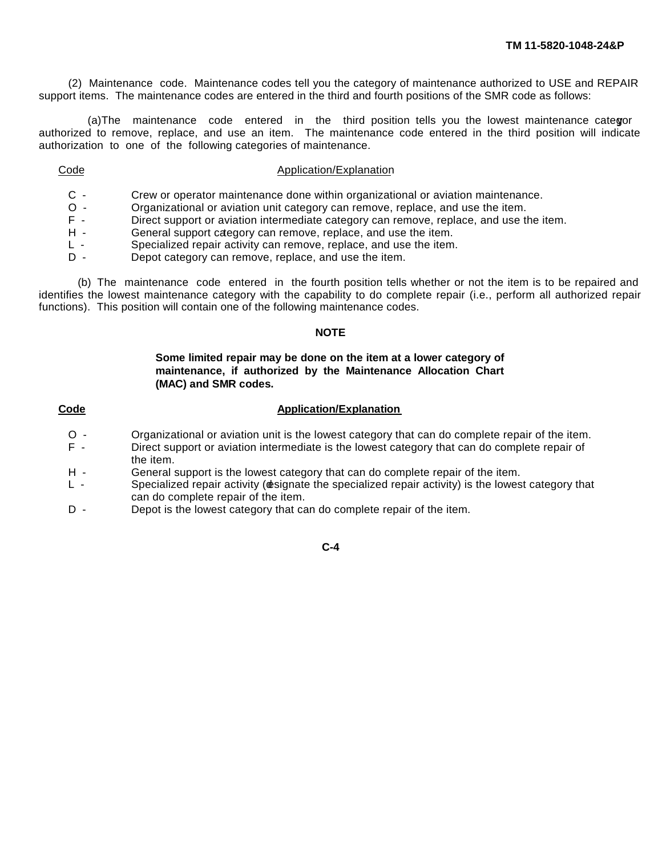(2) Maintenance code. Maintenance codes tell you the category of maintenance authorized to USE and REPAIR support items. The maintenance codes are entered in the third and fourth positions of the SMR code as follows:

(a)The maintenance code entered in the third position tells you the lowest maintenance categor authorized to remove, replace, and use an item. The maintenance code entered in the third position will indicate authorization to one of the following categories of maintenance.

#### Code **Application**/Explanation

- C Crew or operator maintenance done within organizational or aviation maintenance.
- O Organizational or aviation unit category can remove, replace, and use the item.<br>F Direct support or aviation intermediate category can remove, replace, and use the
- Direct support or aviation intermediate category can remove, replace, and use the item.
- H General support category can remove, replace, and use the item.
- L Specialized repair activity can remove, replace, and use the item.
- D Depot category can remove, replace, and use the item.

(b) The maintenance code entered in the fourth position tells whether or not the item is to be repaired and identifies the lowest maintenance category with the capability to do complete repair (i.e., perform all authorized repair functions). This position will contain one of the following maintenance codes.

#### **NOTE**

#### **Some limited repair may be done on the item at a lower category of maintenance, if authorized by the Maintenance Allocation Chart (MAC) and SMR codes.**

#### **Code Application/Explanation**

- O Organizational or aviation unit is the lowest category that can do complete repair of the item.<br>F Direct support or aviation intermediate is the lowest category that can do complete repair of
- Direct support or aviation intermediate is the lowest category that can do complete repair of the item.
- H General support is the lowest category that can do complete repair of the item.
- L Specialized repair activity ( $\phi$ signate the specialized repair activity) is the lowest category that can do complete repair of the item.
- D Depot is the lowest category that can do complete repair of the item.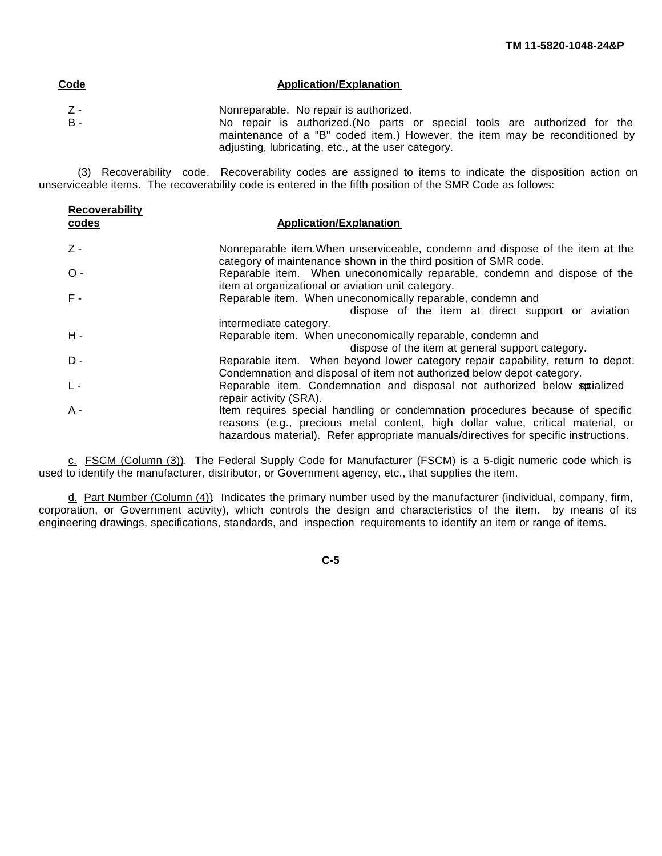| Code         | <b>Application/Explanation</b>                                                                                                                                                                                                                             |
|--------------|------------------------------------------------------------------------------------------------------------------------------------------------------------------------------------------------------------------------------------------------------------|
| . Z -<br>B - | Nonreparable. No repair is authorized.<br>No repair is authorized. (No parts or special tools are authorized for the<br>maintenance of a "B" coded item.) However, the item may be reconditioned by<br>adjusting, lubricating, etc., at the user category. |

(3) Recoverability code. Recoverability codes are assigned to items to indicate the disposition action on unserviceable items. The recoverability code is entered in the fifth position of the SMR Code as follows:

| <b>Recoverability</b><br>codes | <b>Application/Explanation</b>                                                                                                                                                                                                                           |
|--------------------------------|----------------------------------------------------------------------------------------------------------------------------------------------------------------------------------------------------------------------------------------------------------|
| $Z -$                          | Nonreparable item. When unserviceable, condemn and dispose of the item at the<br>category of maintenance shown in the third position of SMR code.                                                                                                        |
| $O -$                          | Reparable item. When uneconomically reparable, condemn and dispose of the<br>item at organizational or aviation unit category.                                                                                                                           |
| $F -$                          | Reparable item. When uneconomically reparable, condemn and<br>dispose of the item at direct support or aviation<br>intermediate category.                                                                                                                |
| $H -$                          | Reparable item. When uneconomically reparable, condemn and<br>dispose of the item at general support category.                                                                                                                                           |
| $D -$                          | Reparable item. When beyond lower category repair capability, return to depot.<br>Condemnation and disposal of item not authorized below depot category.                                                                                                 |
| $L -$                          | Reparable item. Condemnation and disposal not authorized below spotialized<br>repair activity (SRA).                                                                                                                                                     |
| $A -$                          | Item requires special handling or condemnation procedures because of specific<br>reasons (e.g., precious metal content, high dollar value, critical material, or<br>hazardous material). Refer appropriate manuals/directives for specific instructions. |

c. FSCM (Column (3)). The Federal Supply Code for Manufacturer (FSCM) is a 5-digit numeric code which is used to identify the manufacturer, distributor, or Government agency, etc., that supplies the item.

d. Part Number (Column (4)). Indicates the primary number used by the manufacturer (individual, company, firm, corporation, or Government activity), which controls the design and characteristics of the item. by means of its engineering drawings, specifications, standards, and inspection requirements to identify an item or range of items.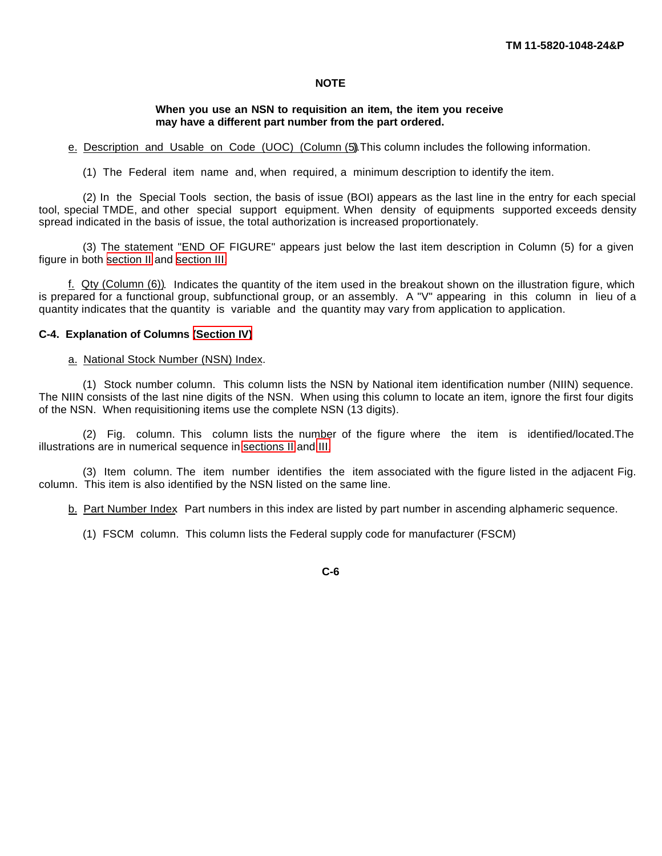### **NOTE**

#### **When you use an NSN to requisition an item, the item you receive may have a different part number from the part ordered.**

e. Description and Usable on Code (UOC) (Column (5)). This column includes the following information.

(1) The Federal item name and, when required, a minimum description to identify the item.

(2) In the Special Tools section, the basis of issue (BOI) appears as the last line in the entry for each special tool, special TMDE, and other special support equipment. When density of equipments supported exceeds density spread indicated in the basis of issue, the total authorization is increased proportionately.

(3) The statement "END OF FIGURE" appears just below the last item description in Column (5) for a given figure in both [section II](#page-102-0) and [section III.](#page-108-0)

f. Qty (Column (6)). Indicates the quantity of the item used in the breakout shown on the illustration figure, which is prepared for a functional group, subfunctional group, or an assembly. A "V" appearing in this column in lieu of a quantity indicates that the quantity is variable and the quantity may vary from application to application.

#### **C-4. Explanation of Columns [\(Section IV\)](#page-110-0)**

#### a. National Stock Number (NSN) Index.

(1) Stock number column. This column lists the NSN by National item identification number (NIIN) sequence. The NIIN consists of the last nine digits of the NSN. When using this column to locate an item, ignore the first four digits of the NSN. When requisitioning items use the complete NSN (13 digits).

(2) Fig. column. This column lists the number of the figure where the item is identified/located.The illustrations are in numerical sequence in [sections II](#page-102-0) and [III.](#page-108-0)

(3) Item column. The item number identifies the item associated with the figure listed in the adjacent Fig. column. This item is also identified by the NSN listed on the same line.

b. Part Number Index. Part numbers in this index are listed by part number in ascending alphameric sequence.

(1) FSCM column. This column lists the Federal supply code for manufacturer (FSCM)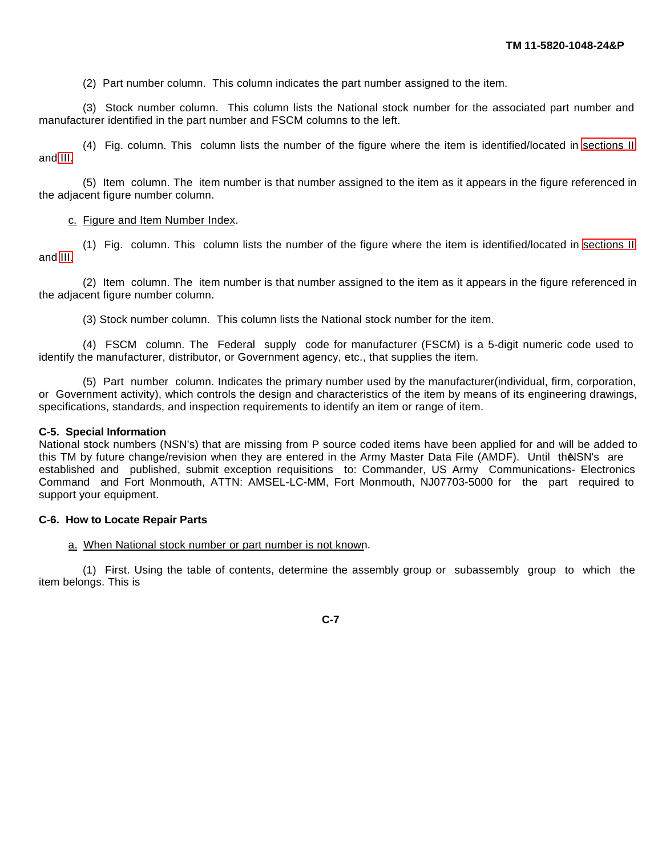(2) Part number column. This column indicates the part number assigned to the item.

(3) Stock number column. This column lists the National stock number for the associated part number and manufacturer identified in the part number and FSCM columns to the left.

(4) Fig. column. This column lists the number of the figure where the item is identified/located in [sections II](#page-102-0) and [III.](#page-108-0)

(5) Item column. The item number is that number assigned to the item as it appears in the figure referenced in the adjacent figure number column.

#### c. Figure and Item Number Index.

(1) Fig. column. This column lists the number of the figure where the item is identified/located in [sections II](#page-102-0) and [III.](#page-108-0)

(2) Item column. The item number is that number assigned to the item as it appears in the figure referenced in the adjacent figure number column.

(3) Stock number column. This column lists the National stock number for the item.

(4) FSCM column. The Federal supply code for manufacturer (FSCM) is a 5-digit numeric code used to identify the manufacturer, distributor, or Government agency, etc., that supplies the item.

(5) Part number column. Indicates the primary number used by the manufacturer(individual, firm, corporation, or Government activity), which controls the design and characteristics of the item by means of its engineering drawings, specifications, standards, and inspection requirements to identify an item or range of item.

#### **C-5. Special Information**

National stock numbers (NSN's) that are missing from P source coded items have been applied for and will be added to this TM by future change/revision when they are entered in the Army Master Data File (AMDF). Until the SN's are established and published, submit exception requisitions to: Commander, US Army Communications- Electronics Command and Fort Monmouth, ATTN: AMSEL-LC-MM, Fort Monmouth, NJ07703-5000 for the part required to support your equipment.

#### **C-6. How to Locate Repair Parts**

#### a. When National stock number or part number is not known.

(1) First. Using the table of contents, determine the assembly group or subassembly group to which the item belongs. This is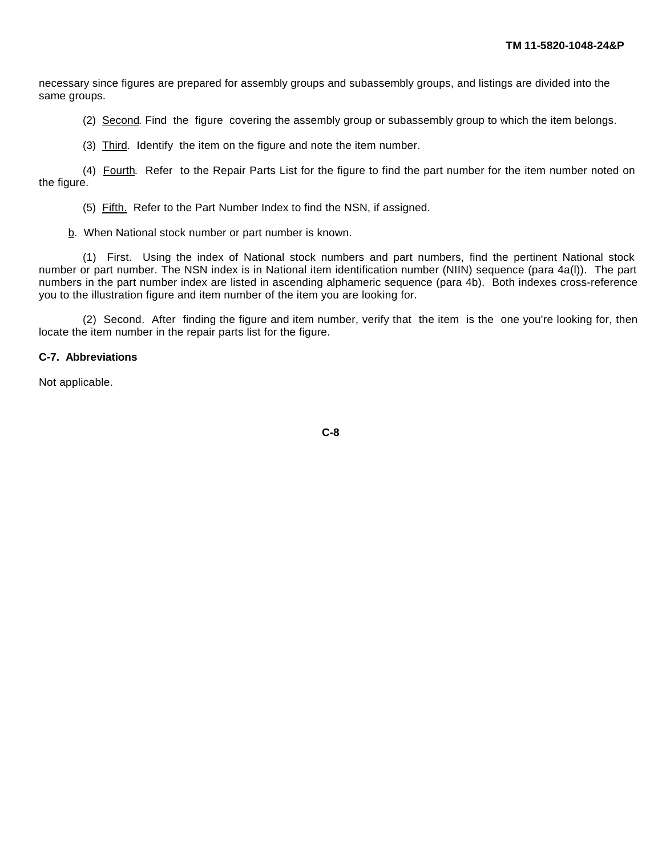necessary since figures are prepared for assembly groups and subassembly groups, and listings are divided into the same groups.

(2) Second. Find the figure covering the assembly group or subassembly group to which the item belongs.

(3) Third. Identify the item on the figure and note the item number.

(4) Fourth. Refer to the Repair Parts List for the figure to find the part number for the item number noted on the figure.

(5) Fifth. Refer to the Part Number Index to find the NSN, if assigned.

b. When National stock number or part number is known.

(1) First. Using the index of National stock numbers and part numbers, find the pertinent National stock number or part number. The NSN index is in National item identification number (NIIN) sequence (para 4a(l)). The part numbers in the part number index are listed in ascending alphameric sequence (para 4b). Both indexes cross-reference you to the illustration figure and item number of the item you are looking for.

(2) Second. After finding the figure and item number, verify that the item is the one you're looking for, then locate the item number in the repair parts list for the figure.

#### **C-7. Abbreviations**

Not applicable.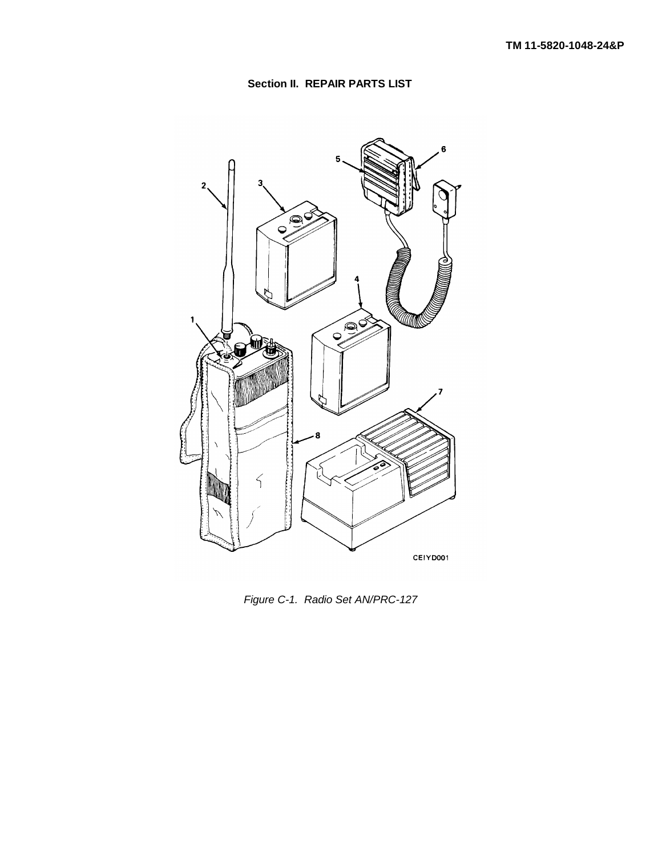

<span id="page-102-0"></span>

*Figure C-1. Radio Set AN/PRC-127*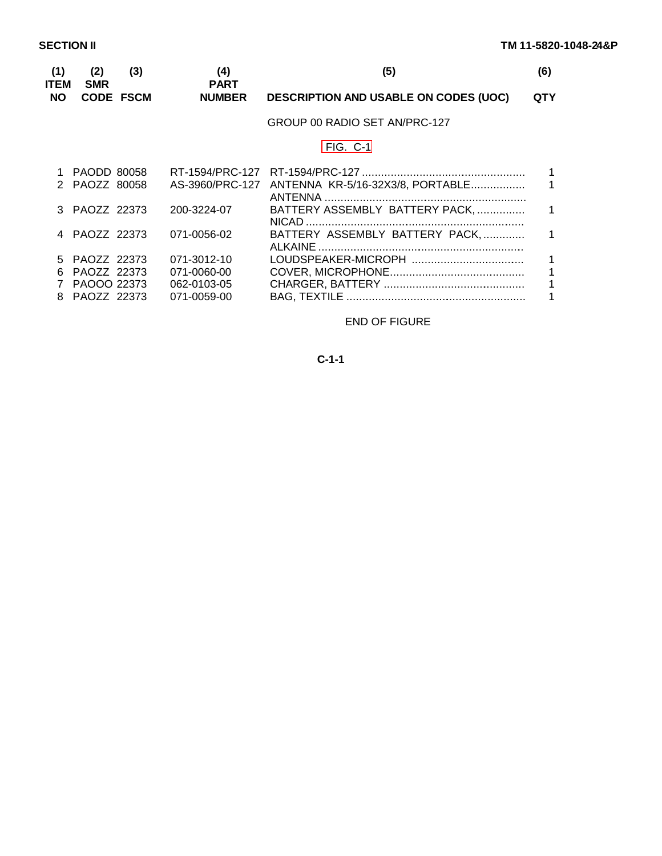<span id="page-103-0"></span>

| (1)<br>ITEM | (2)<br><b>SMR</b>            | (3)              | (4)<br><b>PART</b> | (5)                                              | (6)        |
|-------------|------------------------------|------------------|--------------------|--------------------------------------------------|------------|
| <b>NO</b>   |                              | <b>CODE FSCM</b> | <b>NUMBER</b>      | <b>DESCRIPTION AND USABLE ON CODES (UOC)</b>     | <b>QTY</b> |
|             |                              |                  |                    | GROUP 00 RADIO SET AN/PRC-127                    |            |
|             |                              |                  |                    | $FIG. C-1$                                       |            |
|             | PAODD 80058<br>2 PAOZZ 80058 |                  |                    | AS-3960/PRC-127 ANTENNA KR-5/16-32X3/8, PORTABLE |            |
|             | 3 PAOZZ 22373                |                  | 200-3224-07        | BATTERY ASSEMBLY BATTERY PACK,                   | 1          |
|             | PAOZZ 22373                  |                  | 071-0056-02        | BATTERY ASSEMBLY BATTERY PACK,                   |            |
| 5.          | PAOZZ 22373                  |                  | 071-3012-10        |                                                  |            |
| 6           | PAOZZ 22373                  |                  | 071-0060-00        |                                                  |            |
|             | PAOOO 22373                  |                  | 062-0103-05        |                                                  |            |
| 8           | PAOZZ 22373                  |                  | 071-0059-00        |                                                  |            |

# END OF FIGURE

# **C-1-1**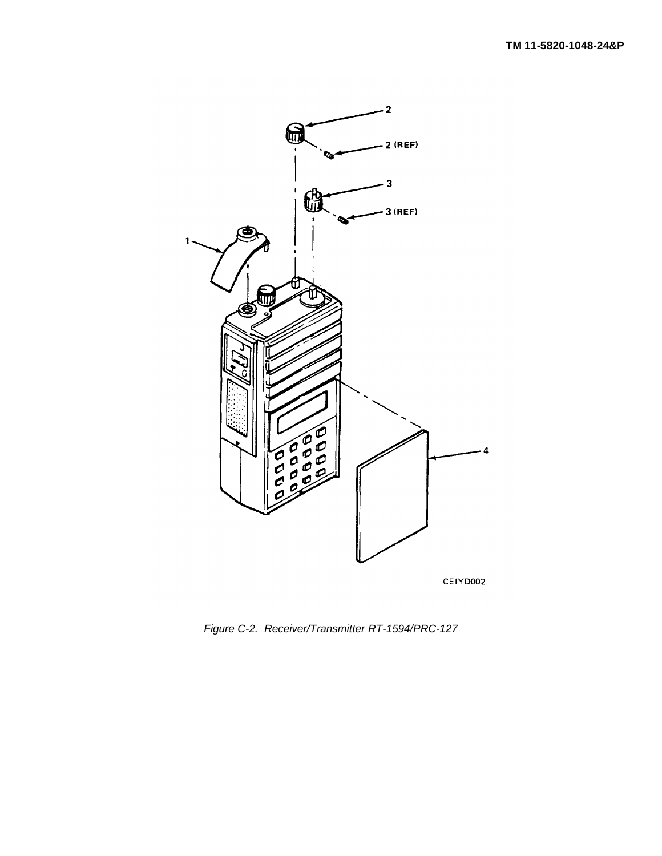<span id="page-104-0"></span>

*Figure C-2. Receiver/Transmitter RT-1594/PRC-127*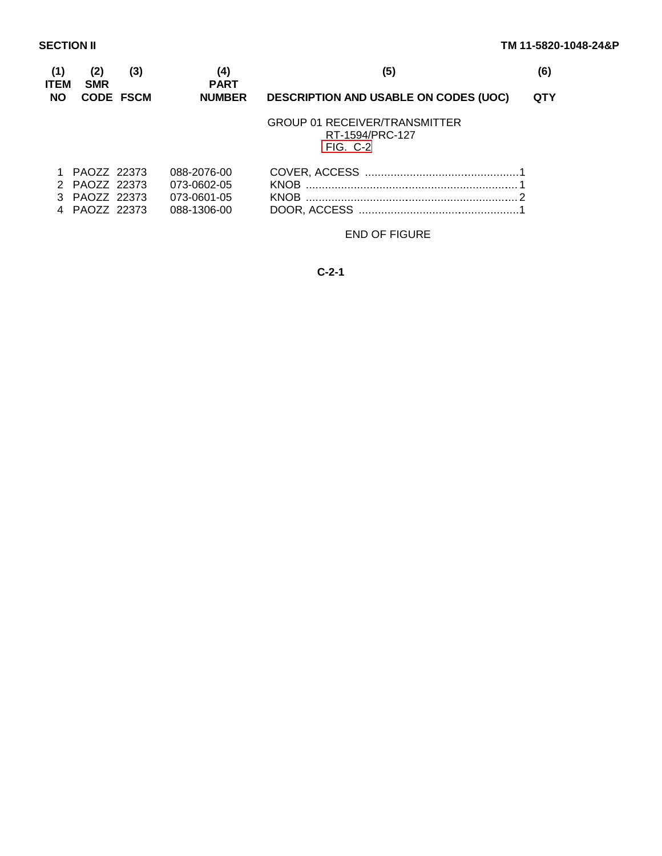<span id="page-105-0"></span>

| (1)<br><b>ITEM</b> | (2)<br><b>SMR</b> | (3)              | (4)<br><b>PART</b> | (5)                                                                   | (6) |
|--------------------|-------------------|------------------|--------------------|-----------------------------------------------------------------------|-----|
| <b>NO</b>          |                   | <b>CODE FSCM</b> | <b>NUMBER</b>      | <b>DESCRIPTION AND USABLE ON CODES (UOC)</b>                          | QTY |
|                    |                   |                  |                    | <b>GROUP 01 RECEIVER/TRANSMITTER</b><br>RT-1594/PRC-127<br>$FIG. C-2$ |     |
|                    | PAOZZ 22373       |                  | 088-2076-00        |                                                                       |     |
|                    | PAOZZ 22373       |                  | 073-0602-05        |                                                                       |     |
|                    | PAOZZ 22373       |                  | 073-0601-05        | <b>KNOB</b>                                                           |     |
|                    | PAOZZ 22373       |                  | 088-1306-00        |                                                                       |     |

END OF FIGURE

**C-2-1**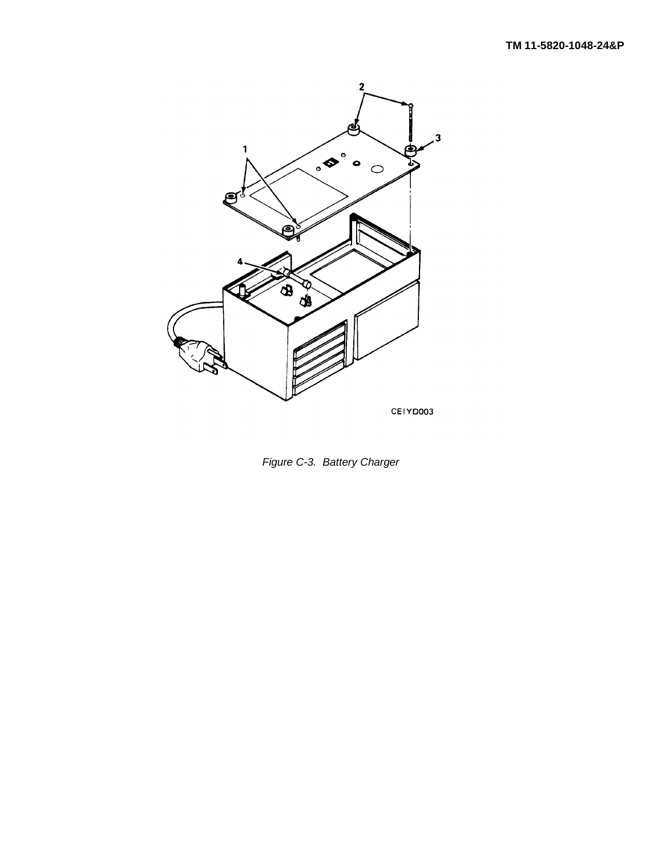<span id="page-106-0"></span>

*Figure C-3. Battery Charger*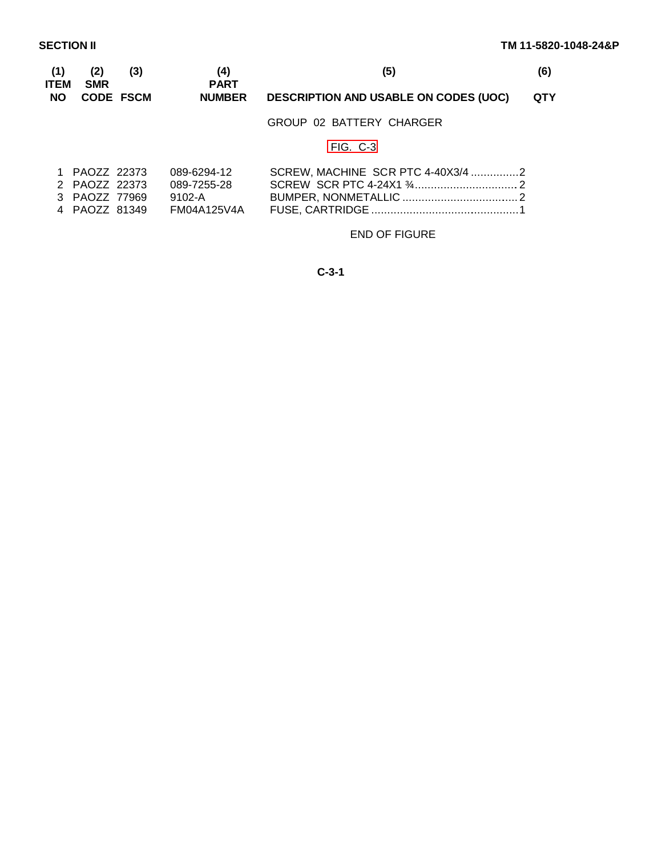<span id="page-107-0"></span>

| (1)<br>ITEM<br><b>NO</b> | (2)<br><b>SMR</b><br><b>CODE FSCM</b> | (3)<br>(4) | <b>PART</b>   | (5)<br><b>DESCRIPTION AND USABLE ON CODES (UOC)</b> |  |
|--------------------------|---------------------------------------|------------|---------------|-----------------------------------------------------|--|
|                          |                                       |            | <b>NUMBER</b> |                                                     |  |
|                          |                                       |            |               | GROUP 02 BATTERY CHARGER                            |  |
|                          |                                       |            |               | $FIG. C-3$                                          |  |
|                          | PAOZZ 22373                           |            | 089-6294-12   | SCREW, MACHINE SCR PTC 4-40X3/4 2                   |  |

| $\overline{1}$ $\overline{1}$ $\overline{1}$ $\overline{2}$ $\overline{2}$ $\overline{2}$ $\overline{2}$ $\overline{2}$ $\overline{2}$ $\overline{2}$ $\overline{2}$ $\overline{2}$ $\overline{2}$ $\overline{2}$ $\overline{2}$ $\overline{2}$ $\overline{2}$ $\overline{2}$ $\overline{2}$ $\overline{2}$ $\overline{2}$ $\overline{2}$ $\overline{2}$ $\overline{2}$ $\overline{$ |               | UUJ ULJT IL | <u> סטונבנייה דושטע די טון ווער</u> די דער דור ווער |  |
|--------------------------------------------------------------------------------------------------------------------------------------------------------------------------------------------------------------------------------------------------------------------------------------------------------------------------------------------------------------------------------------|---------------|-------------|-----------------------------------------------------|--|
|                                                                                                                                                                                                                                                                                                                                                                                      | 2 PAOZZ 22373 | 089-7255-28 |                                                     |  |
| 3 PAOZZ 77969                                                                                                                                                                                                                                                                                                                                                                        |               | 9102-A      |                                                     |  |
| 4 PAOZZ 81349                                                                                                                                                                                                                                                                                                                                                                        |               | FM04A125V4A |                                                     |  |

# END OF FIGURE

**C-3-1**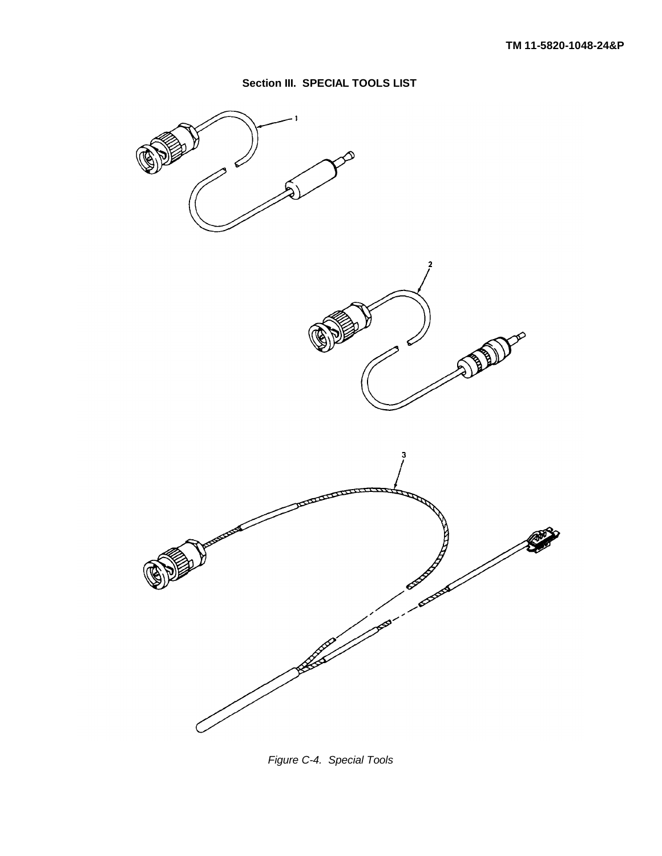

<span id="page-108-0"></span>

*Figure C-4. Special Tools*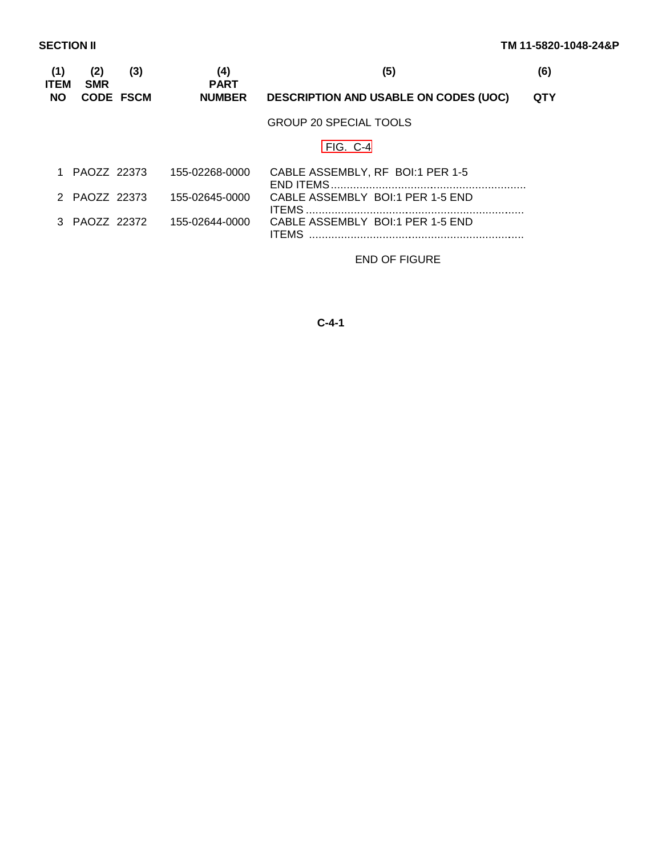| (1)<br>ITEM | (2)<br><b>SMR</b> | (3)              | (4)<br><b>PART</b> | (5)                                              | (6)        |
|-------------|-------------------|------------------|--------------------|--------------------------------------------------|------------|
| <b>NO</b>   |                   | <b>CODE FSCM</b> | <b>NUMBER</b>      | <b>DESCRIPTION AND USABLE ON CODES (UOC)</b>     | <b>QTY</b> |
|             |                   |                  |                    | GROUP 20 SPECIAL TOOLS                           |            |
|             |                   |                  |                    | $FIG. C-4$                                       |            |
|             | PAOZZ 22373       |                  | 155-02268-0000     | CABLE ASSEMBLY, RF BOI:1 PER 1-5                 |            |
|             | 2 PAOZZ 22373     |                  | 155-02645-0000     | CABLE ASSEMBLY BOI:1 PER 1-5 END                 |            |
|             | 3 PAOZZ 22372     |                  | 155-02644-0000     | CABLE ASSEMBLY BOI:1 PER 1-5 END<br><b>ITFMS</b> |            |

END OF FIGURE

## **C-4-1**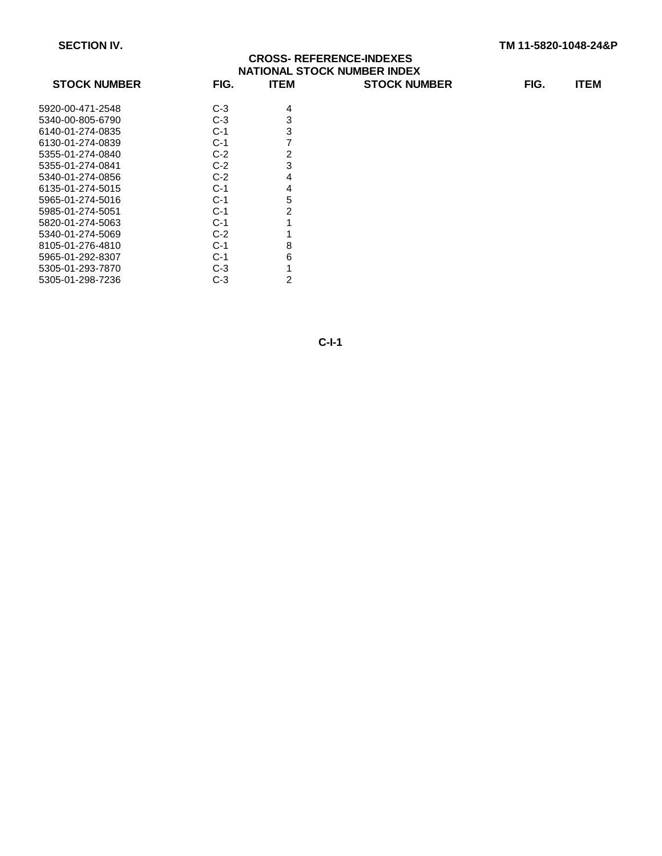## **CROSS- REFERENCE-INDEXES NATIONAL STOCK NUMBER INDEX STOCK NUMBER FIG. ITEM STOCK NUMBER FIG. ITEM**

| <b>SIULA NUMBER</b> | гіч.  | 1 I C.W |
|---------------------|-------|---------|
|                     |       |         |
| 5920-00-471-2548    | C-3   | 4       |
| 5340-00-805-6790    | C-3   | 3       |
| 6140-01-274-0835    | C-1   | 3       |
| 6130-01-274-0839    | C-1   | 7       |
| 5355-01-274-0840    | C-2   | 2       |
| 5355-01-274-0841    | $C-2$ | 3       |
| 5340-01-274-0856    | C-2   | 4       |
| 6135-01-274-5015    | C-1   | 4       |
| 5965-01-274-5016    | C-1   | 5       |
| 5985-01-274-5051    | C-1   | 2       |
| 5820-01-274-5063    | $C-1$ | 1       |
| 5340-01-274-5069    | C-2   | 1       |
| 8105-01-276-4810    | C-1   | 8       |
| 5965-01-292-8307    | C-1   | 6       |
| 5305-01-293-7870    | C-3   | 1       |
| 5305-01-298-7236    | C-3   | 2       |
|                     |       |         |

**C-I-1**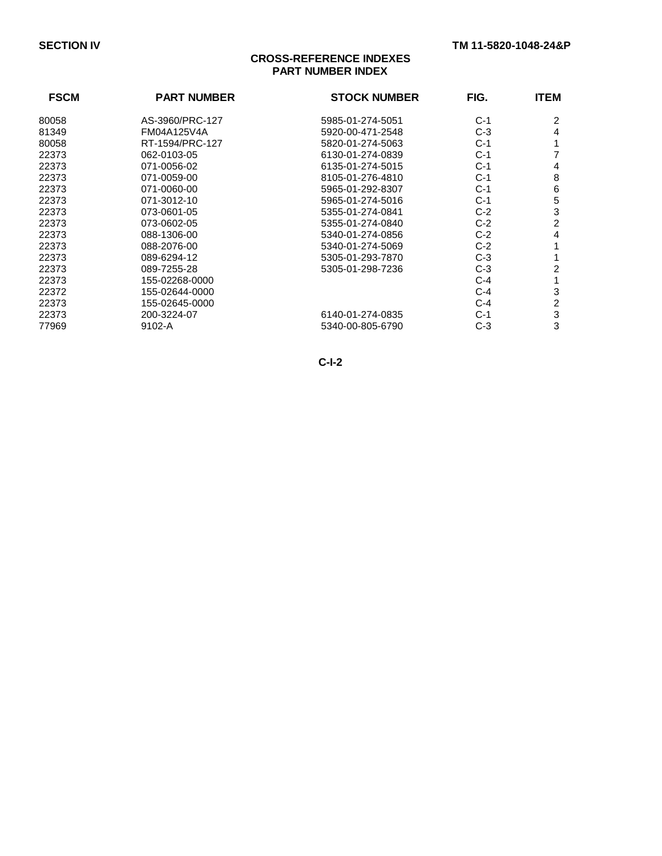## **CROSS-REFERENCE INDEXES PART NUMBER INDEX**

| <b>FSCM</b> | <b>PART NUMBER</b> | <b>STOCK NUMBER</b> | FIG.  | <b>ITEM</b> |
|-------------|--------------------|---------------------|-------|-------------|
| 80058       | AS-3960/PRC-127    | 5985-01-274-5051    | $C-1$ | 2           |
| 81349       | FM04A125V4A        | 5920-00-471-2548    | $C-3$ | 4           |
| 80058       | RT-1594/PRC-127    | 5820-01-274-5063    | $C-1$ |             |
| 22373       | 062-0103-05        | 6130-01-274-0839    | $C-1$ |             |
| 22373       | 071-0056-02        | 6135-01-274-5015    | $C-1$ | 4           |
| 22373       | 071-0059-00        | 8105-01-276-4810    | $C-1$ | 8           |
| 22373       | 071-0060-00        | 5965-01-292-8307    | $C-1$ | 6           |
| 22373       | 071-3012-10        | 5965-01-274-5016    | $C-1$ | 5           |
| 22373       | 073-0601-05        | 5355-01-274-0841    | $C-2$ | 3           |
| 22373       | 073-0602-05        | 5355-01-274-0840    | $C-2$ | 2           |
| 22373       | 088-1306-00        | 5340-01-274-0856    | $C-2$ | 4           |
| 22373       | 088-2076-00        | 5340-01-274-5069    | $C-2$ |             |
| 22373       | 089-6294-12        | 5305-01-293-7870    | $C-3$ |             |
| 22373       | 089-7255-28        | 5305-01-298-7236    | $C-3$ | 2           |
| 22373       | 155-02268-0000     |                     | $C-4$ |             |
| 22372       | 155-02644-0000     |                     | C-4   | 3           |
| 22373       | 155-02645-0000     |                     | $C-4$ | 2           |
| 22373       | 200-3224-07        | 6140-01-274-0835    | $C-1$ | 3           |
| 77969       | 9102-A             | 5340-00-805-6790    | $C-3$ | 3           |

**C-I-2**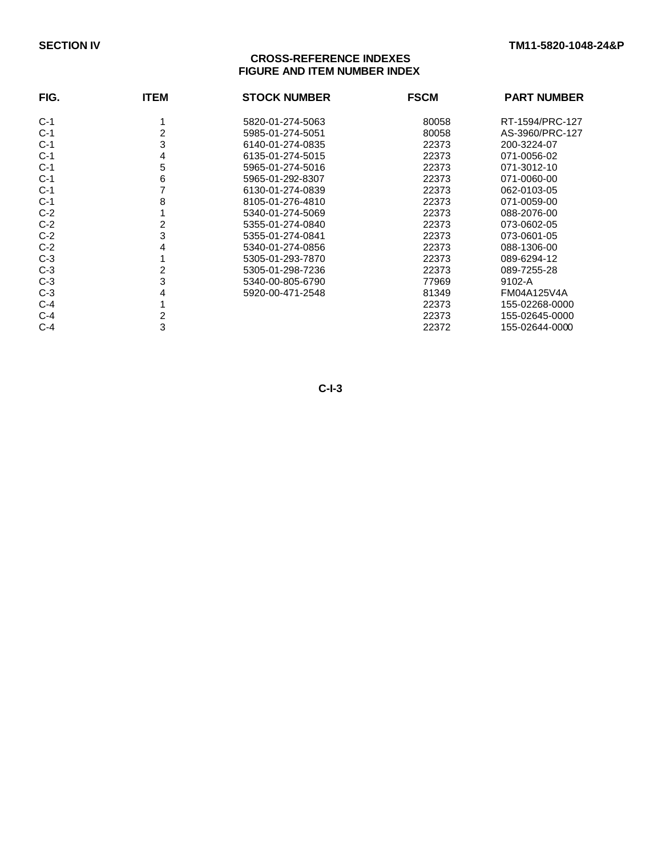## **CROSS-REFERENCE INDEXES FIGURE AND ITEM NUMBER INDEX**

| FIG.  | <b>ITEM</b> | <b>STOCK NUMBER</b> | <b>FSCM</b> | <b>PART NUMBER</b> |
|-------|-------------|---------------------|-------------|--------------------|
| $C-1$ |             | 5820-01-274-5063    | 80058       | RT-1594/PRC-127    |
| $C-1$ |             | 5985-01-274-5051    | 80058       | AS-3960/PRC-127    |
| $C-1$ | 3           | 6140-01-274-0835    | 22373       | 200-3224-07        |
| $C-1$ | 4           | 6135-01-274-5015    | 22373       | 071-0056-02        |
| $C-1$ | 5           | 5965-01-274-5016    | 22373       | 071-3012-10        |
| $C-1$ | 6           | 5965-01-292-8307    | 22373       | 071-0060-00        |
| $C-1$ |             | 6130-01-274-0839    | 22373       | 062-0103-05        |
| $C-1$ | 8           | 8105-01-276-4810    | 22373       | 071-0059-00        |
| $C-2$ |             | 5340-01-274-5069    | 22373       | 088-2076-00        |
| $C-2$ |             | 5355-01-274-0840    | 22373       | 073-0602-05        |
| $C-2$ | 3           | 5355-01-274-0841    | 22373       | 073-0601-05        |
| $C-2$ | 4           | 5340-01-274-0856    | 22373       | 088-1306-00        |
| $C-3$ |             | 5305-01-293-7870    | 22373       | 089-6294-12        |
| $C-3$ |             | 5305-01-298-7236    | 22373       | 089-7255-28        |
| $C-3$ | 3           | 5340-00-805-6790    | 77969       | 9102-A             |
| $C-3$ | 4           | 5920-00-471-2548    | 81349       | FM04A125V4A        |
| $C-4$ |             |                     | 22373       | 155-02268-0000     |
| $C-4$ |             |                     | 22373       | 155-02645-0000     |
| $C-4$ | 3           |                     | 22372       | 155-02644-0000     |

**C-I-3**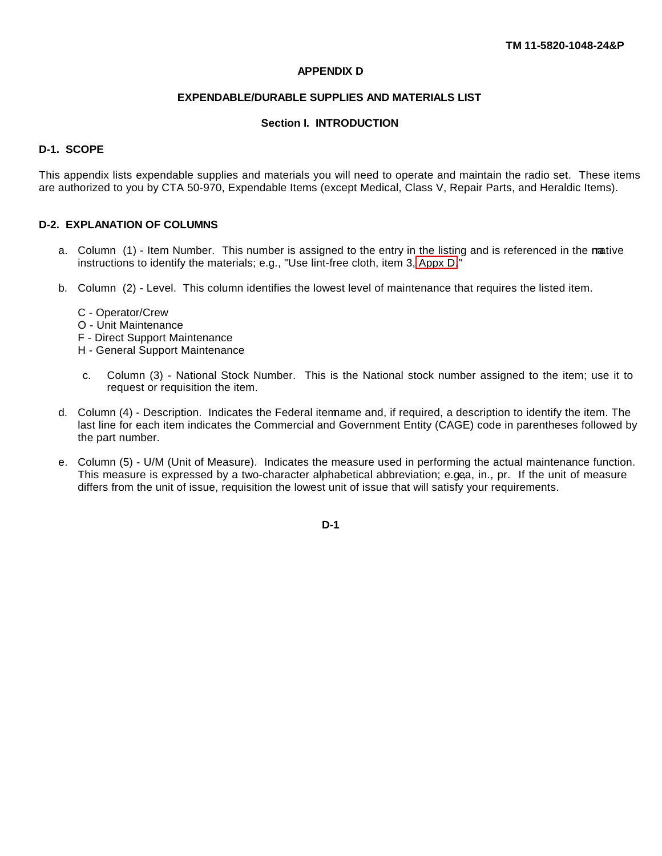#### **APPENDIX D**

#### **EXPENDABLE/DURABLE SUPPLIES AND MATERIALS LIST**

#### **Section I. INTRODUCTION**

#### <span id="page-113-0"></span>**D-1. SCOPE**

This appendix lists expendable supplies and materials you will need to operate and maintain the radio set. These items are authorized to you by CTA 50-970, Expendable Items (except Medical, Class V, Repair Parts, and Heraldic Items).

#### **D-2. EXPLANATION OF COLUMNS**

- a. Column (1) Item Number. This number is assigned to the entry in the listing and is referenced in the native instructions to identify the materials; e.g., "Use lint-free cloth, item 3, [Appx D.](#page-113-0)"
- b. Column (2) Level. This column identifies the lowest level of maintenance that requires the listed item.
	- C Operator/Crew
	- O Unit Maintenance
	- F Direct Support Maintenance
	- H General Support Maintenance
	- c. Column (3) National Stock Number. This is the National stock number assigned to the item; use it to request or requisition the item.
- d. Column (4) Description. Indicates the Federal itemame and, if required, a description to identify the item. The last line for each item indicates the Commercial and Government Entity (CAGE) code in parentheses followed by the part number.
- e. Column (5) U/M (Unit of Measure). Indicates the measure used in performing the actual maintenance function. This measure is expressed by a two-character alphabetical abbreviation; e.gea, in., pr. If the unit of measure differs from the unit of issue, requisition the lowest unit of issue that will satisfy your requirements.

**D-1**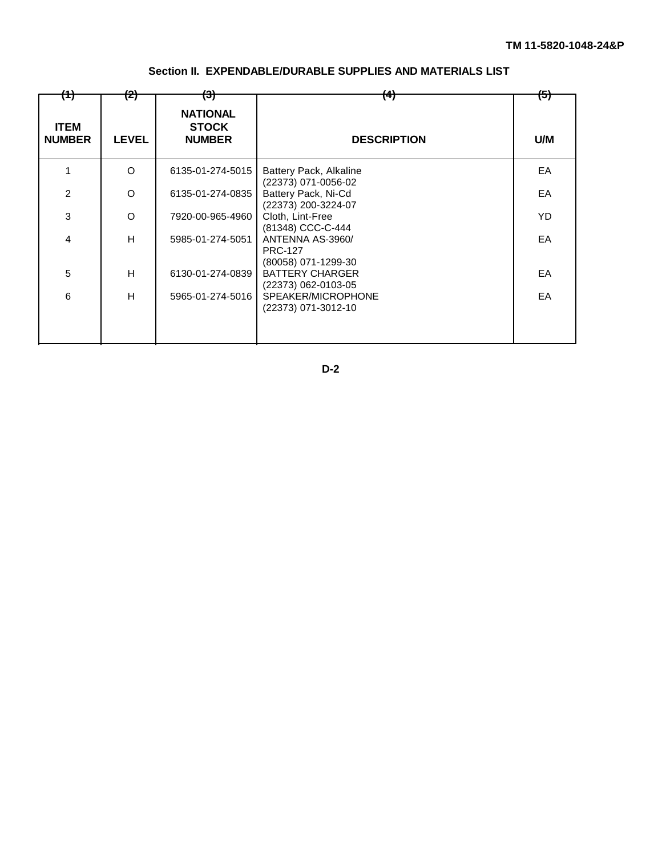| (1)                          | (2)          | <del>(3)</del>                                   | $\left( 4\right)$                                         | <del>(5)</del> |
|------------------------------|--------------|--------------------------------------------------|-----------------------------------------------------------|----------------|
| <b>ITEM</b><br><b>NUMBER</b> | <b>LEVEL</b> | <b>NATIONAL</b><br><b>STOCK</b><br><b>NUMBER</b> | <b>DESCRIPTION</b>                                        | U/M            |
|                              | O            | 6135-01-274-5015                                 | Battery Pack, Alkaline<br>(22373) 071-0056-02             | EA             |
| $\overline{2}$               | O            | 6135-01-274-0835                                 | Battery Pack, Ni-Cd<br>(22373) 200-3224-07                | EA             |
| 3                            | O            | 7920-00-965-4960                                 | Cloth, Lint-Free<br>(81348) CCC-C-444                     | YD             |
| 4                            | H.           | 5985-01-274-5051                                 | ANTENNA AS-3960/<br><b>PRC-127</b><br>(80058) 071-1299-30 | EA             |
| 5                            | H            | 6130-01-274-0839                                 | <b>BATTERY CHARGER</b><br>(22373) 062-0103-05             | EA             |
| 6                            | H            | 5965-01-274-5016                                 | SPEAKER/MICROPHONE<br>(22373) 071-3012-10                 | EA             |

## **Section II. EXPENDABLE/DURABLE SUPPLIES AND MATERIALS LIST**

**D-2**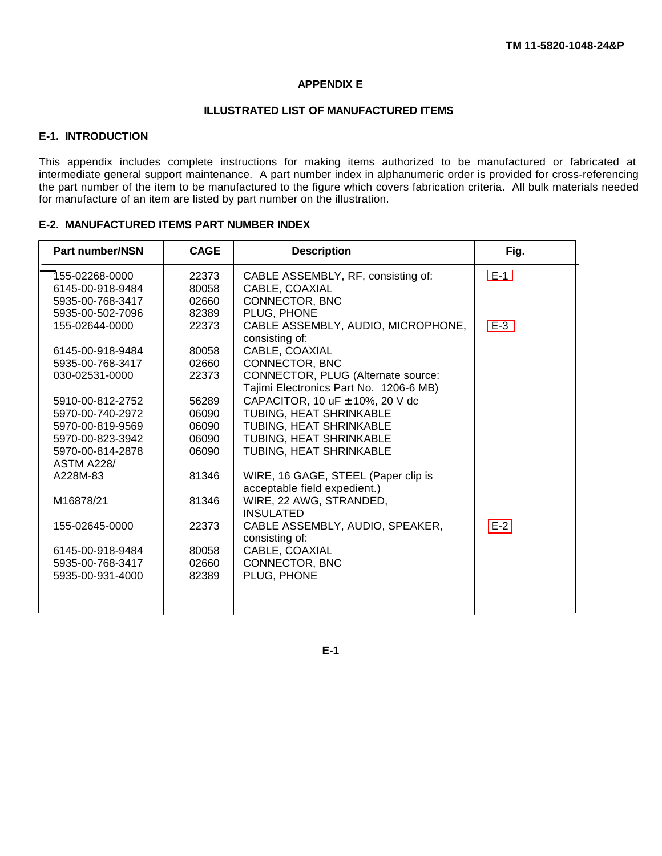### **APPENDIX E**

#### **ILLUSTRATED LIST OF MANUFACTURED ITEMS**

## **E-1. INTRODUCTION**

This appendix includes complete instructions for making items authorized to be manufactured or fabricated at intermediate general support maintenance. A part number index in alphanumeric order is provided for cross-referencing the part number of the item to be manufactured to the figure which covers fabrication criteria. All bulk materials needed for manufacture of an item are listed by part number on the illustration.

|  | <b>E-2. MANUFACTURED ITEMS PART NUMBER INDEX</b> |  |  |
|--|--------------------------------------------------|--|--|
|--|--------------------------------------------------|--|--|

| <b>Part number/NSN</b>                                                     | <b>CAGE</b>                      | <b>Description</b>                                                                    | Fig.  |
|----------------------------------------------------------------------------|----------------------------------|---------------------------------------------------------------------------------------|-------|
| 155-02268-0000<br>6145-00-918-9484<br>5935-00-768-3417<br>5935-00-502-7096 | 22373<br>80058<br>02660<br>82389 | CABLE ASSEMBLY, RF, consisting of:<br>CABLE, COAXIAL<br>CONNECTOR, BNC<br>PLUG, PHONE | $E-1$ |
| 155-02644-0000                                                             | 22373                            | CABLE ASSEMBLY, AUDIO, MICROPHONE,<br>consisting of:                                  | $E-3$ |
| 6145-00-918-9484                                                           | 80058                            | CABLE, COAXIAL                                                                        |       |
| 5935-00-768-3417                                                           | 02660                            | CONNECTOR, BNC                                                                        |       |
| 030-02531-0000                                                             | 22373                            | CONNECTOR, PLUG (Alternate source:<br>Tajimi Electronics Part No. 1206-6 MB)          |       |
| 5910-00-812-2752                                                           | 56289                            | CAPACITOR, 10 uF $\pm$ 10%, 20 V dc                                                   |       |
| 5970-00-740-2972                                                           | 06090                            | TUBING, HEAT SHRINKABLE                                                               |       |
| 5970-00-819-9569                                                           | 06090                            | TUBING, HEAT SHRINKABLE                                                               |       |
| 5970-00-823-3942                                                           | 06090                            | TUBING, HEAT SHRINKABLE                                                               |       |
| 5970-00-814-2878<br><b>ASTM A228/</b>                                      | 06090                            | TUBING, HEAT SHRINKABLE                                                               |       |
| A228M-83                                                                   | 81346                            | WIRE, 16 GAGE, STEEL (Paper clip is<br>acceptable field expedient.)                   |       |
| M16878/21                                                                  | 81346                            | WIRE, 22 AWG, STRANDED,<br><b>INSULATED</b>                                           |       |
| 155-02645-0000                                                             | 22373                            | CABLE ASSEMBLY, AUDIO, SPEAKER,<br>consisting of:                                     | $E-2$ |
| 6145-00-918-9484                                                           | 80058                            | CABLE, COAXIAL                                                                        |       |
| 5935-00-768-3417                                                           | 02660                            | CONNECTOR, BNC                                                                        |       |
| 5935-00-931-4000                                                           | 82389                            | PLUG, PHONE                                                                           |       |
|                                                                            |                                  |                                                                                       |       |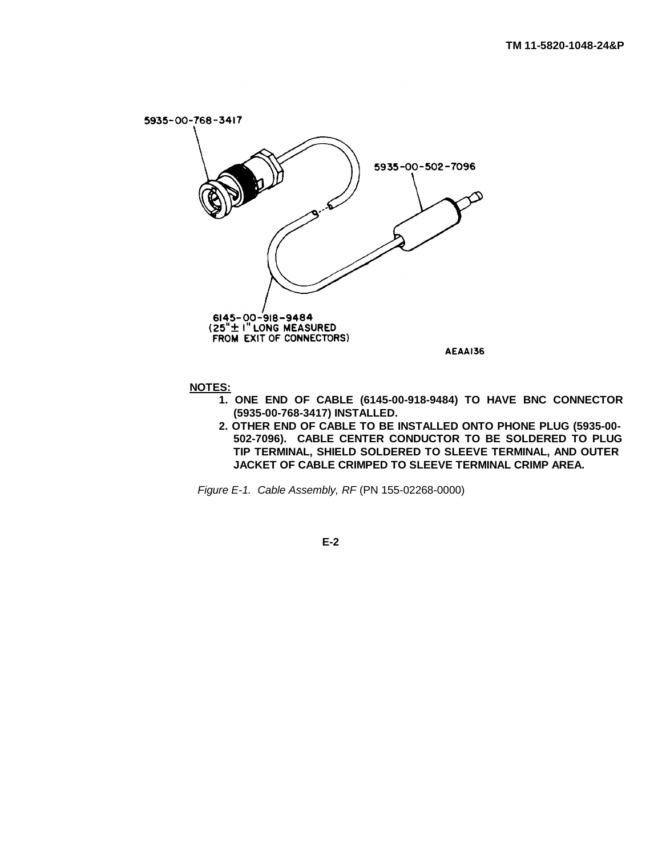<span id="page-116-0"></span>

**NOTES:**

- **1. ONE END OF CABLE (6145-00-918-9484) TO HAVE BNC CONNECTOR (5935-00-768-3417) INSTALLED.**
- **2. OTHER END OF CABLE TO BE INSTALLED ONTO PHONE PLUG (5935-00- 502-7096). CABLE CENTER CONDUCTOR TO BE SOLDERED TO PLUG TIP TERMINAL, SHIELD SOLDERED TO SLEEVE TERMINAL, AND OUTER JACKET OF CABLE CRIMPED TO SLEEVE TERMINAL CRIMP AREA.**

*Figure E-1. Cable Assembly, RF* (PN 155-02268-0000)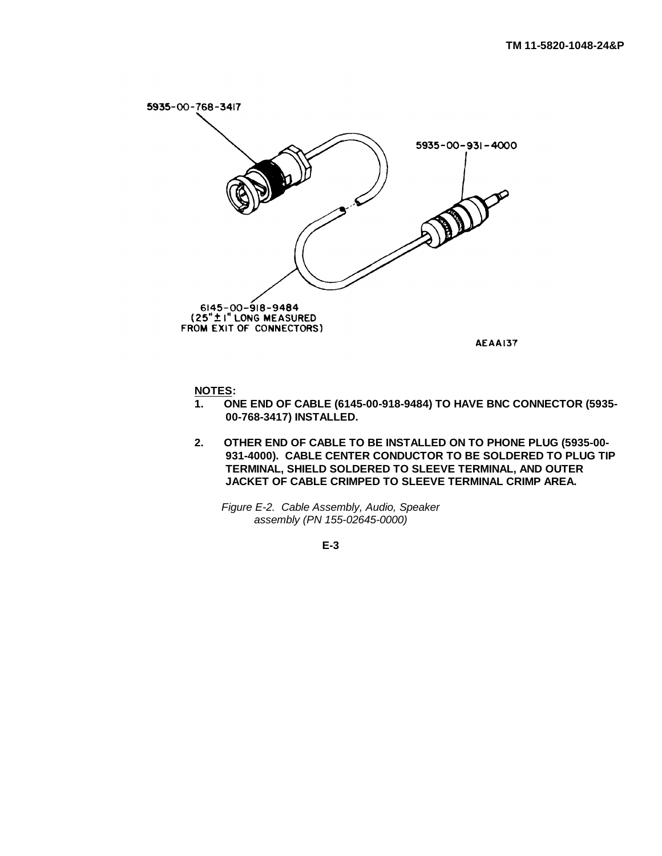<span id="page-117-0"></span>

**NOTES:**

- **1. ONE END OF CABLE (6145-00-918-9484) TO HAVE BNC CONNECTOR (5935- 00-768-3417) INSTALLED.**
- **2. OTHER END OF CABLE TO BE INSTALLED ON TO PHONE PLUG (5935-00- 931-4000). CABLE CENTER CONDUCTOR TO BE SOLDERED TO PLUG TIP TERMINAL, SHIELD SOLDERED TO SLEEVE TERMINAL, AND OUTER JACKET OF CABLE CRIMPED TO SLEEVE TERMINAL CRIMP AREA.**

*Figure E-2. Cable Assembly, Audio, Speaker assembly (PN 155-02645-0000)*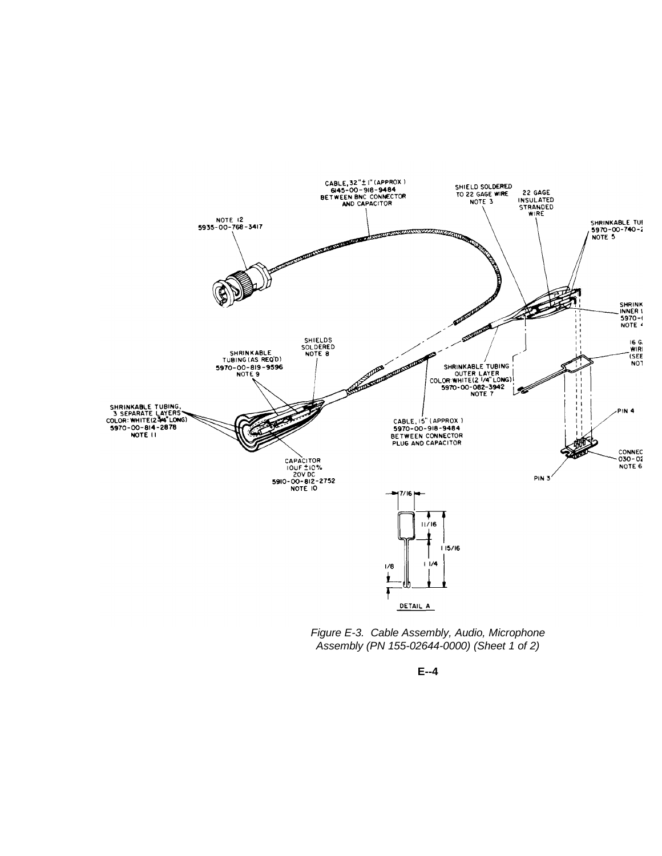<span id="page-118-0"></span>

*Figure E-3. Cable Assembly, Audio, Microphone Assembly (PN 155-02644-0000) (Sheet 1 of 2)*

**E--4**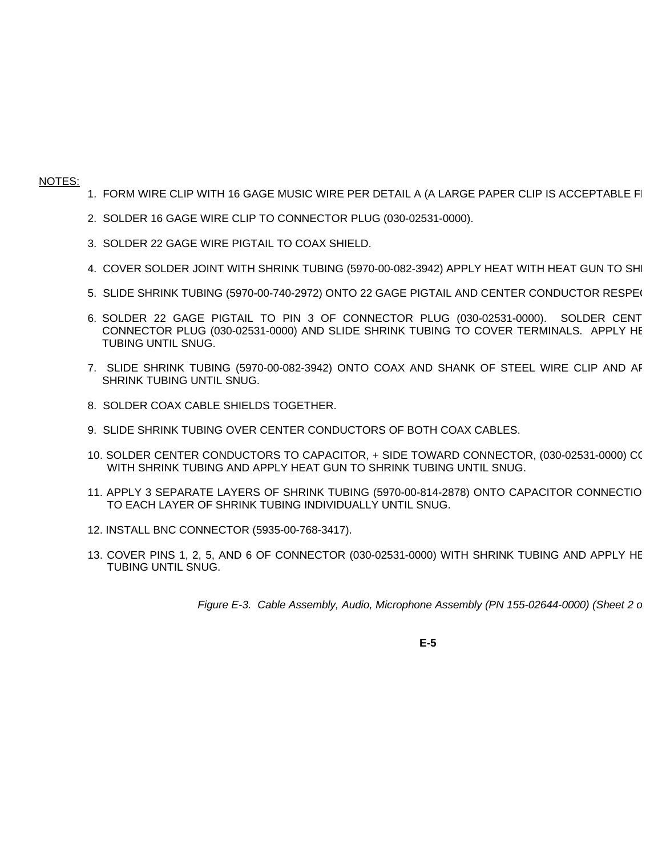#### NOTES:

- 1. FORM WIRE CLIP WITH 16 GAGE MUSIC WIRE PER DETAIL A (A LARGE PAPER CLIP IS ACCEPTABLE FI
- 2. SOLDER 16 GAGE WIRE CLIP TO CONNECTOR PLUG (030-02531-0000).
- 3. SOLDER 22 GAGE WIRE PIGTAIL TO COAX SHIELD.
- 4. COVER SOLDER JOINT WITH SHRINK TUBING (5970-00-082-3942) APPLY HEAT WITH HEAT GUN TO SHI
- 5. SLIDE SHRINK TUBING (5970-00-740-2972) ONTO 22 GAGE PIGTAIL AND CENTER CONDUCTOR RESPE(
- 6. SOLDER 22 GAGE PIGTAIL TO PIN 3 OF CONNECTOR PLUG (030-02531-0000). SOLDER CENT CONNECTOR PLUG (030-02531-0000) AND SLIDE SHRINK TUBING TO COVER TERMINALS. APPLY HE TUBING UNTIL SNUG.
- 7. SLIDE SHRINK TUBING (5970-00-082-3942) ONTO COAX AND SHANK OF STEEL WIRE CLIP AND AF SHRINK TUBING UNTIL SNUG.
- 8. SOLDER COAX CABLE SHIELDS TOGETHER.
- 9. SLIDE SHRINK TUBING OVER CENTER CONDUCTORS OF BOTH COAX CABLES.
- 10. SOLDER CENTER CONDUCTORS TO CAPACITOR, + SIDE TOWARD CONNECTOR, (030-02531-0000) CO WITH SHRINK TUBING AND APPLY HEAT GUN TO SHRINK TUBING UNTIL SNUG.
- 11. APPLY 3 SEPARATE LAYERS OF SHRINK TUBING (5970-00-814-2878) ONTO CAPACITOR CONNECTIO TO EACH LAYER OF SHRINK TUBING INDIVIDUALLY UNTIL SNUG.
- 12. INSTALL BNC CONNECTOR (5935-00-768-3417).
- 13. COVER PINS 1, 2, 5, AND 6 OF CONNECTOR (030-02531-0000) WITH SHRINK TUBING AND APPLY HE TUBING UNTIL SNUG.

*Figure E-3. Cable Assembly, Audio, Microphone Assembly (PN 155-02644-0000) (Sheet 2 of 20)*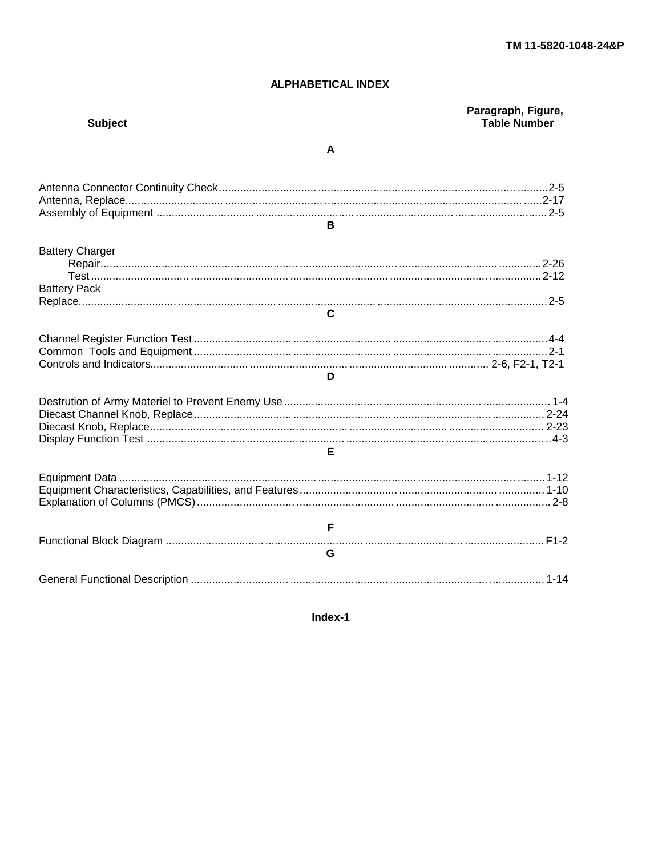# **ALPHABETICAL INDEX**

| <b>Subject</b>                                | Paragraph, Figure,<br><b>Table Number</b> |
|-----------------------------------------------|-------------------------------------------|
|                                               | A                                         |
|                                               | B.                                        |
| <b>Battery Charger</b><br><b>Battery Pack</b> | $\mathbf{C}$                              |
|                                               | D                                         |
|                                               | F                                         |
|                                               |                                           |
|                                               | $F =$<br>G                                |
|                                               |                                           |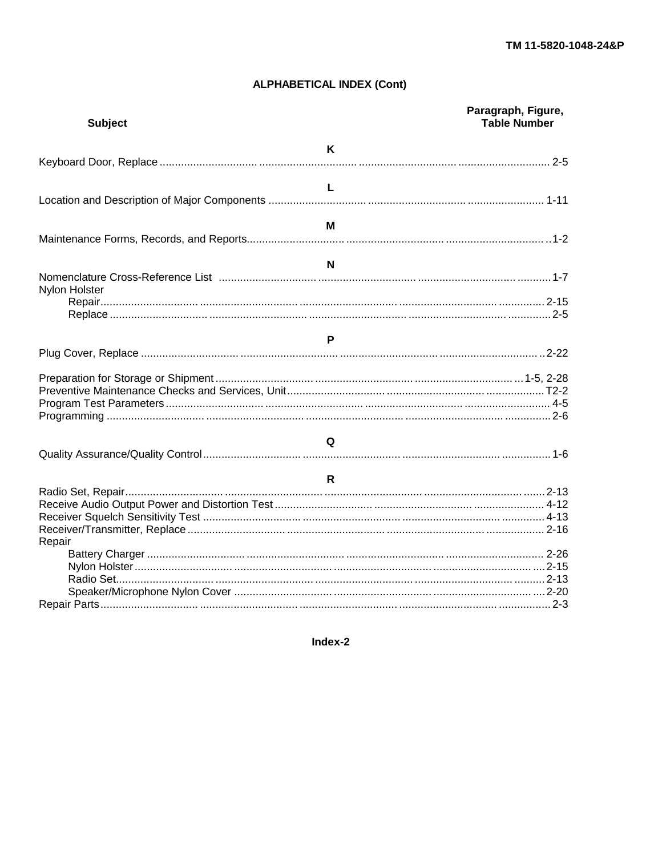# **ALPHABETICAL INDEX (Cont)**

| <b>Subject</b> | Paragraph, Figure,<br><b>Table Number</b> |
|----------------|-------------------------------------------|
|                | K                                         |
|                |                                           |
|                | $\mathbf{L}$                              |
|                |                                           |
|                | м                                         |
|                |                                           |
|                | N                                         |
| Nylon Holster  |                                           |
|                |                                           |
|                |                                           |
|                | P                                         |
|                |                                           |
|                |                                           |
|                |                                           |
|                |                                           |
|                |                                           |
|                | Q                                         |
|                |                                           |
|                | $\mathsf{R}$                              |
|                |                                           |
|                |                                           |
|                |                                           |
|                |                                           |
| Repair         |                                           |
|                |                                           |
|                |                                           |
|                |                                           |
|                |                                           |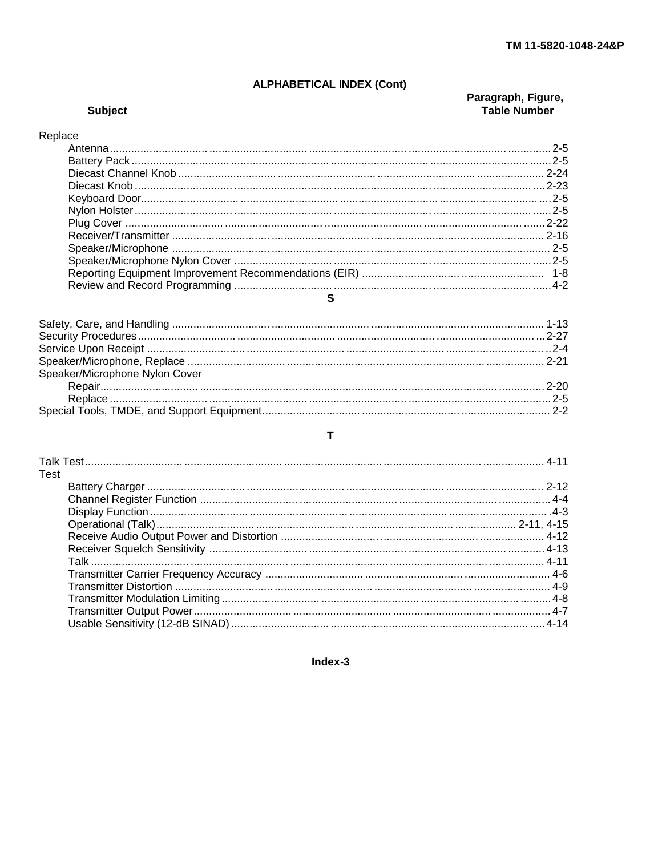# **ALPHABETICAL INDEX (Cont)**

# **Subject**

# Paragraph, Figure,<br>Table Number

# Replace

## $\mathbf{s}$

| Speaker/Microphone Nylon Cover |  |
|--------------------------------|--|
|                                |  |
|                                |  |
|                                |  |
|                                |  |

# $\mathbf T$

| Test |  |
|------|--|
|      |  |
|      |  |
|      |  |
|      |  |
|      |  |
|      |  |
|      |  |
|      |  |
|      |  |
|      |  |
|      |  |
|      |  |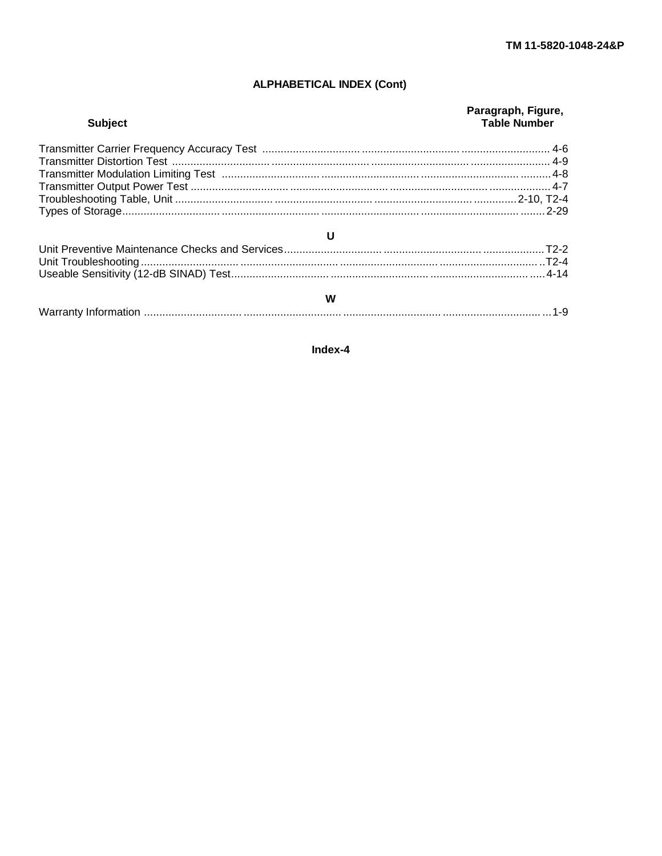# **ALPHABETICAL INDEX (Cont)**

| <b>Subject</b> | Paragraph, Figure,<br><b>Table Number</b> |
|----------------|-------------------------------------------|
|                |                                           |
|                |                                           |
|                |                                           |
| U              |                                           |
|                |                                           |
| W              |                                           |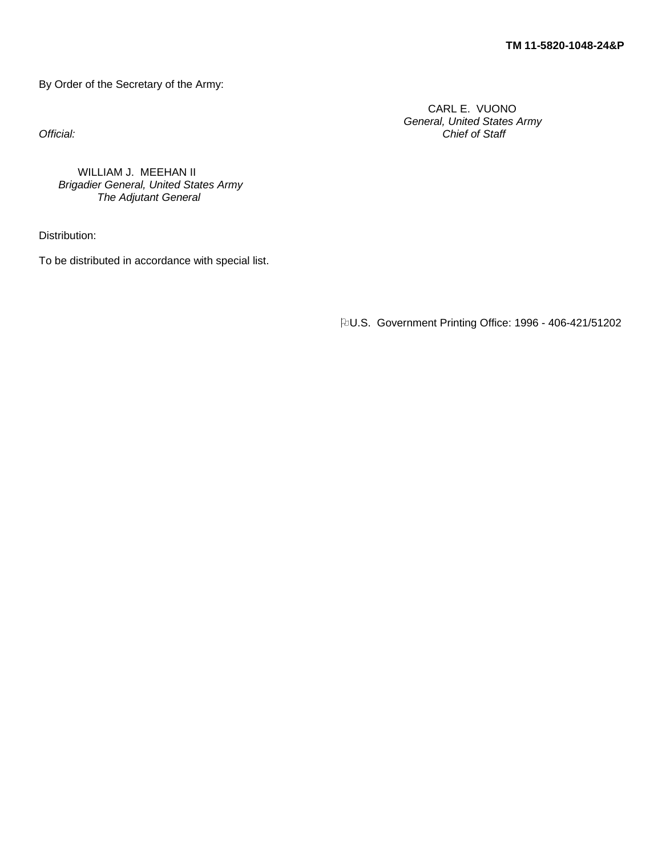By Order of the Secretary of the Army:

CARL E. VUONO *General, United States Army Official: Chief of Staff*

WILLIAM J. MEEHAN II *Brigadier General, United States Army The Adjutant General*

Distribution:

To be distributed in accordance with special list.

**PU.S. Government Printing Office: 1996 - 406-421/51202**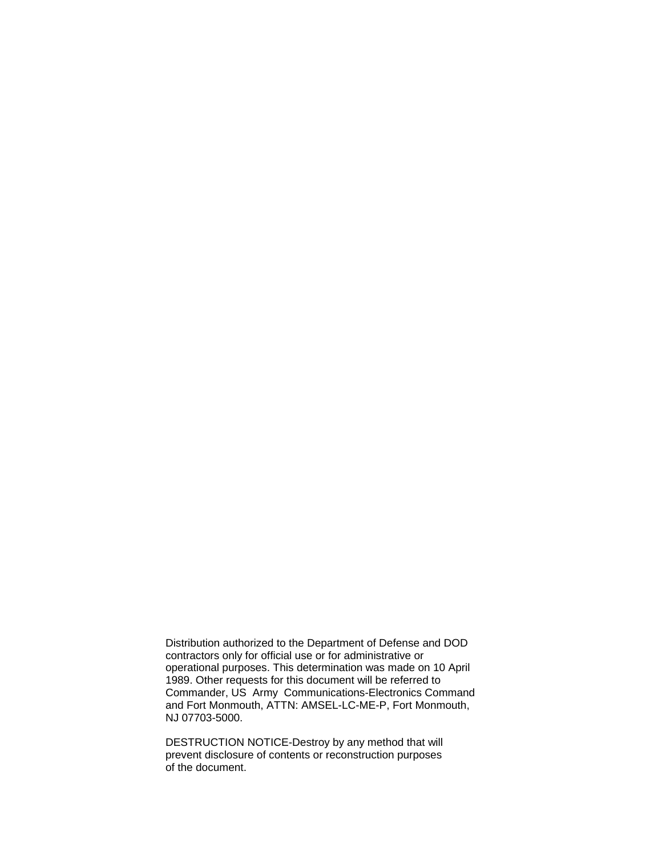Distribution authorized to the Department of Defense and DOD contractors only for official use or for administrative or operational purposes. This determination was made on 10 April 1989. Other requests for this document will be referred to Commander, US Army Communications-Electronics Command and Fort Monmouth, ATTN: AMSEL-LC-ME-P, Fort Monmouth, NJ 07703-5000.

DESTRUCTION NOTICE-Destroy by any method that will prevent disclosure of contents or reconstruction purposes of the document.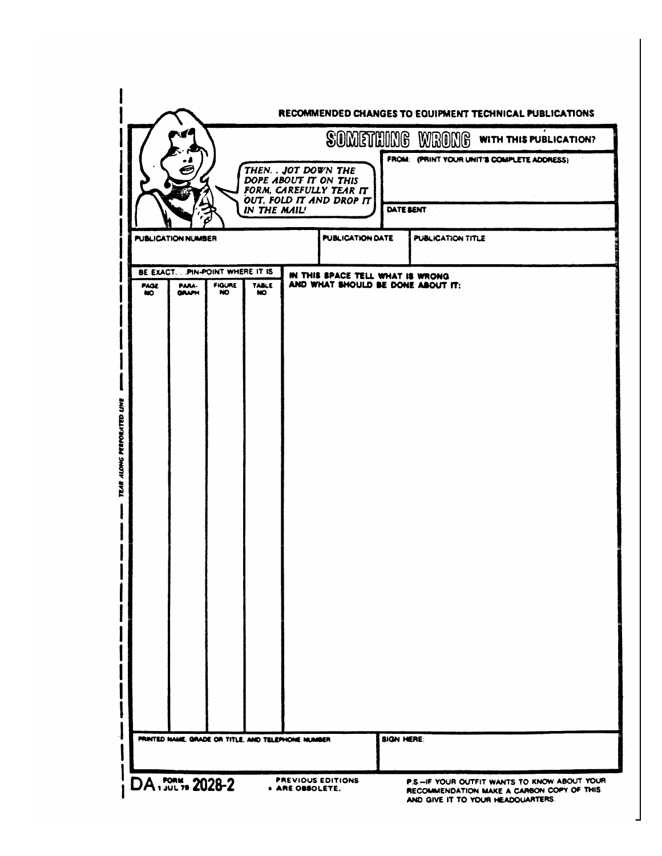|                                                                                                                               |                                                                          |                        | RECOMMENDED CHANGES TO EQUIPMENT TECHNICAL PUBLICATIONS                                                                        |
|-------------------------------------------------------------------------------------------------------------------------------|--------------------------------------------------------------------------|------------------------|--------------------------------------------------------------------------------------------------------------------------------|
|                                                                                                                               |                                                                          | <b>SOMETHING WRONG</b> | <b>WITH THIS PUBLICATION?</b><br>FROM: (PRINT YOUR UNIT'S COMPLETE ADDRESS)                                                    |
|                                                                                                                               | THEN. . JOT DOWN THE<br>DOPE ABOUT IT ON THIS<br>FORM, CAREFULLY TEAR IT |                        |                                                                                                                                |
| IN THE MAIL!                                                                                                                  | OUT, FOLD IT AND DROP IT                                                 | DATE SENT              |                                                                                                                                |
| <b>PUBLICATION NUMBER</b>                                                                                                     | <b>PUBLICATION DATE</b>                                                  | PUBLICATION TITLE      |                                                                                                                                |
| BE EXACT. PIN-POINT WHERE IT IS<br><b>FIGURE</b><br><b>PAGE</b><br>PARA-<br><b>TABLE</b><br><b>GRAPH</b><br>NO.<br>NO.<br>NO. | IN THIS SPACE TELL WHAT IS WRONG<br>AND WHAT SHOULD BE DONE ABOUT IT:    |                        |                                                                                                                                |
|                                                                                                                               |                                                                          |                        |                                                                                                                                |
|                                                                                                                               |                                                                          |                        |                                                                                                                                |
|                                                                                                                               |                                                                          |                        |                                                                                                                                |
|                                                                                                                               |                                                                          |                        |                                                                                                                                |
|                                                                                                                               |                                                                          |                        |                                                                                                                                |
|                                                                                                                               |                                                                          |                        |                                                                                                                                |
|                                                                                                                               |                                                                          |                        |                                                                                                                                |
|                                                                                                                               |                                                                          |                        |                                                                                                                                |
|                                                                                                                               |                                                                          |                        |                                                                                                                                |
|                                                                                                                               |                                                                          |                        |                                                                                                                                |
|                                                                                                                               |                                                                          |                        |                                                                                                                                |
| PRINTED NAME, GRADE OR TITLE, AND TELEPHONE NUMBER                                                                            |                                                                          | <b>SIGN HERE:</b>      |                                                                                                                                |
|                                                                                                                               |                                                                          |                        |                                                                                                                                |
| DA . FORM, 2028-2                                                                                                             | <b>PREVIOUS EDITIONS</b><br><b>+ ARE OBSOLETE.</b>                       |                        | P.S.-IF YOUR OUTFIT WANTS TO KNOW ABOUT YOUR<br>RECOMMENDATION MAKE A CARBON COPY OF THIS<br>AND GIVE IT TO YOUR HEADQUARTERS. |